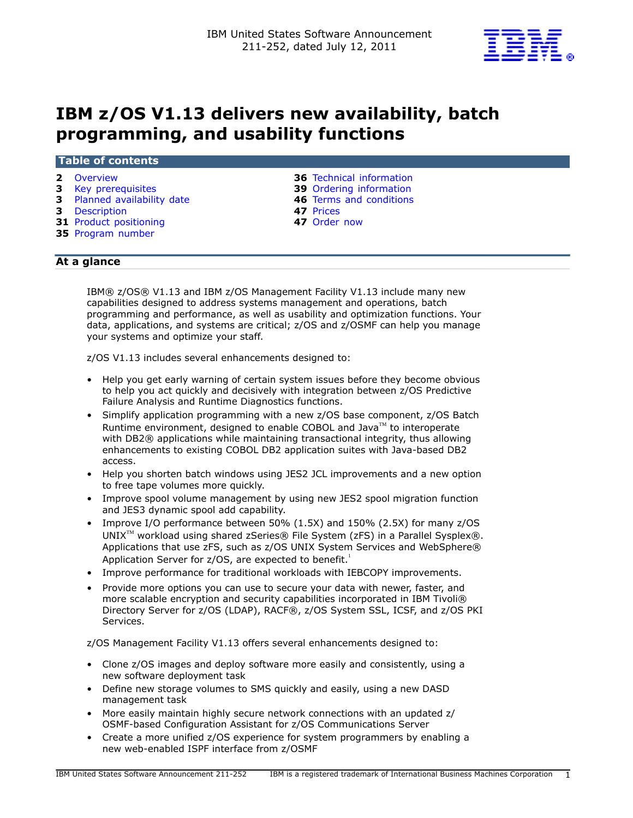

# IBM z/OS V1.13 delivers new availability, batch programming, and usability functions

## Table of contents

- 
- **3** [Key prerequisites](#page-2-0) **39** Ordering information
- 3 [Planned availability date](#page-2-1) 46 Terms and conditions
- 
- 3 [Description](#page-2-2) **47** Prices<br>
31 Product positioning **47** Order now 31 Product positioning
- 35 [Program number](#page-34-0)
- **2** [Overview](#page-1-0) **36 Technical information** 
	-
	-
	-
	-

# At a glance

IBM® z/OS® V1.13 and IBM z/OS Management Facility V1.13 include many new capabilities designed to address systems management and operations, batch programming and performance, as well as usability and optimization functions. Your data, applications, and systems are critical; z/OS and z/OSMF can help you manage your systems and optimize your staff.

z/OS V1.13 includes several enhancements designed to:

- Help you get early warning of certain system issues before they become obvious to help you act quickly and decisively with integration between z/OS Predictive Failure Analysis and Runtime Diagnostics functions.
- Simplify application programming with a new z/OS base component, z/OS Batch Runtime environment, designed to enable COBOL and Java $\mathbb{M}$  to interoperate with DB2® applications while maintaining transactional integrity, thus allowing enhancements to existing COBOL DB2 application suites with Java-based DB2 access.
- Help you shorten batch windows using JES2 JCL improvements and a new option to free tape volumes more quickly.
- Improve spool volume management by using new JES2 spool migration function and JES3 dynamic spool add capability.
- Improve I/O performance between 50% (1.5X) and 150% (2.5X) for many z/OS UNIX<sup>™</sup> workload using shared zSeries® File System (zFS) in a Parallel Sysplex®. Applications that use zFS, such as z/OS UNIX System Services and WebSphere® Application Server for  $z/OS$ , are expected to benefit.<sup>1</sup>
- Improve performance for traditional workloads with IEBCOPY improvements.
- Provide more options you can use to secure your data with newer, faster, and more scalable encryption and security capabilities incorporated in IBM Tivoli® Directory Server for z/OS (LDAP), RACF®, z/OS System SSL, ICSF, and z/OS PKI Services.

z/OS Management Facility V1.13 offers several enhancements designed to:

- Clone z/OS images and deploy software more easily and consistently, using a new software deployment task
- Define new storage volumes to SMS quickly and easily, using a new DASD management task
- More easily maintain highly secure network connections with an updated z/ OSMF-based Configuration Assistant for z/OS Communications Server
- Create a more unified z/OS experience for system programmers by enabling a new web-enabled ISPF interface from z/OSMF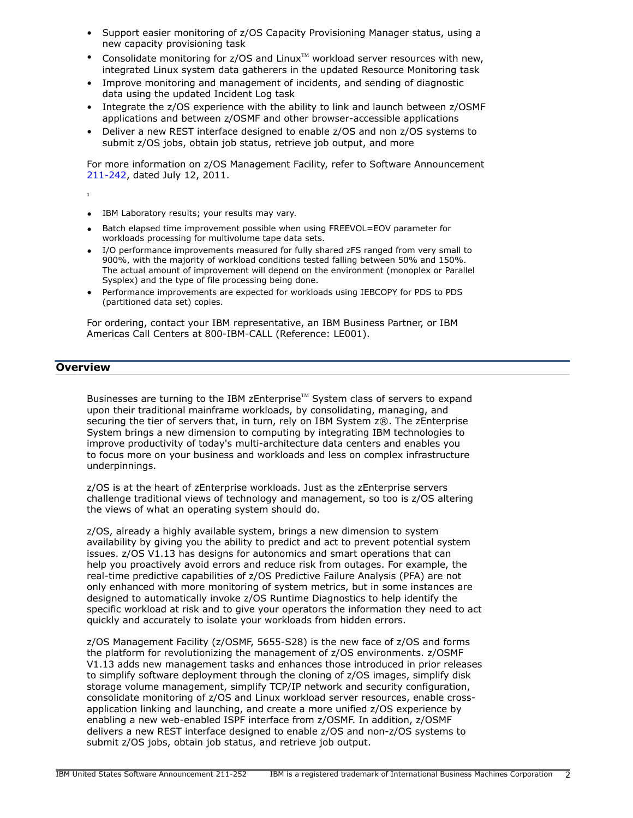- Support easier monitoring of z/OS Capacity Provisioning Manager status, using a new capacity provisioning task
- Consolidate monitoring for z/OS and Linux<sup>TM</sup> workload server resources with new, integrated Linux system data gatherers in the updated Resource Monitoring task
- Improve monitoring and management of incidents, and sending of diagnostic data using the updated Incident Log task
- Integrate the z/OS experience with the ability to link and launch between z/OSMF applications and between z/OSMF and other browser-accessible applications
- Deliver a new REST interface designed to enable z/OS and non z/OS systems to submit z/OS jobs, obtain job status, retrieve job output, and more

For more information on z/OS Management Facility, refer to Software Announcement [211-242](http://www.ibm.com/common/ssi/cgi-bin/ssialias?infotype=an&subtype=ca&appname=gpateam&supplier=897&letternum=ENUS211-242), dated July 12, 2011.

**1**

- IBM Laboratory results; your results may vary.
- Batch elapsed time improvement possible when using FREEVOL=EOV parameter for workloads processing for multivolume tape data sets.
- I/O performance improvements measured for fully shared zFS ranged from very small to 900%, with the majority of workload conditions tested falling between 50% and 150%. The actual amount of improvement will depend on the environment (monoplex or Parallel Sysplex) and the type of file processing being done.
- Performance improvements are expected for workloads using IEBCOPY for PDS to PDS (partitioned data set) copies.

For ordering, contact your IBM representative, an IBM Business Partner, or IBM Americas Call Centers at 800-IBM-CALL (Reference: LE001).

# <span id="page-1-0"></span>**Overview**

Businesses are turning to the IBM zEnterprise™ System class of servers to expand upon their traditional mainframe workloads, by consolidating, managing, and securing the tier of servers that, in turn, rely on IBM System z®. The zEnterprise System brings a new dimension to computing by integrating IBM technologies to improve productivity of today's multi-architecture data centers and enables you to focus more on your business and workloads and less on complex infrastructure underpinnings.

z/OS is at the heart of zEnterprise workloads. Just as the zEnterprise servers challenge traditional views of technology and management, so too is z/OS altering the views of what an operating system should do.

z/OS, already a highly available system, brings a new dimension to system availability by giving you the ability to predict and act to prevent potential system issues. z/OS V1.13 has designs for autonomics and smart operations that can help you proactively avoid errors and reduce risk from outages. For example, the real-time predictive capabilities of z/OS Predictive Failure Analysis (PFA) are not only enhanced with more monitoring of system metrics, but in some instances are designed to automatically invoke z/OS Runtime Diagnostics to help identify the specific workload at risk and to give your operators the information they need to act quickly and accurately to isolate your workloads from hidden errors.

z/OS Management Facility (z/OSMF, 5655-S28) is the new face of z/OS and forms the platform for revolutionizing the management of z/OS environments. z/OSMF V1.13 adds new management tasks and enhances those introduced in prior releases to simplify software deployment through the cloning of z/OS images, simplify disk storage volume management, simplify TCP/IP network and security configuration, consolidate monitoring of z/OS and Linux workload server resources, enable crossapplication linking and launching, and create a more unified z/OS experience by enabling a new web-enabled ISPF interface from z/OSMF. In addition, z/OSMF delivers a new REST interface designed to enable z/OS and non-z/OS systems to submit z/OS jobs, obtain job status, and retrieve job output.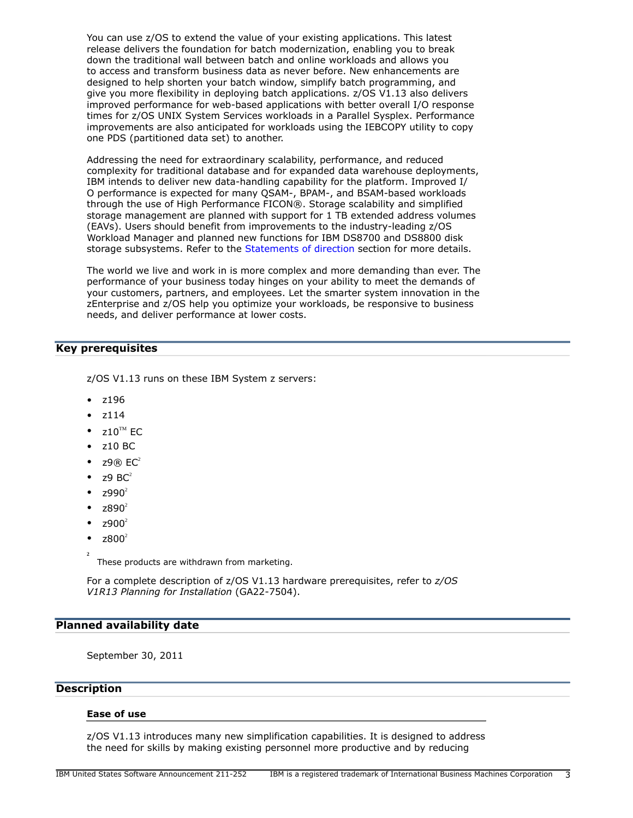You can use z/OS to extend the value of your existing applications. This latest release delivers the foundation for batch modernization, enabling you to break down the traditional wall between batch and online workloads and allows you to access and transform business data as never before. New enhancements are designed to help shorten your batch window, simplify batch programming, and give you more flexibility in deploying batch applications. z/OS V1.13 also delivers improved performance for web-based applications with better overall I/O response times for z/OS UNIX System Services workloads in a Parallel Sysplex. Performance improvements are also anticipated for workloads using the IEBCOPY utility to copy one PDS (partitioned data set) to another.

Addressing the need for extraordinary scalability, performance, and reduced complexity for traditional database and for expanded data warehouse deployments, IBM intends to deliver new data-handling capability for the platform. Improved I/ O performance is expected for many QSAM-, BPAM-, and BSAM-based workloads through the use of High Performance FICON®. Storage scalability and simplified storage management are planned with support for 1 TB extended address volumes (EAVs). Users should benefit from improvements to the industry-leading z/OS Workload Manager and planned new functions for IBM DS8700 and DS8800 disk storage subsystems. Refer to the [Statements of direction](#page-32-0) section for more details.

The world we live and work in is more complex and more demanding than ever. The performance of your business today hinges on your ability to meet the demands of your customers, partners, and employees. Let the smarter system innovation in the zEnterprise and z/OS help you optimize your workloads, be responsive to business needs, and deliver performance at lower costs.

# <span id="page-2-0"></span>Key prerequisites

z/OS V1.13 runs on these IBM System z servers:

- z196
- z114
- $710^{TM}$  FC
- z10 BC
- $Z9@$  EC<sup>2</sup>
- $z9$  BC<sup>2</sup>
- $z990^2$
- $7890^2$
- $z900^2$
- $z800^2$
- **2**

These products are withdrawn from marketing.

For a complete description of z/OS V1.13 hardware prerequisites, refer to *z/OS V1R13 Planning for Installation* (GA22-7504).

## <span id="page-2-1"></span>Planned availability date

September 30, 2011

## <span id="page-2-2"></span>**Description**

#### Ease of use

z/OS V1.13 introduces many new simplification capabilities. It is designed to address the need for skills by making existing personnel more productive and by reducing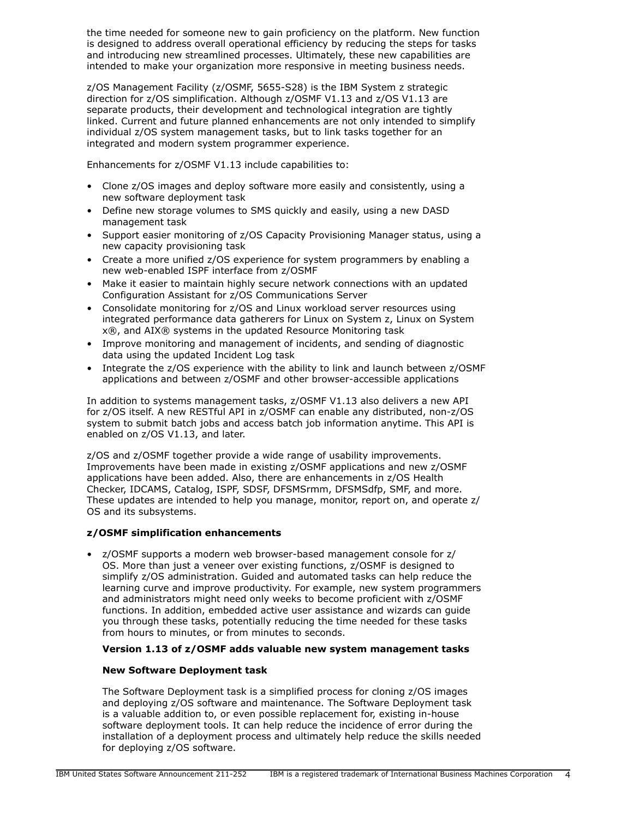the time needed for someone new to gain proficiency on the platform. New function is designed to address overall operational efficiency by reducing the steps for tasks and introducing new streamlined processes. Ultimately, these new capabilities are intended to make your organization more responsive in meeting business needs.

z/OS Management Facility (z/OSMF, 5655-S28) is the IBM System z strategic direction for z/OS simplification. Although z/OSMF V1.13 and z/OS V1.13 are separate products, their development and technological integration are tightly linked. Current and future planned enhancements are not only intended to simplify individual z/OS system management tasks, but to link tasks together for an integrated and modern system programmer experience.

Enhancements for z/OSMF V1.13 include capabilities to:

- Clone z/OS images and deploy software more easily and consistently, using a new software deployment task
- Define new storage volumes to SMS quickly and easily, using a new DASD management task
- Support easier monitoring of z/OS Capacity Provisioning Manager status, using a new capacity provisioning task
- Create a more unified z/OS experience for system programmers by enabling a new web-enabled ISPF interface from z/OSMF
- Make it easier to maintain highly secure network connections with an updated Configuration Assistant for z/OS Communications Server
- Consolidate monitoring for z/OS and Linux workload server resources using integrated performance data gatherers for Linux on System z, Linux on System x®, and AIX® systems in the updated Resource Monitoring task
- Improve monitoring and management of incidents, and sending of diagnostic data using the updated Incident Log task
- Integrate the z/OS experience with the ability to link and launch between z/OSMF applications and between z/OSMF and other browser-accessible applications

In addition to systems management tasks, z/OSMF V1.13 also delivers a new API for z/OS itself. A new RESTful API in z/OSMF can enable any distributed, non-z/OS system to submit batch jobs and access batch job information anytime. This API is enabled on z/OS V1.13, and later.

z/OS and z/OSMF together provide a wide range of usability improvements. Improvements have been made in existing z/OSMF applications and new z/OSMF applications have been added. Also, there are enhancements in z/OS Health Checker, IDCAMS, Catalog, ISPF, SDSF, DFSMSrmm, DFSMSdfp, SMF, and more. These updates are intended to help you manage, monitor, report on, and operate z/ OS and its subsystems.

# z/OSMF simplification enhancements

• z/OSMF supports a modern web browser-based management console for z/ OS. More than just a veneer over existing functions, z/OSMF is designed to simplify z/OS administration. Guided and automated tasks can help reduce the learning curve and improve productivity. For example, new system programmers and administrators might need only weeks to become proficient with z/OSMF functions. In addition, embedded active user assistance and wizards can guide you through these tasks, potentially reducing the time needed for these tasks from hours to minutes, or from minutes to seconds.

# Version 1.13 of z/OSMF adds valuable new system management tasks

# New Software Deployment task

The Software Deployment task is a simplified process for cloning z/OS images and deploying z/OS software and maintenance. The Software Deployment task is a valuable addition to, or even possible replacement for, existing in-house software deployment tools. It can help reduce the incidence of error during the installation of a deployment process and ultimately help reduce the skills needed for deploying z/OS software.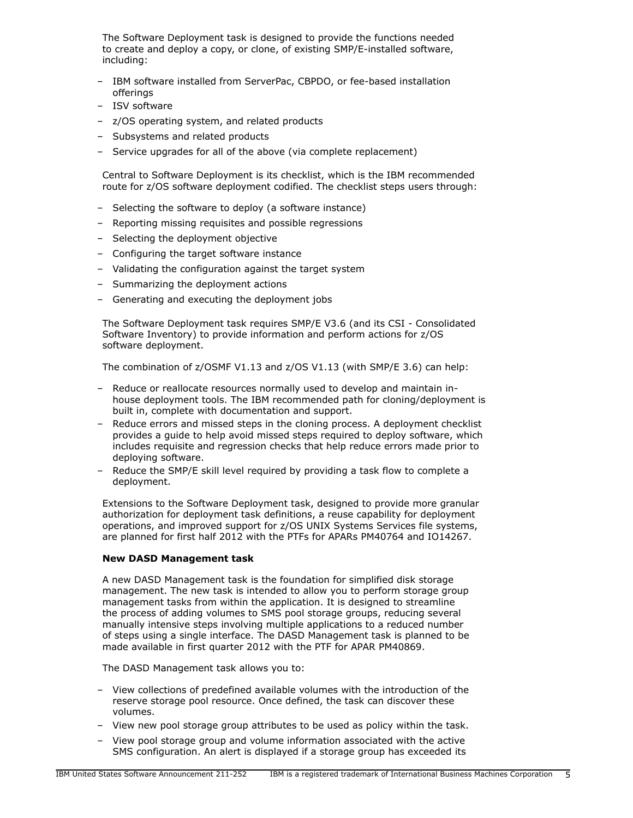The Software Deployment task is designed to provide the functions needed to create and deploy a copy, or clone, of existing SMP/E-installed software, including:

- IBM software installed from ServerPac, CBPDO, or fee-based installation offerings
- ISV software
- z/OS operating system, and related products
- Subsystems and related products
- Service upgrades for all of the above (via complete replacement)

Central to Software Deployment is its checklist, which is the IBM recommended route for z/OS software deployment codified. The checklist steps users through:

- Selecting the software to deploy (a software instance)
- Reporting missing requisites and possible regressions
- Selecting the deployment objective
- Configuring the target software instance
- Validating the configuration against the target system
- Summarizing the deployment actions
- Generating and executing the deployment jobs

The Software Deployment task requires SMP/E V3.6 (and its CSI - Consolidated Software Inventory) to provide information and perform actions for z/OS software deployment.

The combination of z/OSMF V1.13 and z/OS V1.13 (with SMP/E 3.6) can help:

- Reduce or reallocate resources normally used to develop and maintain inhouse deployment tools. The IBM recommended path for cloning/deployment is built in, complete with documentation and support.
- Reduce errors and missed steps in the cloning process. A deployment checklist provides a guide to help avoid missed steps required to deploy software, which includes requisite and regression checks that help reduce errors made prior to deploying software.
- Reduce the SMP/E skill level required by providing a task flow to complete a deployment.

Extensions to the Software Deployment task, designed to provide more granular authorization for deployment task definitions, a reuse capability for deployment operations, and improved support for z/OS UNIX Systems Services file systems, are planned for first half 2012 with the PTFs for APARs PM40764 and IO14267.

#### New DASD Management task

A new DASD Management task is the foundation for simplified disk storage management. The new task is intended to allow you to perform storage group management tasks from within the application. It is designed to streamline the process of adding volumes to SMS pool storage groups, reducing several manually intensive steps involving multiple applications to a reduced number of steps using a single interface. The DASD Management task is planned to be made available in first quarter 2012 with the PTF for APAR PM40869.

The DASD Management task allows you to:

- View collections of predefined available volumes with the introduction of the reserve storage pool resource. Once defined, the task can discover these volumes.
- View new pool storage group attributes to be used as policy within the task.
- View pool storage group and volume information associated with the active SMS configuration. An alert is displayed if a storage group has exceeded its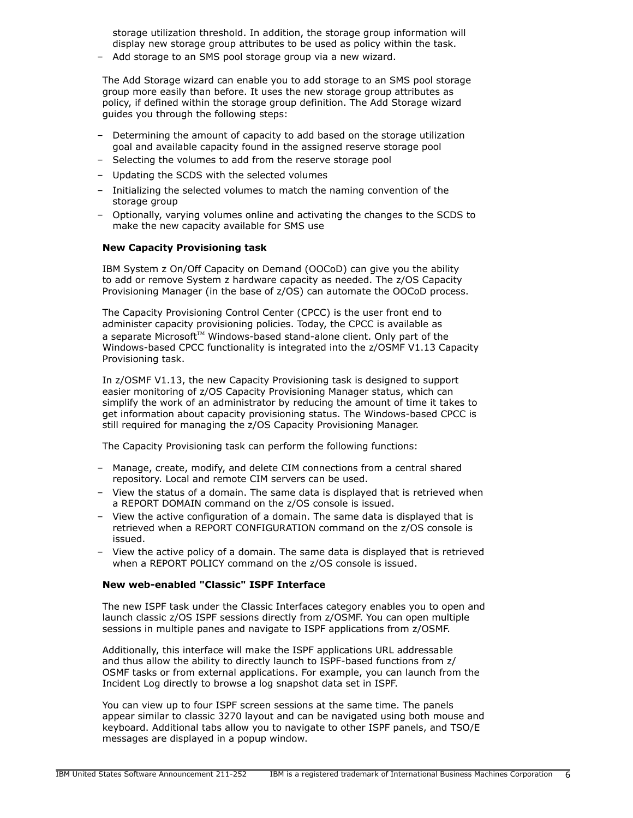storage utilization threshold. In addition, the storage group information will display new storage group attributes to be used as policy within the task.

– Add storage to an SMS pool storage group via a new wizard.

The Add Storage wizard can enable you to add storage to an SMS pool storage group more easily than before. It uses the new storage group attributes as policy, if defined within the storage group definition. The Add Storage wizard guides you through the following steps:

- Determining the amount of capacity to add based on the storage utilization goal and available capacity found in the assigned reserve storage pool
- Selecting the volumes to add from the reserve storage pool
- Updating the SCDS with the selected volumes
- Initializing the selected volumes to match the naming convention of the storage group
- Optionally, varying volumes online and activating the changes to the SCDS to make the new capacity available for SMS use

## New Capacity Provisioning task

IBM System z On/Off Capacity on Demand (OOCoD) can give you the ability to add or remove System z hardware capacity as needed. The z/OS Capacity Provisioning Manager (in the base of z/OS) can automate the OOCoD process.

The Capacity Provisioning Control Center (CPCC) is the user front end to administer capacity provisioning policies. Today, the CPCC is available as a separate Microsoft<sup>™</sup> Windows-based stand-alone client. Only part of the Windows-based CPCC functionality is integrated into the z/OSMF V1.13 Capacity Provisioning task.

In z/OSMF V1.13, the new Capacity Provisioning task is designed to support easier monitoring of z/OS Capacity Provisioning Manager status, which can simplify the work of an administrator by reducing the amount of time it takes to get information about capacity provisioning status. The Windows-based CPCC is still required for managing the z/OS Capacity Provisioning Manager.

The Capacity Provisioning task can perform the following functions:

- Manage, create, modify, and delete CIM connections from a central shared repository. Local and remote CIM servers can be used.
- View the status of a domain. The same data is displayed that is retrieved when a REPORT DOMAIN command on the z/OS console is issued.
- View the active configuration of a domain. The same data is displayed that is retrieved when a REPORT CONFIGURATION command on the z/OS console is issued.
- View the active policy of a domain. The same data is displayed that is retrieved when a REPORT POLICY command on the z/OS console is issued.

## New web-enabled "Classic" ISPF Interface

The new ISPF task under the Classic Interfaces category enables you to open and launch classic z/OS ISPF sessions directly from z/OSMF. You can open multiple sessions in multiple panes and navigate to ISPF applications from z/OSMF.

Additionally, this interface will make the ISPF applications URL addressable and thus allow the ability to directly launch to ISPF-based functions from z/ OSMF tasks or from external applications. For example, you can launch from the Incident Log directly to browse a log snapshot data set in ISPF.

You can view up to four ISPF screen sessions at the same time. The panels appear similar to classic 3270 layout and can be navigated using both mouse and keyboard. Additional tabs allow you to navigate to other ISPF panels, and TSO/E messages are displayed in a popup window.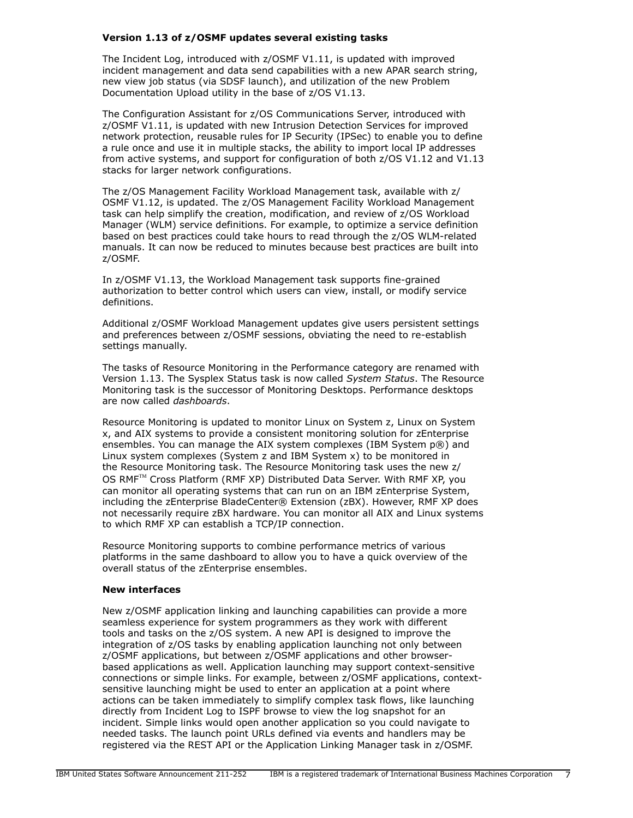## Version 1.13 of z/OSMF updates several existing tasks

The Incident Log, introduced with z/OSMF V1.11, is updated with improved incident management and data send capabilities with a new APAR search string, new view job status (via SDSF launch), and utilization of the new Problem Documentation Upload utility in the base of z/OS V1.13.

The Configuration Assistant for z/OS Communications Server, introduced with z/OSMF V1.11, is updated with new Intrusion Detection Services for improved network protection, reusable rules for IP Security (IPSec) to enable you to define a rule once and use it in multiple stacks, the ability to import local IP addresses from active systems, and support for configuration of both z/OS V1.12 and V1.13 stacks for larger network configurations.

The z/OS Management Facility Workload Management task, available with z/ OSMF V1.12, is updated. The z/OS Management Facility Workload Management task can help simplify the creation, modification, and review of z/OS Workload Manager (WLM) service definitions. For example, to optimize a service definition based on best practices could take hours to read through the z/OS WLM-related manuals. It can now be reduced to minutes because best practices are built into z/OSMF.

In z/OSMF V1.13, the Workload Management task supports fine-grained authorization to better control which users can view, install, or modify service definitions.

Additional z/OSMF Workload Management updates give users persistent settings and preferences between z/OSMF sessions, obviating the need to re-establish settings manually.

The tasks of Resource Monitoring in the Performance category are renamed with Version 1.13. The Sysplex Status task is now called *System Status*. The Resource Monitoring task is the successor of Monitoring Desktops. Performance desktops are now called *dashboards*.

Resource Monitoring is updated to monitor Linux on System z, Linux on System x, and AIX systems to provide a consistent monitoring solution for zEnterprise ensembles. You can manage the AIX system complexes (IBM System p®) and Linux system complexes (System z and IBM System x) to be monitored in the Resource Monitoring task. The Resource Monitoring task uses the new z/ OS RMF™ Cross Platform (RMF XP) Distributed Data Server. With RMF XP, you can monitor all operating systems that can run on an IBM zEnterprise System, including the zEnterprise BladeCenter® Extension (zBX). However, RMF XP does not necessarily require zBX hardware. You can monitor all AIX and Linux systems to which RMF XP can establish a TCP/IP connection.

Resource Monitoring supports to combine performance metrics of various platforms in the same dashboard to allow you to have a quick overview of the overall status of the zEnterprise ensembles.

#### New interfaces

New z/OSMF application linking and launching capabilities can provide a more seamless experience for system programmers as they work with different tools and tasks on the z/OS system. A new API is designed to improve the integration of z/OS tasks by enabling application launching not only between z/OSMF applications, but between z/OSMF applications and other browserbased applications as well. Application launching may support context-sensitive connections or simple links. For example, between z/OSMF applications, contextsensitive launching might be used to enter an application at a point where actions can be taken immediately to simplify complex task flows, like launching directly from Incident Log to ISPF browse to view the log snapshot for an incident. Simple links would open another application so you could navigate to needed tasks. The launch point URLs defined via events and handlers may be registered via the REST API or the Application Linking Manager task in z/OSMF.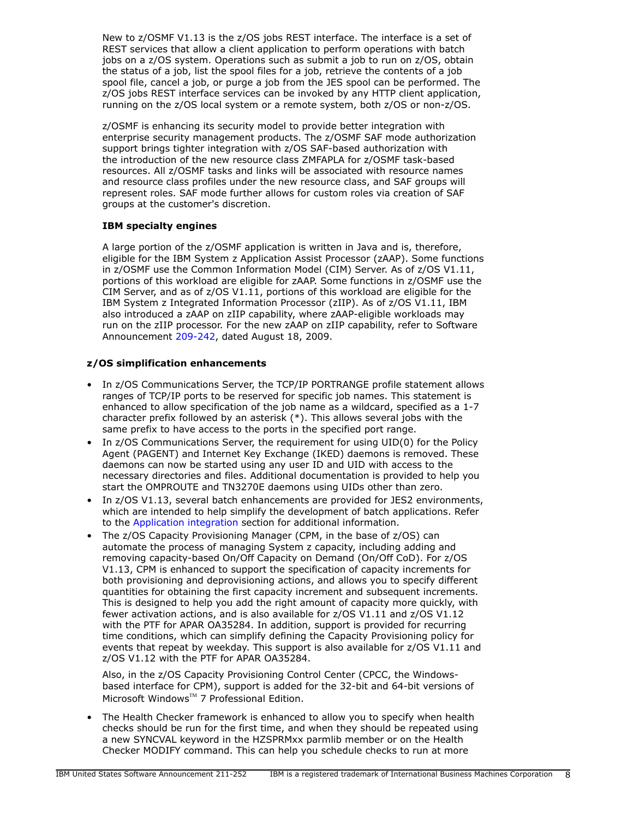New to z/OSMF V1.13 is the z/OS jobs REST interface. The interface is a set of REST services that allow a client application to perform operations with batch jobs on a z/OS system. Operations such as submit a job to run on z/OS, obtain the status of a job, list the spool files for a job, retrieve the contents of a job spool file, cancel a job, or purge a job from the JES spool can be performed. The z/OS jobs REST interface services can be invoked by any HTTP client application, running on the z/OS local system or a remote system, both z/OS or non-z/OS.

z/OSMF is enhancing its security model to provide better integration with enterprise security management products. The z/OSMF SAF mode authorization support brings tighter integration with z/OS SAF-based authorization with the introduction of the new resource class ZMFAPLA for z/OSMF task-based resources. All z/OSMF tasks and links will be associated with resource names and resource class profiles under the new resource class, and SAF groups will represent roles. SAF mode further allows for custom roles via creation of SAF groups at the customer's discretion.

# IBM specialty engines

A large portion of the z/OSMF application is written in Java and is, therefore, eligible for the IBM System z Application Assist Processor (zAAP). Some functions in z/OSMF use the Common Information Model (CIM) Server. As of z/OS V1.11, portions of this workload are eligible for zAAP. Some functions in z/OSMF use the CIM Server, and as of z/OS V1.11, portions of this workload are eligible for the IBM System z Integrated Information Processor (zIIP). As of z/OS V1.11, IBM also introduced a zAAP on zIIP capability, where zAAP-eligible workloads may run on the zIIP processor. For the new zAAP on zIIP capability, refer to Software Announcement [209-242](http://www.ibm.com/common/ssi/cgi-bin/ssialias?infotype=an&subtype=ca&appname=gpateam&supplier=897&letternum=ENUS209-242), dated August 18, 2009.

# z/OS simplification enhancements

- In z/OS Communications Server, the TCP/IP PORTRANGE profile statement allows ranges of TCP/IP ports to be reserved for specific job names. This statement is enhanced to allow specification of the job name as a wildcard, specified as a 1-7 character prefix followed by an asterisk (\*). This allows several jobs with the same prefix to have access to the ports in the specified port range.
- In z/OS Communications Server, the requirement for using UID(0) for the Policy Agent (PAGENT) and Internet Key Exchange (IKED) daemons is removed. These daemons can now be started using any user ID and UID with access to the necessary directories and files. Additional documentation is provided to help you start the OMPROUTE and TN3270E daemons using UIDs other than zero.
- In z/OS V1.13, several batch enhancements are provided for JES2 environments, which are intended to help simplify the development of batch applications. Refer to the [Application integration](#page-13-0) section for additional information.
- The z/OS Capacity Provisioning Manager (CPM, in the base of z/OS) can automate the process of managing System z capacity, including adding and removing capacity-based On/Off Capacity on Demand (On/Off CoD). For z/OS V1.13, CPM is enhanced to support the specification of capacity increments for both provisioning and deprovisioning actions, and allows you to specify different quantities for obtaining the first capacity increment and subsequent increments. This is designed to help you add the right amount of capacity more quickly, with fewer activation actions, and is also available for z/OS V1.11 and z/OS V1.12 with the PTF for APAR OA35284. In addition, support is provided for recurring time conditions, which can simplify defining the Capacity Provisioning policy for events that repeat by weekday. This support is also available for z/OS V1.11 and z/OS V1.12 with the PTF for APAR OA35284.

Also, in the z/OS Capacity Provisioning Control Center (CPCC, the Windowsbased interface for CPM), support is added for the 32-bit and 64-bit versions of Microsoft Windows™ 7 Professional Edition.

• The Health Checker framework is enhanced to allow you to specify when health checks should be run for the first time, and when they should be repeated using a new SYNCVAL keyword in the HZSPRMxx parmlib member or on the Health Checker MODIFY command. This can help you schedule checks to run at more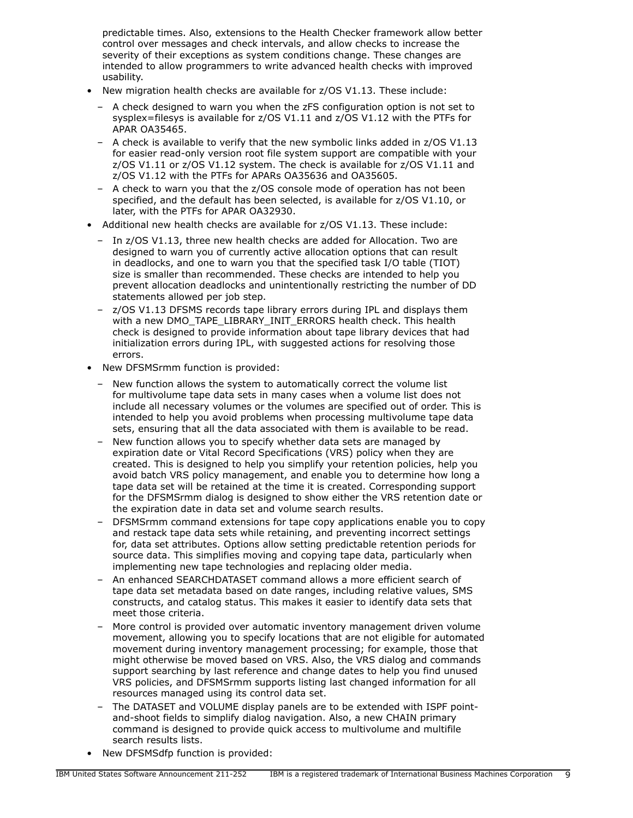predictable times. Also, extensions to the Health Checker framework allow better control over messages and check intervals, and allow checks to increase the severity of their exceptions as system conditions change. These changes are intended to allow programmers to write advanced health checks with improved usability.

- New migration health checks are available for z/OS V1.13. These include:
	- A check designed to warn you when the zFS configuration option is not set to sysplex=filesys is available for z/OS V1.11 and z/OS V1.12 with the PTFs for APAR OA35465.
	- A check is available to verify that the new symbolic links added in z/OS V1.13 for easier read-only version root file system support are compatible with your z/OS V1.11 or z/OS V1.12 system. The check is available for z/OS V1.11 and z/OS V1.12 with the PTFs for APARs OA35636 and OA35605.
	- A check to warn you that the z/OS console mode of operation has not been specified, and the default has been selected, is available for z/OS V1.10, or later, with the PTFs for APAR OA32930.
- Additional new health checks are available for z/OS V1.13. These include:
	- In z/OS V1.13, three new health checks are added for Allocation. Two are designed to warn you of currently active allocation options that can result in deadlocks, and one to warn you that the specified task I/O table (TIOT) size is smaller than recommended. These checks are intended to help you prevent allocation deadlocks and unintentionally restricting the number of DD statements allowed per job step.
	- z/OS V1.13 DFSMS records tape library errors during IPL and displays them with a new DMO\_TAPE\_LIBRARY\_INIT\_ERRORS health check. This health check is designed to provide information about tape library devices that had initialization errors during IPL, with suggested actions for resolving those errors.
- New DFSMSrmm function is provided:
	- New function allows the system to automatically correct the volume list for multivolume tape data sets in many cases when a volume list does not include all necessary volumes or the volumes are specified out of order. This is intended to help you avoid problems when processing multivolume tape data sets, ensuring that all the data associated with them is available to be read.
	- New function allows you to specify whether data sets are managed by expiration date or Vital Record Specifications (VRS) policy when they are created. This is designed to help you simplify your retention policies, help you avoid batch VRS policy management, and enable you to determine how long a tape data set will be retained at the time it is created. Corresponding support for the DFSMSrmm dialog is designed to show either the VRS retention date or the expiration date in data set and volume search results.
	- DFSMSrmm command extensions for tape copy applications enable you to copy and restack tape data sets while retaining, and preventing incorrect settings for, data set attributes. Options allow setting predictable retention periods for source data. This simplifies moving and copying tape data, particularly when implementing new tape technologies and replacing older media.
	- An enhanced SEARCHDATASET command allows a more efficient search of tape data set metadata based on date ranges, including relative values, SMS constructs, and catalog status. This makes it easier to identify data sets that meet those criteria.
	- More control is provided over automatic inventory management driven volume movement, allowing you to specify locations that are not eligible for automated movement during inventory management processing; for example, those that might otherwise be moved based on VRS. Also, the VRS dialog and commands support searching by last reference and change dates to help you find unused VRS policies, and DFSMSrmm supports listing last changed information for all resources managed using its control data set.
	- The DATASET and VOLUME display panels are to be extended with ISPF pointand-shoot fields to simplify dialog navigation. Also, a new CHAIN primary command is designed to provide quick access to multivolume and multifile search results lists.
- New DFSMSdfp function is provided: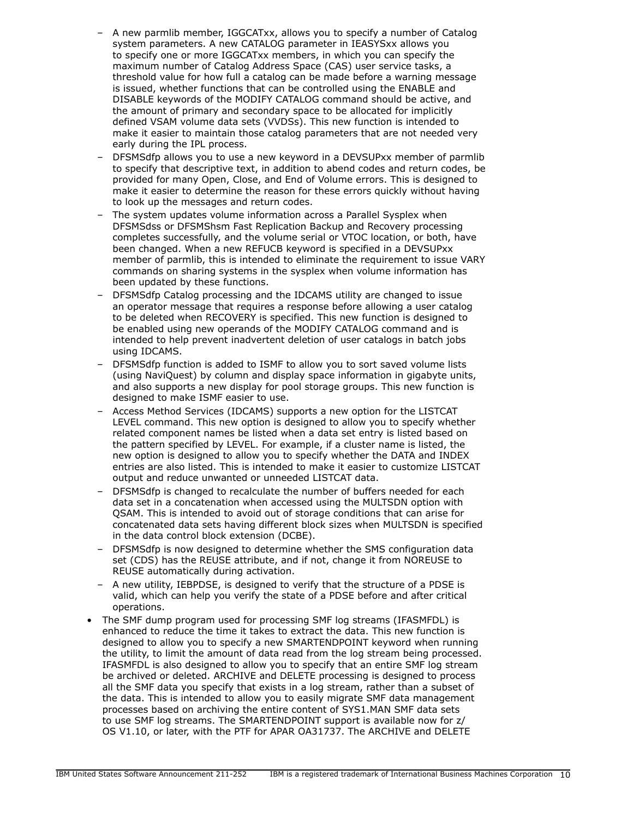- A new parmlib member, IGGCATxx, allows you to specify a number of Catalog system parameters. A new CATALOG parameter in IEASYSxx allows you to specify one or more IGGCATxx members, in which you can specify the maximum number of Catalog Address Space (CAS) user service tasks, a threshold value for how full a catalog can be made before a warning message is issued, whether functions that can be controlled using the ENABLE and DISABLE keywords of the MODIFY CATALOG command should be active, and the amount of primary and secondary space to be allocated for implicitly defined VSAM volume data sets (VVDSs). This new function is intended to make it easier to maintain those catalog parameters that are not needed very early during the IPL process.
- DFSMSdfp allows you to use a new keyword in a DEVSUPxx member of parmlib to specify that descriptive text, in addition to abend codes and return codes, be provided for many Open, Close, and End of Volume errors. This is designed to make it easier to determine the reason for these errors quickly without having to look up the messages and return codes.
- The system updates volume information across a Parallel Sysplex when DFSMSdss or DFSMShsm Fast Replication Backup and Recovery processing completes successfully, and the volume serial or VTOC location, or both, have been changed. When a new REFUCB keyword is specified in a DEVSUPxx member of parmlib, this is intended to eliminate the requirement to issue VARY commands on sharing systems in the sysplex when volume information has been updated by these functions.
- DFSMSdfp Catalog processing and the IDCAMS utility are changed to issue an operator message that requires a response before allowing a user catalog to be deleted when RECOVERY is specified. This new function is designed to be enabled using new operands of the MODIFY CATALOG command and is intended to help prevent inadvertent deletion of user catalogs in batch jobs using IDCAMS.
- DFSMSdfp function is added to ISMF to allow you to sort saved volume lists (using NaviQuest) by column and display space information in gigabyte units, and also supports a new display for pool storage groups. This new function is designed to make ISMF easier to use.
- Access Method Services (IDCAMS) supports a new option for the LISTCAT LEVEL command. This new option is designed to allow you to specify whether related component names be listed when a data set entry is listed based on the pattern specified by LEVEL. For example, if a cluster name is listed, the new option is designed to allow you to specify whether the DATA and INDEX entries are also listed. This is intended to make it easier to customize LISTCAT output and reduce unwanted or unneeded LISTCAT data.
- DFSMSdfp is changed to recalculate the number of buffers needed for each data set in a concatenation when accessed using the MULTSDN option with QSAM. This is intended to avoid out of storage conditions that can arise for concatenated data sets having different block sizes when MULTSDN is specified in the data control block extension (DCBE).
- DFSMSdfp is now designed to determine whether the SMS configuration data set (CDS) has the REUSE attribute, and if not, change it from NOREUSE to REUSE automatically during activation.
- A new utility, IEBPDSE, is designed to verify that the structure of a PDSE is valid, which can help you verify the state of a PDSE before and after critical operations.
- The SMF dump program used for processing SMF log streams (IFASMFDL) is enhanced to reduce the time it takes to extract the data. This new function is designed to allow you to specify a new SMARTENDPOINT keyword when running the utility, to limit the amount of data read from the log stream being processed. IFASMFDL is also designed to allow you to specify that an entire SMF log stream be archived or deleted. ARCHIVE and DELETE processing is designed to process all the SMF data you specify that exists in a log stream, rather than a subset of the data. This is intended to allow you to easily migrate SMF data management processes based on archiving the entire content of SYS1.MAN SMF data sets to use SMF log streams. The SMARTENDPOINT support is available now for z/ OS V1.10, or later, with the PTF for APAR OA31737. The ARCHIVE and DELETE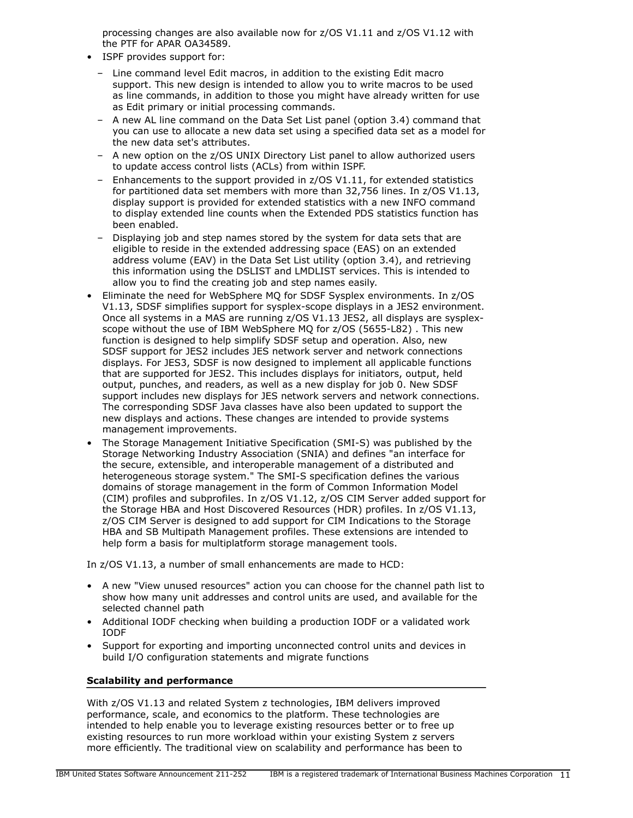processing changes are also available now for z/OS V1.11 and z/OS V1.12 with the PTF for APAR OA34589.

- ISPF provides support for:
	- Line command level Edit macros, in addition to the existing Edit macro support. This new design is intended to allow you to write macros to be used as line commands, in addition to those you might have already written for use as Edit primary or initial processing commands.
	- A new AL line command on the Data Set List panel (option 3.4) command that you can use to allocate a new data set using a specified data set as a model for the new data set's attributes.
	- A new option on the z/OS UNIX Directory List panel to allow authorized users to update access control lists (ACLs) from within ISPF.
	- Enhancements to the support provided in z/OS V1.11, for extended statistics for partitioned data set members with more than 32,756 lines. In z/OS V1.13, display support is provided for extended statistics with a new INFO command to display extended line counts when the Extended PDS statistics function has been enabled.
	- Displaying job and step names stored by the system for data sets that are eligible to reside in the extended addressing space (EAS) on an extended address volume (EAV) in the Data Set List utility (option 3.4), and retrieving this information using the DSLIST and LMDLIST services. This is intended to allow you to find the creating job and step names easily.
- Eliminate the need for WebSphere MQ for SDSF Sysplex environments. In z/OS V1.13, SDSF simplifies support for sysplex-scope displays in a JES2 environment. Once all systems in a MAS are running z/OS V1.13 JES2, all displays are sysplexscope without the use of IBM WebSphere MQ for z/OS (5655-L82) . This new function is designed to help simplify SDSF setup and operation. Also, new SDSF support for JES2 includes JES network server and network connections displays. For JES3, SDSF is now designed to implement all applicable functions that are supported for JES2. This includes displays for initiators, output, held output, punches, and readers, as well as a new display for job 0. New SDSF support includes new displays for JES network servers and network connections. The corresponding SDSF Java classes have also been updated to support the new displays and actions. These changes are intended to provide systems management improvements.
- The Storage Management Initiative Specification (SMI-S) was published by the Storage Networking Industry Association (SNIA) and defines "an interface for the secure, extensible, and interoperable management of a distributed and heterogeneous storage system." The SMI-S specification defines the various domains of storage management in the form of Common Information Model (CIM) profiles and subprofiles. In z/OS V1.12, z/OS CIM Server added support for the Storage HBA and Host Discovered Resources (HDR) profiles. In z/OS V1.13, z/OS CIM Server is designed to add support for CIM Indications to the Storage HBA and SB Multipath Management profiles. These extensions are intended to help form a basis for multiplatform storage management tools.

In z/OS V1.13, a number of small enhancements are made to HCD:

- A new "View unused resources" action you can choose for the channel path list to show how many unit addresses and control units are used, and available for the selected channel path
- Additional IODF checking when building a production IODF or a validated work IODF
- Support for exporting and importing unconnected control units and devices in build I/O configuration statements and migrate functions

# Scalability and performance

With z/OS V1.13 and related System z technologies, IBM delivers improved performance, scale, and economics to the platform. These technologies are intended to help enable you to leverage existing resources better or to free up existing resources to run more workload within your existing System z servers more efficiently. The traditional view on scalability and performance has been to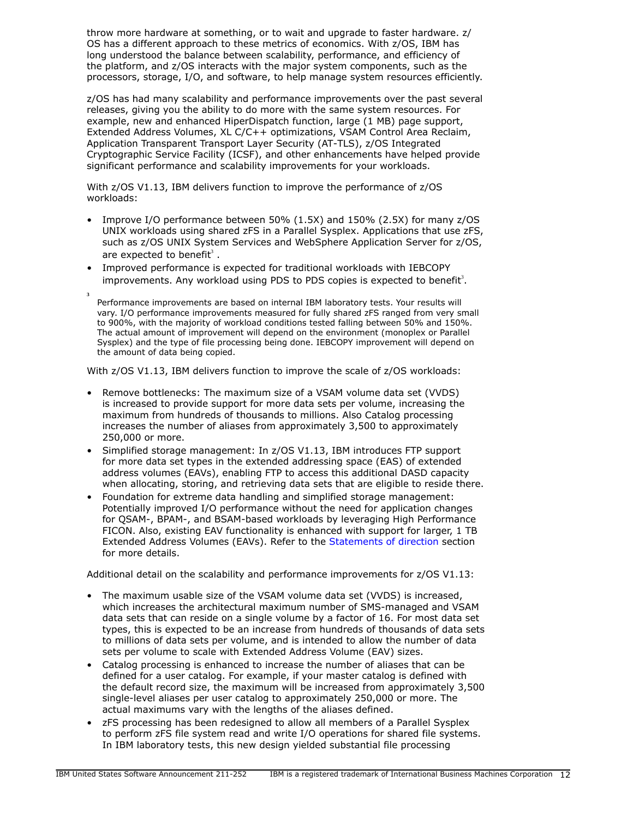throw more hardware at something, or to wait and upgrade to faster hardware. z/ OS has a different approach to these metrics of economics. With z/OS, IBM has long understood the balance between scalability, performance, and efficiency of the platform, and z/OS interacts with the major system components, such as the processors, storage, I/O, and software, to help manage system resources efficiently.

z/OS has had many scalability and performance improvements over the past several releases, giving you the ability to do more with the same system resources. For example, new and enhanced HiperDispatch function, large (1 MB) page support, Extended Address Volumes, XL C/C++ optimizations, VSAM Control Area Reclaim, Application Transparent Transport Layer Security (AT-TLS), z/OS Integrated Cryptographic Service Facility (ICSF), and other enhancements have helped provide significant performance and scalability improvements for your workloads.

With z/OS V1.13, IBM delivers function to improve the performance of z/OS workloads:

- Improve I/O performance between 50% (1.5X) and 150% (2.5X) for many z/OS UNIX workloads using shared zFS in a Parallel Sysplex. Applications that use zFS, such as z/OS UNIX System Services and WebSphere Application Server for z/OS, are expected to benefit<sup>3</sup>.
- Improved performance is expected for traditional workloads with IEBCOPY improvements. Any workload using PDS to PDS copies is expected to benefit<sup>3</sup>.
- **3** Performance improvements are based on internal IBM laboratory tests. Your results will vary. I/O performance improvements measured for fully shared zFS ranged from very small to 900%, with the majority of workload conditions tested falling between 50% and 150%. The actual amount of improvement will depend on the environment (monoplex or Parallel Sysplex) and the type of file processing being done. IEBCOPY improvement will depend on the amount of data being copied.

With z/OS V1.13, IBM delivers function to improve the scale of z/OS workloads:

- Remove bottlenecks: The maximum size of a VSAM volume data set (VVDS) is increased to provide support for more data sets per volume, increasing the maximum from hundreds of thousands to millions. Also Catalog processing increases the number of aliases from approximately 3,500 to approximately 250,000 or more.
- Simplified storage management: In z/OS V1.13, IBM introduces FTP support for more data set types in the extended addressing space (EAS) of extended address volumes (EAVs), enabling FTP to access this additional DASD capacity when allocating, storing, and retrieving data sets that are eligible to reside there.
- Foundation for extreme data handling and simplified storage management: Potentially improved I/O performance without the need for application changes for QSAM-, BPAM-, and BSAM-based workloads by leveraging High Performance FICON. Also, existing EAV functionality is enhanced with support for larger, 1 TB Extended Address Volumes (EAVs). Refer to the [Statements of direction](#page-32-0) section for more details.

Additional detail on the scalability and performance improvements for z/OS V1.13:

- The maximum usable size of the VSAM volume data set (VVDS) is increased, which increases the architectural maximum number of SMS-managed and VSAM data sets that can reside on a single volume by a factor of 16. For most data set types, this is expected to be an increase from hundreds of thousands of data sets to millions of data sets per volume, and is intended to allow the number of data sets per volume to scale with Extended Address Volume (EAV) sizes.
- Catalog processing is enhanced to increase the number of aliases that can be defined for a user catalog. For example, if your master catalog is defined with the default record size, the maximum will be increased from approximately 3,500 single-level aliases per user catalog to approximately 250,000 or more. The actual maximums vary with the lengths of the aliases defined.
- zFS processing has been redesigned to allow all members of a Parallel Sysplex to perform zFS file system read and write I/O operations for shared file systems. In IBM laboratory tests, this new design yielded substantial file processing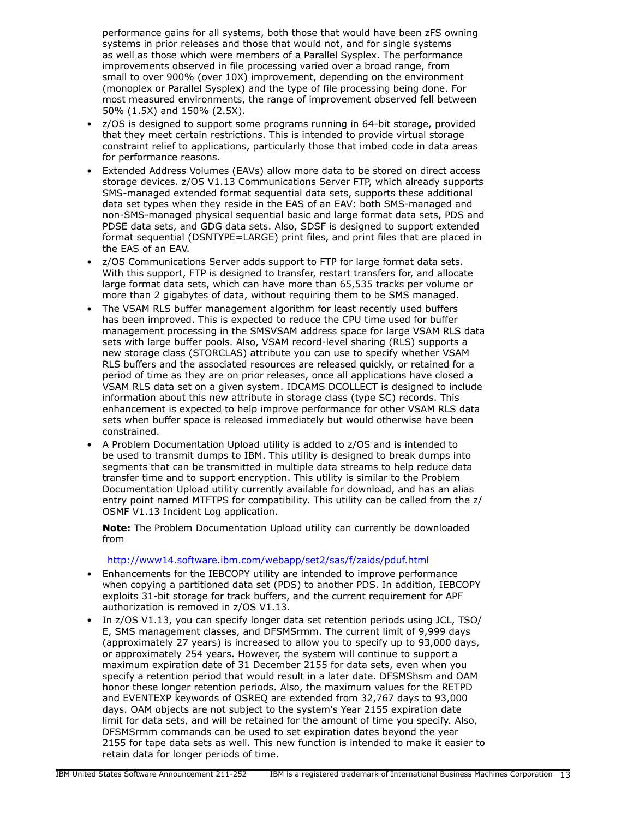performance gains for all systems, both those that would have been zFS owning systems in prior releases and those that would not, and for single systems as well as those which were members of a Parallel Sysplex. The performance improvements observed in file processing varied over a broad range, from small to over 900% (over 10X) improvement, depending on the environment (monoplex or Parallel Sysplex) and the type of file processing being done. For most measured environments, the range of improvement observed fell between 50% (1.5X) and 150% (2.5X).

- z/OS is designed to support some programs running in 64-bit storage, provided that they meet certain restrictions. This is intended to provide virtual storage constraint relief to applications, particularly those that imbed code in data areas for performance reasons.
- Extended Address Volumes (EAVs) allow more data to be stored on direct access storage devices. z/OS V1.13 Communications Server FTP, which already supports SMS-managed extended format sequential data sets, supports these additional data set types when they reside in the EAS of an EAV: both SMS-managed and non-SMS-managed physical sequential basic and large format data sets, PDS and PDSE data sets, and GDG data sets. Also, SDSF is designed to support extended format sequential (DSNTYPE=LARGE) print files, and print files that are placed in the EAS of an EAV.
- z/OS Communications Server adds support to FTP for large format data sets. With this support, FTP is designed to transfer, restart transfers for, and allocate large format data sets, which can have more than 65,535 tracks per volume or more than 2 gigabytes of data, without requiring them to be SMS managed.
- The VSAM RLS buffer management algorithm for least recently used buffers has been improved. This is expected to reduce the CPU time used for buffer management processing in the SMSVSAM address space for large VSAM RLS data sets with large buffer pools. Also, VSAM record-level sharing (RLS) supports a new storage class (STORCLAS) attribute you can use to specify whether VSAM RLS buffers and the associated resources are released quickly, or retained for a period of time as they are on prior releases, once all applications have closed a VSAM RLS data set on a given system. IDCAMS DCOLLECT is designed to include information about this new attribute in storage class (type SC) records. This enhancement is expected to help improve performance for other VSAM RLS data sets when buffer space is released immediately but would otherwise have been constrained.
- A Problem Documentation Upload utility is added to z/OS and is intended to be used to transmit dumps to IBM. This utility is designed to break dumps into segments that can be transmitted in multiple data streams to help reduce data transfer time and to support encryption. This utility is similar to the Problem Documentation Upload utility currently available for download, and has an alias entry point named MTFTPS for compatibility. This utility can be called from the z/ OSMF V1.13 Incident Log application.

Note: The Problem Documentation Upload utility can currently be downloaded from

# <http://www14.software.ibm.com/webapp/set2/sas/f/zaids/pduf.html>

- Enhancements for the IEBCOPY utility are intended to improve performance when copying a partitioned data set (PDS) to another PDS. In addition, IEBCOPY exploits 31-bit storage for track buffers, and the current requirement for APF authorization is removed in z/OS V1.13.
- In z/OS V1.13, you can specify longer data set retention periods using JCL, TSO/ E, SMS management classes, and DFSMSrmm. The current limit of 9,999 days (approximately 27 years) is increased to allow you to specify up to 93,000 days, or approximately 254 years. However, the system will continue to support a maximum expiration date of 31 December 2155 for data sets, even when you specify a retention period that would result in a later date. DFSMShsm and OAM honor these longer retention periods. Also, the maximum values for the RETPD and EVENTEXP keywords of OSREQ are extended from 32,767 days to 93,000 days. OAM objects are not subject to the system's Year 2155 expiration date limit for data sets, and will be retained for the amount of time you specify. Also, DFSMSrmm commands can be used to set expiration dates beyond the year 2155 for tape data sets as well. This new function is intended to make it easier to retain data for longer periods of time.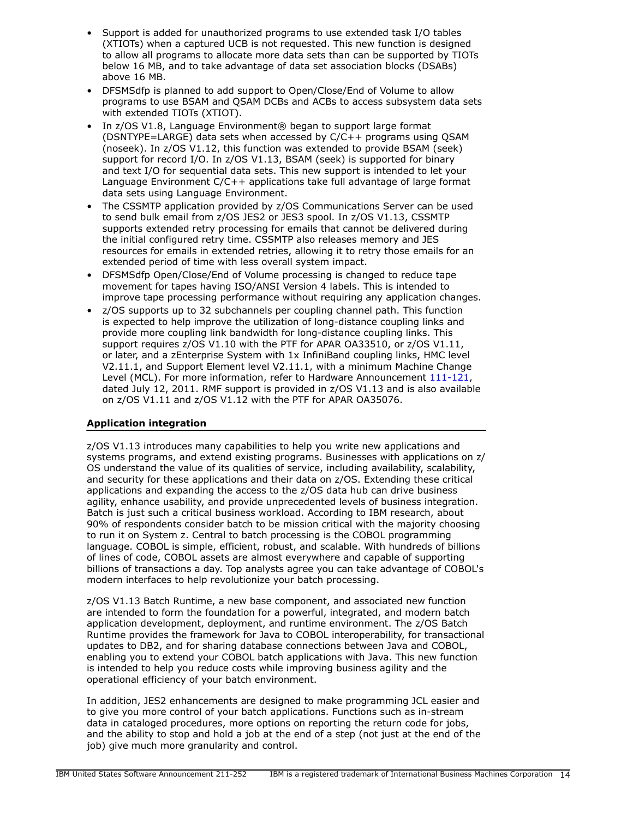- Support is added for unauthorized programs to use extended task I/O tables (XTIOTs) when a captured UCB is not requested. This new function is designed to allow all programs to allocate more data sets than can be supported by TIOTs below 16 MB, and to take advantage of data set association blocks (DSABs) above 16 MB.
- DFSMSdfp is planned to add support to Open/Close/End of Volume to allow programs to use BSAM and QSAM DCBs and ACBs to access subsystem data sets with extended TIOTs (XTIOT).
- In z/OS V1.8, Language Environment® began to support large format (DSNTYPE=LARGE) data sets when accessed by C/C++ programs using QSAM (noseek). In z/OS V1.12, this function was extended to provide BSAM (seek) support for record I/O. In z/OS V1.13, BSAM (seek) is supported for binary and text I/O for sequential data sets. This new support is intended to let your Language Environment C/C++ applications take full advantage of large format data sets using Language Environment.
- The CSSMTP application provided by z/OS Communications Server can be used to send bulk email from z/OS JES2 or JES3 spool. In z/OS V1.13, CSSMTP supports extended retry processing for emails that cannot be delivered during the initial configured retry time. CSSMTP also releases memory and JES resources for emails in extended retries, allowing it to retry those emails for an extended period of time with less overall system impact.
- DFSMSdfp Open/Close/End of Volume processing is changed to reduce tape movement for tapes having ISO/ANSI Version 4 labels. This is intended to improve tape processing performance without requiring any application changes.
- z/OS supports up to 32 subchannels per coupling channel path. This function is expected to help improve the utilization of long-distance coupling links and provide more coupling link bandwidth for long-distance coupling links. This support requires z/OS V1.10 with the PTF for APAR OA33510, or z/OS V1.11, or later, and a zEnterprise System with 1x InfiniBand coupling links, HMC level V2.11.1, and Support Element level V2.11.1, with a minimum Machine Change Level (MCL). For more information, refer to Hardware Announcement [111-121](http://www.ibm.com/common/ssi/cgi-bin/ssialias?infotype=an&subtype=ca&appname=gpateam&supplier=897&letternum=ENUS111-121), dated July 12, 2011. RMF support is provided in z/OS V1.13 and is also available on z/OS V1.11 and z/OS V1.12 with the PTF for APAR OA35076.

# <span id="page-13-0"></span>Application integration

z/OS V1.13 introduces many capabilities to help you write new applications and systems programs, and extend existing programs. Businesses with applications on z/ OS understand the value of its qualities of service, including availability, scalability, and security for these applications and their data on z/OS. Extending these critical applications and expanding the access to the z/OS data hub can drive business agility, enhance usability, and provide unprecedented levels of business integration. Batch is just such a critical business workload. According to IBM research, about 90% of respondents consider batch to be mission critical with the majority choosing to run it on System z. Central to batch processing is the COBOL programming language. COBOL is simple, efficient, robust, and scalable. With hundreds of billions of lines of code, COBOL assets are almost everywhere and capable of supporting billions of transactions a day. Top analysts agree you can take advantage of COBOL's modern interfaces to help revolutionize your batch processing.

z/OS V1.13 Batch Runtime, a new base component, and associated new function are intended to form the foundation for a powerful, integrated, and modern batch application development, deployment, and runtime environment. The z/OS Batch Runtime provides the framework for Java to COBOL interoperability, for transactional updates to DB2, and for sharing database connections between Java and COBOL, enabling you to extend your COBOL batch applications with Java. This new function is intended to help you reduce costs while improving business agility and the operational efficiency of your batch environment.

In addition, JES2 enhancements are designed to make programming JCL easier and to give you more control of your batch applications. Functions such as in-stream data in cataloged procedures, more options on reporting the return code for jobs, and the ability to stop and hold a job at the end of a step (not just at the end of the job) give much more granularity and control.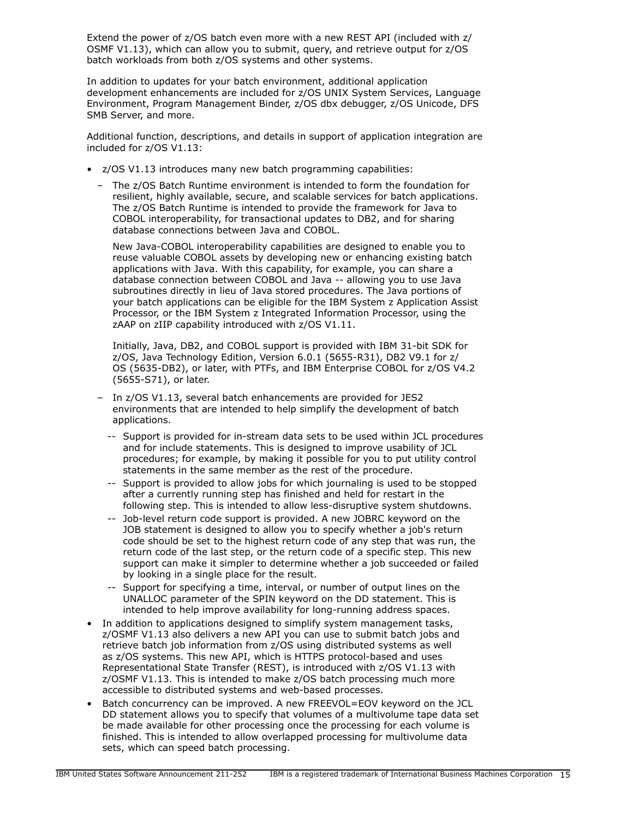Extend the power of z/OS batch even more with a new REST API (included with z/ OSMF V1.13), which can allow you to submit, query, and retrieve output for z/OS batch workloads from both z/OS systems and other systems.

In addition to updates for your batch environment, additional application development enhancements are included for z/OS UNIX System Services, Language Environment, Program Management Binder, z/OS dbx debugger, z/OS Unicode, DFS SMB Server, and more.

Additional function, descriptions, and details in support of application integration are included for z/OS V1.13:

- z/OS V1.13 introduces many new batch programming capabilities:
	- The z/OS Batch Runtime environment is intended to form the foundation for resilient, highly available, secure, and scalable services for batch applications. The z/OS Batch Runtime is intended to provide the framework for Java to COBOL interoperability, for transactional updates to DB2, and for sharing database connections between Java and COBOL.

New Java-COBOL interoperability capabilities are designed to enable you to reuse valuable COBOL assets by developing new or enhancing existing batch applications with Java. With this capability, for example, you can share a database connection between COBOL and Java -- allowing you to use Java subroutines directly in lieu of Java stored procedures. The Java portions of your batch applications can be eligible for the IBM System z Application Assist Processor, or the IBM System z Integrated Information Processor, using the zAAP on zIIP capability introduced with z/OS V1.11.

Initially, Java, DB2, and COBOL support is provided with IBM 31-bit SDK for z/OS, Java Technology Edition, Version 6.0.1 (5655-R31), DB2 V9.1 for z/ OS (5635-DB2), or later, with PTFs, and IBM Enterprise COBOL for z/OS V4.2 (5655-S71), or later.

- In z/OS V1.13, several batch enhancements are provided for JES2 environments that are intended to help simplify the development of batch applications.
	- -- Support is provided for in-stream data sets to be used within JCL procedures and for include statements. This is designed to improve usability of JCL procedures; for example, by making it possible for you to put utility control statements in the same member as the rest of the procedure.
	- -- Support is provided to allow jobs for which journaling is used to be stopped after a currently running step has finished and held for restart in the following step. This is intended to allow less-disruptive system shutdowns.
	- -- Job-level return code support is provided. A new JOBRC keyword on the JOB statement is designed to allow you to specify whether a job's return code should be set to the highest return code of any step that was run, the return code of the last step, or the return code of a specific step. This new support can make it simpler to determine whether a job succeeded or failed by looking in a single place for the result.
	- Support for specifying a time, interval, or number of output lines on the UNALLOC parameter of the SPIN keyword on the DD statement. This is intended to help improve availability for long-running address spaces.
- In addition to applications designed to simplify system management tasks, z/OSMF V1.13 also delivers a new API you can use to submit batch jobs and retrieve batch job information from z/OS using distributed systems as well as z/OS systems. This new API, which is HTTPS protocol-based and uses Representational State Transfer (REST), is introduced with z/OS V1.13 with z/OSMF V1.13. This is intended to make z/OS batch processing much more accessible to distributed systems and web-based processes.
- Batch concurrency can be improved. A new FREEVOL=EOV keyword on the JCL DD statement allows you to specify that volumes of a multivolume tape data set be made available for other processing once the processing for each volume is finished. This is intended to allow overlapped processing for multivolume data sets, which can speed batch processing.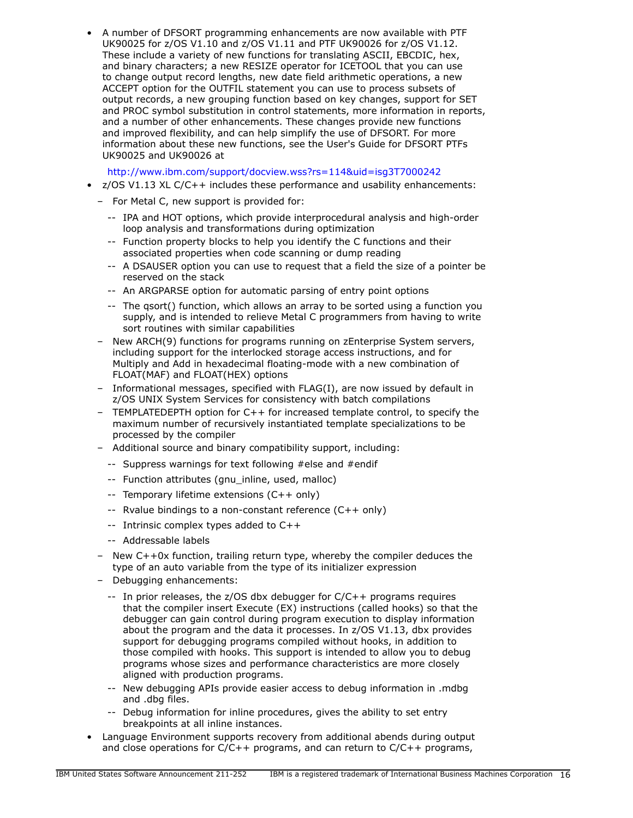• A number of DFSORT programming enhancements are now available with PTF UK90025 for z/OS V1.10 and z/OS V1.11 and PTF UK90026 for z/OS V1.12. These include a variety of new functions for translating ASCII, EBCDIC, hex, and binary characters; a new RESIZE operator for ICETOOL that you can use to change output record lengths, new date field arithmetic operations, a new ACCEPT option for the OUTFIL statement you can use to process subsets of output records, a new grouping function based on key changes, support for SET and PROC symbol substitution in control statements, more information in reports, and a number of other enhancements. These changes provide new functions and improved flexibility, and can help simplify the use of DFSORT. For more information about these new functions, see the User's Guide for DFSORT PTFs UK90025 and UK90026 at

<http://www.ibm.com/support/docview.wss?rs=114&uid=isg3T7000242>

- $z/OS$  V1.13 XL  $C/C++$  includes these performance and usability enhancements:
- For Metal C, new support is provided for:
	- -- IPA and HOT options, which provide interprocedural analysis and high-order loop analysis and transformations during optimization
	- -- Function property blocks to help you identify the C functions and their associated properties when code scanning or dump reading
	- -- A DSAUSER option you can use to request that a field the size of a pointer be reserved on the stack
	- -- An ARGPARSE option for automatic parsing of entry point options
	- -- The qsort() function, which allows an array to be sorted using a function you supply, and is intended to relieve Metal C programmers from having to write sort routines with similar capabilities
- New ARCH(9) functions for programs running on zEnterprise System servers, including support for the interlocked storage access instructions, and for Multiply and Add in hexadecimal floating-mode with a new combination of FLOAT(MAF) and FLOAT(HEX) options
- Informational messages, specified with FLAG(I), are now issued by default in z/OS UNIX System Services for consistency with batch compilations
- TEMPLATEDEPTH option for C++ for increased template control, to specify the maximum number of recursively instantiated template specializations to be processed by the compiler
- Additional source and binary compatibility support, including:
	- -- Suppress warnings for text following #else and #endif
	- -- Function attributes (gnu\_inline, used, malloc)
	- -- Temporary lifetime extensions (C++ only)
	- -- Rvalue bindings to a non-constant reference (C++ only)
	- -- Intrinsic complex types added to C++
	- -- Addressable labels
- New C++0x function, trailing return type, whereby the compiler deduces the type of an auto variable from the type of its initializer expression
- Debugging enhancements:
	- -- In prior releases, the z/OS dbx debugger for C/C++ programs requires that the compiler insert Execute (EX) instructions (called hooks) so that the debugger can gain control during program execution to display information about the program and the data it processes. In z/OS V1.13, dbx provides support for debugging programs compiled without hooks, in addition to those compiled with hooks. This support is intended to allow you to debug programs whose sizes and performance characteristics are more closely aligned with production programs.
	- -- New debugging APIs provide easier access to debug information in .mdbg and .dbg files.
	- -- Debug information for inline procedures, gives the ability to set entry breakpoints at all inline instances.
- Language Environment supports recovery from additional abends during output and close operations for C/C++ programs, and can return to C/C++ programs,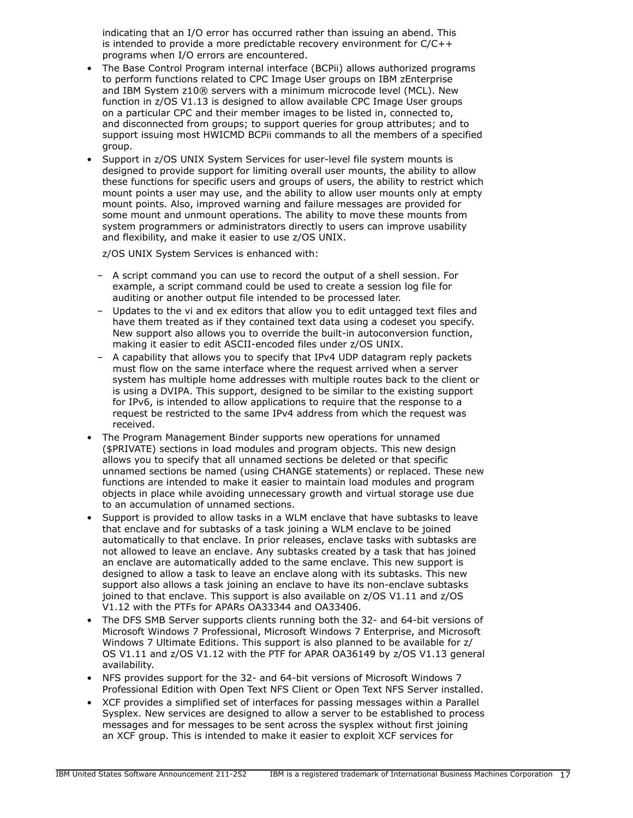indicating that an I/O error has occurred rather than issuing an abend. This is intended to provide a more predictable recovery environment for C/C++ programs when I/O errors are encountered.

- The Base Control Program internal interface (BCPii) allows authorized programs to perform functions related to CPC Image User groups on IBM zEnterprise and IBM System z10® servers with a minimum microcode level (MCL). New function in z/OS V1.13 is designed to allow available CPC Image User groups on a particular CPC and their member images to be listed in, connected to, and disconnected from groups; to support queries for group attributes; and to support issuing most HWICMD BCPii commands to all the members of a specified group.
- Support in z/OS UNIX System Services for user-level file system mounts is designed to provide support for limiting overall user mounts, the ability to allow these functions for specific users and groups of users, the ability to restrict which mount points a user may use, and the ability to allow user mounts only at empty mount points. Also, improved warning and failure messages are provided for some mount and unmount operations. The ability to move these mounts from system programmers or administrators directly to users can improve usability and flexibility, and make it easier to use z/OS UNIX.

z/OS UNIX System Services is enhanced with:

- A script command you can use to record the output of a shell session. For example, a script command could be used to create a session log file for auditing or another output file intended to be processed later.
- Updates to the vi and ex editors that allow you to edit untagged text files and have them treated as if they contained text data using a codeset you specify. New support also allows you to override the built-in autoconversion function, making it easier to edit ASCII-encoded files under z/OS UNIX.
- A capability that allows you to specify that IPv4 UDP datagram reply packets must flow on the same interface where the request arrived when a server system has multiple home addresses with multiple routes back to the client or is using a DVIPA. This support, designed to be similar to the existing support for IPv6, is intended to allow applications to require that the response to a request be restricted to the same IPv4 address from which the request was received.
- The Program Management Binder supports new operations for unnamed (\$PRIVATE) sections in load modules and program objects. This new design allows you to specify that all unnamed sections be deleted or that specific unnamed sections be named (using CHANGE statements) or replaced. These new functions are intended to make it easier to maintain load modules and program objects in place while avoiding unnecessary growth and virtual storage use due to an accumulation of unnamed sections.
- Support is provided to allow tasks in a WLM enclave that have subtasks to leave that enclave and for subtasks of a task joining a WLM enclave to be joined automatically to that enclave. In prior releases, enclave tasks with subtasks are not allowed to leave an enclave. Any subtasks created by a task that has joined an enclave are automatically added to the same enclave. This new support is designed to allow a task to leave an enclave along with its subtasks. This new support also allows a task joining an enclave to have its non-enclave subtasks joined to that enclave. This support is also available on z/OS V1.11 and z/OS V1.12 with the PTFs for APARs OA33344 and OA33406.
- The DFS SMB Server supports clients running both the 32- and 64-bit versions of Microsoft Windows 7 Professional, Microsoft Windows 7 Enterprise, and Microsoft Windows 7 Ultimate Editions. This support is also planned to be available for z/ OS V1.11 and z/OS V1.12 with the PTF for APAR OA36149 by z/OS V1.13 general availability.
- NFS provides support for the 32- and 64-bit versions of Microsoft Windows 7 Professional Edition with Open Text NFS Client or Open Text NFS Server installed.
- XCF provides a simplified set of interfaces for passing messages within a Parallel Sysplex. New services are designed to allow a server to be established to process messages and for messages to be sent across the sysplex without first joining an XCF group. This is intended to make it easier to exploit XCF services for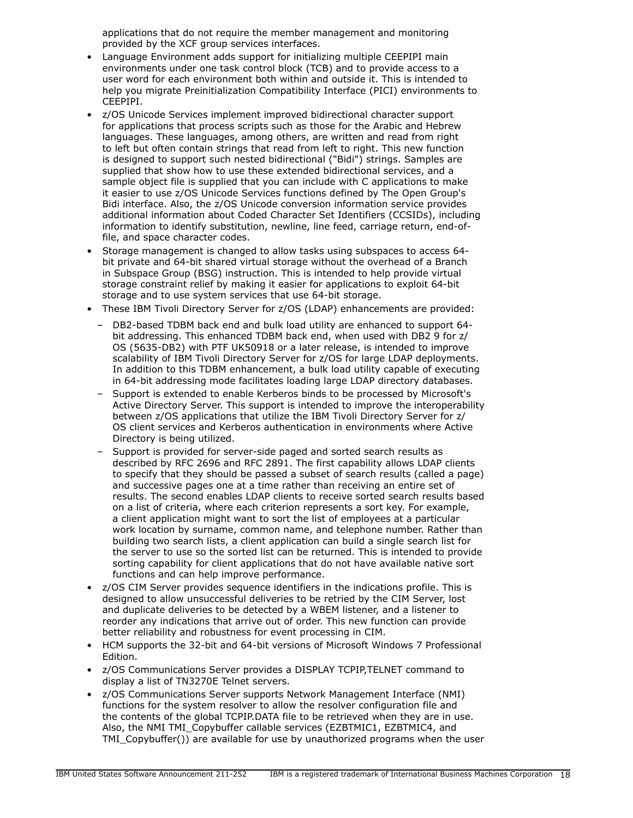applications that do not require the member management and monitoring provided by the XCF group services interfaces.

- Language Environment adds support for initializing multiple CEEPIPI main environments under one task control block (TCB) and to provide access to a user word for each environment both within and outside it. This is intended to help you migrate Preinitialization Compatibility Interface (PICI) environments to CEEPIPI.
- z/OS Unicode Services implement improved bidirectional character support for applications that process scripts such as those for the Arabic and Hebrew languages. These languages, among others, are written and read from right to left but often contain strings that read from left to right. This new function is designed to support such nested bidirectional ("Bidi") strings. Samples are supplied that show how to use these extended bidirectional services, and a sample object file is supplied that you can include with C applications to make it easier to use z/OS Unicode Services functions defined by The Open Group's Bidi interface. Also, the z/OS Unicode conversion information service provides additional information about Coded Character Set Identifiers (CCSIDs), including information to identify substitution, newline, line feed, carriage return, end-offile, and space character codes.
- Storage management is changed to allow tasks using subspaces to access 64 bit private and 64-bit shared virtual storage without the overhead of a Branch in Subspace Group (BSG) instruction. This is intended to help provide virtual storage constraint relief by making it easier for applications to exploit 64-bit storage and to use system services that use 64-bit storage.
- These IBM Tivoli Directory Server for z/OS (LDAP) enhancements are provided:
	- DB2-based TDBM back end and bulk load utility are enhanced to support 64 bit addressing. This enhanced TDBM back end, when used with DB2 9 for z/ OS (5635-DB2) with PTF UK50918 or a later release, is intended to improve scalability of IBM Tivoli Directory Server for z/OS for large LDAP deployments. In addition to this TDBM enhancement, a bulk load utility capable of executing in 64-bit addressing mode facilitates loading large LDAP directory databases.
	- Support is extended to enable Kerberos binds to be processed by Microsoft's Active Directory Server. This support is intended to improve the interoperability between z/OS applications that utilize the IBM Tivoli Directory Server for z/ OS client services and Kerberos authentication in environments where Active Directory is being utilized.
	- Support is provided for server-side paged and sorted search results as described by RFC 2696 and RFC 2891. The first capability allows LDAP clients to specify that they should be passed a subset of search results (called a page) and successive pages one at a time rather than receiving an entire set of results. The second enables LDAP clients to receive sorted search results based on a list of criteria, where each criterion represents a sort key. For example, a client application might want to sort the list of employees at a particular work location by surname, common name, and telephone number. Rather than building two search lists, a client application can build a single search list for the server to use so the sorted list can be returned. This is intended to provide sorting capability for client applications that do not have available native sort functions and can help improve performance.
- z/OS CIM Server provides sequence identifiers in the indications profile. This is designed to allow unsuccessful deliveries to be retried by the CIM Server, lost and duplicate deliveries to be detected by a WBEM listener, and a listener to reorder any indications that arrive out of order. This new function can provide better reliability and robustness for event processing in CIM.
- HCM supports the 32-bit and 64-bit versions of Microsoft Windows 7 Professional Edition.
- z/OS Communications Server provides a DISPLAY TCPIP,TELNET command to display a list of TN3270E Telnet servers.
- z/OS Communications Server supports Network Management Interface (NMI) functions for the system resolver to allow the resolver configuration file and the contents of the global TCPIP.DATA file to be retrieved when they are in use. Also, the NMI TMI\_Copybuffer callable services (EZBTMIC1, EZBTMIC4, and TMI\_Copybuffer()) are available for use by unauthorized programs when the user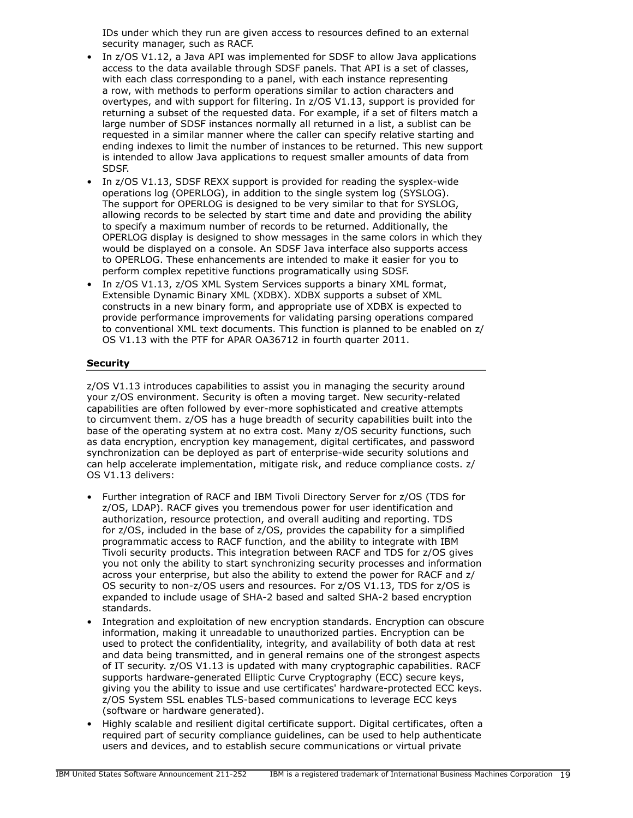IDs under which they run are given access to resources defined to an external security manager, such as RACF.

- In z/OS V1.12, a Java API was implemented for SDSF to allow Java applications access to the data available through SDSF panels. That API is a set of classes, with each class corresponding to a panel, with each instance representing a row, with methods to perform operations similar to action characters and overtypes, and with support for filtering. In z/OS V1.13, support is provided for returning a subset of the requested data. For example, if a set of filters match a large number of SDSF instances normally all returned in a list, a sublist can be requested in a similar manner where the caller can specify relative starting and ending indexes to limit the number of instances to be returned. This new support is intended to allow Java applications to request smaller amounts of data from SDSF.
- In z/OS V1.13, SDSF REXX support is provided for reading the sysplex-wide operations log (OPERLOG), in addition to the single system log (SYSLOG). The support for OPERLOG is designed to be very similar to that for SYSLOG, allowing records to be selected by start time and date and providing the ability to specify a maximum number of records to be returned. Additionally, the OPERLOG display is designed to show messages in the same colors in which they would be displayed on a console. An SDSF Java interface also supports access to OPERLOG. These enhancements are intended to make it easier for you to perform complex repetitive functions programatically using SDSF.
- In z/OS V1.13, z/OS XML System Services supports a binary XML format, Extensible Dynamic Binary XML (XDBX). XDBX supports a subset of XML constructs in a new binary form, and appropriate use of XDBX is expected to provide performance improvements for validating parsing operations compared to conventional XML text documents. This function is planned to be enabled on z/ OS V1.13 with the PTF for APAR OA36712 in fourth quarter 2011.

## **Security**

z/OS V1.13 introduces capabilities to assist you in managing the security around your z/OS environment. Security is often a moving target. New security-related capabilities are often followed by ever-more sophisticated and creative attempts to circumvent them. z/OS has a huge breadth of security capabilities built into the base of the operating system at no extra cost. Many z/OS security functions, such as data encryption, encryption key management, digital certificates, and password synchronization can be deployed as part of enterprise-wide security solutions and can help accelerate implementation, mitigate risk, and reduce compliance costs. z/ OS V1.13 delivers:

- Further integration of RACF and IBM Tivoli Directory Server for z/OS (TDS for z/OS, LDAP). RACF gives you tremendous power for user identification and authorization, resource protection, and overall auditing and reporting. TDS for z/OS, included in the base of z/OS, provides the capability for a simplified programmatic access to RACF function, and the ability to integrate with IBM Tivoli security products. This integration between RACF and TDS for z/OS gives you not only the ability to start synchronizing security processes and information across your enterprise, but also the ability to extend the power for RACF and z/ OS security to non-z/OS users and resources. For z/OS V1.13, TDS for z/OS is expanded to include usage of SHA-2 based and salted SHA-2 based encryption standards.
- Integration and exploitation of new encryption standards. Encryption can obscure information, making it unreadable to unauthorized parties. Encryption can be used to protect the confidentiality, integrity, and availability of both data at rest and data being transmitted, and in general remains one of the strongest aspects of IT security. z/OS V1.13 is updated with many cryptographic capabilities. RACF supports hardware-generated Elliptic Curve Cryptography (ECC) secure keys, giving you the ability to issue and use certificates' hardware-protected ECC keys. z/OS System SSL enables TLS-based communications to leverage ECC keys (software or hardware generated).
- Highly scalable and resilient digital certificate support. Digital certificates, often a required part of security compliance guidelines, can be used to help authenticate users and devices, and to establish secure communications or virtual private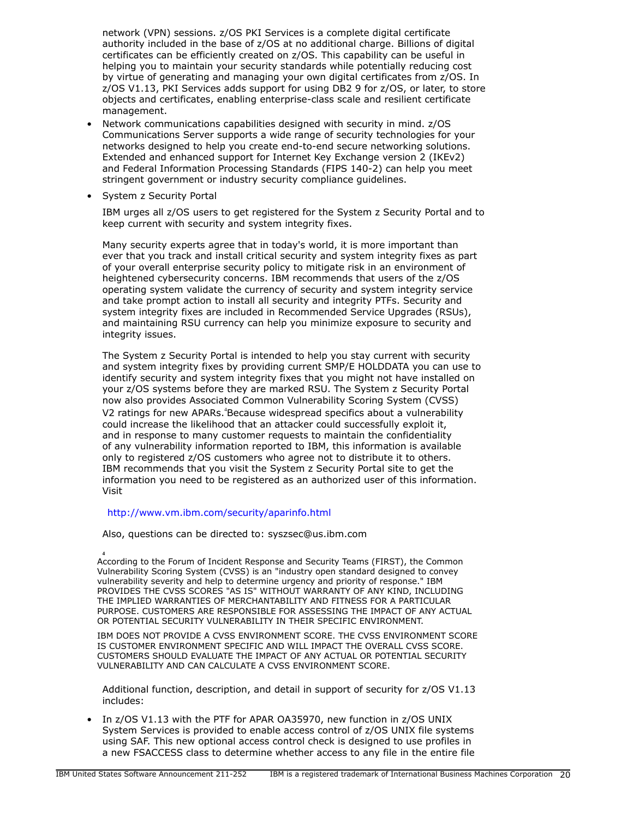network (VPN) sessions. z/OS PKI Services is a complete digital certificate authority included in the base of z/OS at no additional charge. Billions of digital certificates can be efficiently created on z/OS. This capability can be useful in helping you to maintain your security standards while potentially reducing cost by virtue of generating and managing your own digital certificates from z/OS. In z/OS V1.13, PKI Services adds support for using DB2 9 for z/OS, or later, to store objects and certificates, enabling enterprise-class scale and resilient certificate management.

- Network communications capabilities designed with security in mind. z/OS Communications Server supports a wide range of security technologies for your networks designed to help you create end-to-end secure networking solutions. Extended and enhanced support for Internet Key Exchange version 2 (IKEv2) and Federal Information Processing Standards (FIPS 140-2) can help you meet stringent government or industry security compliance guidelines.
- System z Security Portal

IBM urges all z/OS users to get registered for the System z Security Portal and to keep current with security and system integrity fixes.

Many security experts agree that in today's world, it is more important than ever that you track and install critical security and system integrity fixes as part of your overall enterprise security policy to mitigate risk in an environment of heightened cybersecurity concerns. IBM recommends that users of the z/OS operating system validate the currency of security and system integrity service and take prompt action to install all security and integrity PTFs. Security and system integrity fixes are included in Recommended Service Upgrades (RSUs), and maintaining RSU currency can help you minimize exposure to security and integrity issues.

The System z Security Portal is intended to help you stay current with security and system integrity fixes by providing current SMP/E HOLDDATA you can use to identify security and system integrity fixes that you might not have installed on your z/OS systems before they are marked RSU. The System z Security Portal now also provides Associated Common Vulnerability Scoring System (CVSS) V2 ratings for new APARs.<sup>4</sup>Because widespread specifics about a vulnerability could increase the likelihood that an attacker could successfully exploit it, and in response to many customer requests to maintain the confidentiality of any vulnerability information reported to IBM, this information is available only to registered z/OS customers who agree not to distribute it to others. IBM recommends that you visit the System z Security Portal site to get the information you need to be registered as an authorized user of this information. Visit

#### <http://www.vm.ibm.com/security/aparinfo.html>

Also, questions can be directed to: syszsec@us.ibm.com

**4** According to the Forum of Incident Response and Security Teams (FIRST), the Common Vulnerability Scoring System (CVSS) is an "industry open standard designed to convey vulnerability severity and help to determine urgency and priority of response." IBM PROVIDES THE CVSS SCORES "AS IS" WITHOUT WARRANTY OF ANY KIND, INCLUDING THE IMPLIED WARRANTIES OF MERCHANTABILITY AND FITNESS FOR A PARTICULAR PURPOSE. CUSTOMERS ARE RESPONSIBLE FOR ASSESSING THE IMPACT OF ANY ACTUAL OR POTENTIAL SECURITY VULNERABILITY IN THEIR SPECIFIC ENVIRONMENT.

IBM DOES NOT PROVIDE A CVSS ENVIRONMENT SCORE. THE CVSS ENVIRONMENT SCORE IS CUSTOMER ENVIRONMENT SPECIFIC AND WILL IMPACT THE OVERALL CVSS SCORE. CUSTOMERS SHOULD EVALUATE THE IMPACT OF ANY ACTUAL OR POTENTIAL SECURITY VULNERABILITY AND CAN CALCULATE A CVSS ENVIRONMENT SCORE.

Additional function, description, and detail in support of security for z/OS V1.13 includes:

• In z/OS V1.13 with the PTF for APAR OA35970, new function in z/OS UNIX System Services is provided to enable access control of z/OS UNIX file systems using SAF. This new optional access control check is designed to use profiles in a new FSACCESS class to determine whether access to any file in the entire file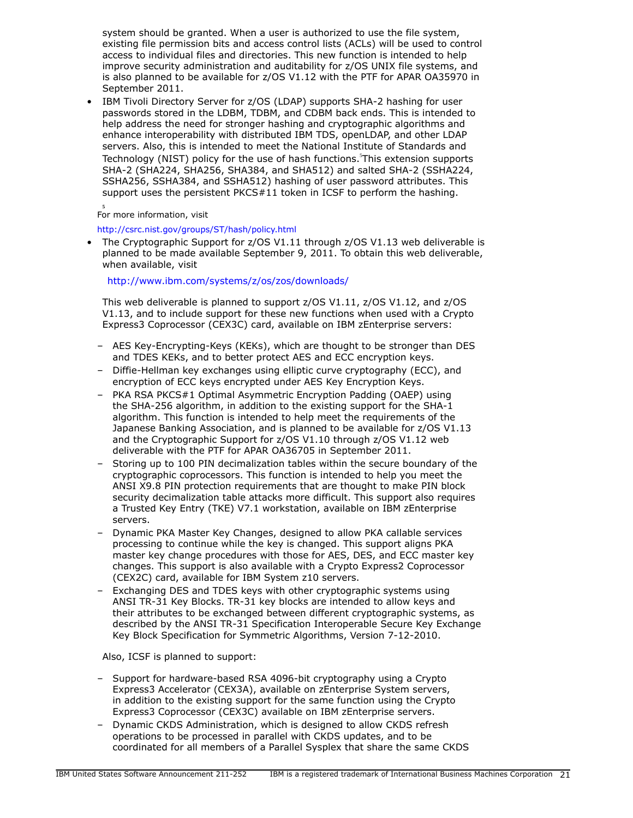system should be granted. When a user is authorized to use the file system, existing file permission bits and access control lists (ACLs) will be used to control access to individual files and directories. This new function is intended to help improve security administration and auditability for z/OS UNIX file systems, and is also planned to be available for z/OS V1.12 with the PTF for APAR OA35970 in September 2011.

• IBM Tivoli Directory Server for z/OS (LDAP) supports SHA-2 hashing for user passwords stored in the LDBM, TDBM, and CDBM back ends. This is intended to help address the need for stronger hashing and cryptographic algorithms and enhance interoperability with distributed IBM TDS, openLDAP, and other LDAP servers. Also, this is intended to meet the National Institute of Standards and Technology (NIST) policy for the use of hash functions. This extension supports SHA-2 (SHA224, SHA256, SHA384, and SHA512) and salted SHA-2 (SSHA224, SSHA256, SSHA384, and SSHA512) hashing of user password attributes. This support uses the persistent PKCS#11 token in ICSF to perform the hashing.

**5** For more information, visit

<http://csrc.nist.gov/groups/ST/hash/policy.html>

• The Cryptographic Support for z/OS V1.11 through z/OS V1.13 web deliverable is planned to be made available September 9, 2011. To obtain this web deliverable, when available, visit

<http://www.ibm.com/systems/z/os/zos/downloads/>

This web deliverable is planned to support z/OS V1.11, z/OS V1.12, and z/OS V1.13, and to include support for these new functions when used with a Crypto Express3 Coprocessor (CEX3C) card, available on IBM zEnterprise servers:

- AES Key-Encrypting-Keys (KEKs), which are thought to be stronger than DES and TDES KEKs, and to better protect AES and ECC encryption keys.
- Diffie-Hellman key exchanges using elliptic curve cryptography (ECC), and encryption of ECC keys encrypted under AES Key Encryption Keys.
- PKA RSA PKCS#1 Optimal Asymmetric Encryption Padding (OAEP) using the SHA-256 algorithm, in addition to the existing support for the SHA-1 algorithm. This function is intended to help meet the requirements of the Japanese Banking Association, and is planned to be available for z/OS V1.13 and the Cryptographic Support for z/OS V1.10 through z/OS V1.12 web deliverable with the PTF for APAR OA36705 in September 2011.
- Storing up to 100 PIN decimalization tables within the secure boundary of the cryptographic coprocessors. This function is intended to help you meet the ANSI X9.8 PIN protection requirements that are thought to make PIN block security decimalization table attacks more difficult. This support also requires a Trusted Key Entry (TKE) V7.1 workstation, available on IBM zEnterprise servers.
- Dynamic PKA Master Key Changes, designed to allow PKA callable services processing to continue while the key is changed. This support aligns PKA master key change procedures with those for AES, DES, and ECC master key changes. This support is also available with a Crypto Express2 Coprocessor (CEX2C) card, available for IBM System z10 servers.
- Exchanging DES and TDES keys with other cryptographic systems using ANSI TR-31 Key Blocks. TR-31 key blocks are intended to allow keys and their attributes to be exchanged between different cryptographic systems, as described by the ANSI TR-31 Specification Interoperable Secure Key Exchange Key Block Specification for Symmetric Algorithms, Version 7-12-2010.

Also, ICSF is planned to support:

- Support for hardware-based RSA 4096-bit cryptography using a Crypto Express3 Accelerator (CEX3A), available on zEnterprise System servers, in addition to the existing support for the same function using the Crypto Express3 Coprocessor (CEX3C) available on IBM zEnterprise servers.
- Dynamic CKDS Administration, which is designed to allow CKDS refresh operations to be processed in parallel with CKDS updates, and to be coordinated for all members of a Parallel Sysplex that share the same CKDS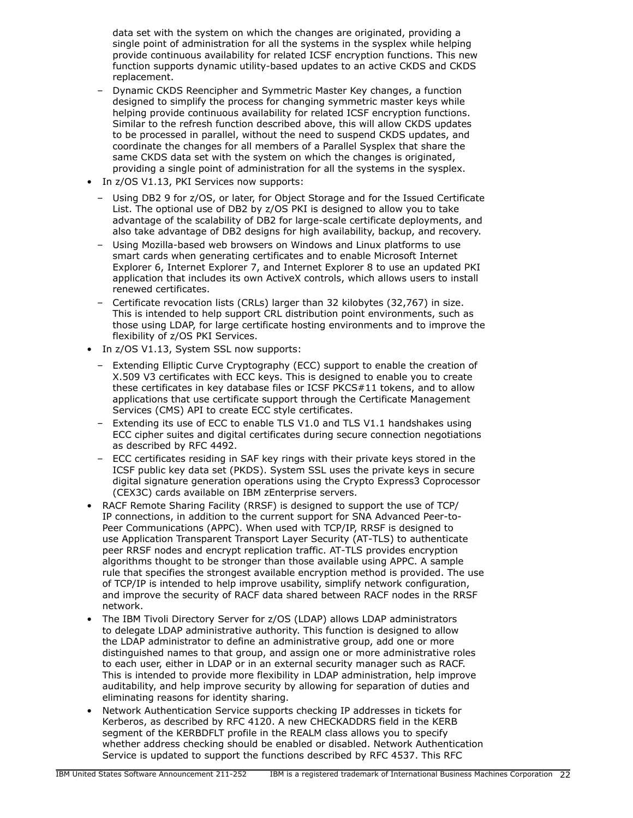data set with the system on which the changes are originated, providing a single point of administration for all the systems in the sysplex while helping provide continuous availability for related ICSF encryption functions. This new function supports dynamic utility-based updates to an active CKDS and CKDS replacement.

- Dynamic CKDS Reencipher and Symmetric Master Key changes, a function designed to simplify the process for changing symmetric master keys while helping provide continuous availability for related ICSF encryption functions. Similar to the refresh function described above, this will allow CKDS updates to be processed in parallel, without the need to suspend CKDS updates, and coordinate the changes for all members of a Parallel Sysplex that share the same CKDS data set with the system on which the changes is originated, providing a single point of administration for all the systems in the sysplex.
- In z/OS V1.13, PKI Services now supports:
	- Using DB2 9 for z/OS, or later, for Object Storage and for the Issued Certificate List. The optional use of DB2 by z/OS PKI is designed to allow you to take advantage of the scalability of DB2 for large-scale certificate deployments, and also take advantage of DB2 designs for high availability, backup, and recovery.
	- Using Mozilla-based web browsers on Windows and Linux platforms to use smart cards when generating certificates and to enable Microsoft Internet Explorer 6, Internet Explorer 7, and Internet Explorer 8 to use an updated PKI application that includes its own ActiveX controls, which allows users to install renewed certificates.
	- Certificate revocation lists (CRLs) larger than 32 kilobytes (32,767) in size. This is intended to help support CRL distribution point environments, such as those using LDAP, for large certificate hosting environments and to improve the flexibility of z/OS PKI Services.
- In z/OS V1.13, System SSL now supports:
	- Extending Elliptic Curve Cryptography (ECC) support to enable the creation of X.509 V3 certificates with ECC keys. This is designed to enable you to create these certificates in key database files or ICSF PKCS#11 tokens, and to allow applications that use certificate support through the Certificate Management Services (CMS) API to create ECC style certificates.
	- Extending its use of ECC to enable TLS V1.0 and TLS V1.1 handshakes using ECC cipher suites and digital certificates during secure connection negotiations as described by RFC 4492.
	- ECC certificates residing in SAF key rings with their private keys stored in the ICSF public key data set (PKDS). System SSL uses the private keys in secure digital signature generation operations using the Crypto Express3 Coprocessor (CEX3C) cards available on IBM zEnterprise servers.
- RACF Remote Sharing Facility (RRSF) is designed to support the use of TCP/ IP connections, in addition to the current support for SNA Advanced Peer-to-Peer Communications (APPC). When used with TCP/IP, RRSF is designed to use Application Transparent Transport Layer Security (AT-TLS) to authenticate peer RRSF nodes and encrypt replication traffic. AT-TLS provides encryption algorithms thought to be stronger than those available using APPC. A sample rule that specifies the strongest available encryption method is provided. The use of TCP/IP is intended to help improve usability, simplify network configuration, and improve the security of RACF data shared between RACF nodes in the RRSF network.
- The IBM Tivoli Directory Server for z/OS (LDAP) allows LDAP administrators to delegate LDAP administrative authority. This function is designed to allow the LDAP administrator to define an administrative group, add one or more distinguished names to that group, and assign one or more administrative roles to each user, either in LDAP or in an external security manager such as RACF. This is intended to provide more flexibility in LDAP administration, help improve auditability, and help improve security by allowing for separation of duties and eliminating reasons for identity sharing.
- Network Authentication Service supports checking IP addresses in tickets for Kerberos, as described by RFC 4120. A new CHECKADDRS field in the KERB segment of the KERBDFLT profile in the REALM class allows you to specify whether address checking should be enabled or disabled. Network Authentication Service is updated to support the functions described by RFC 4537. This RFC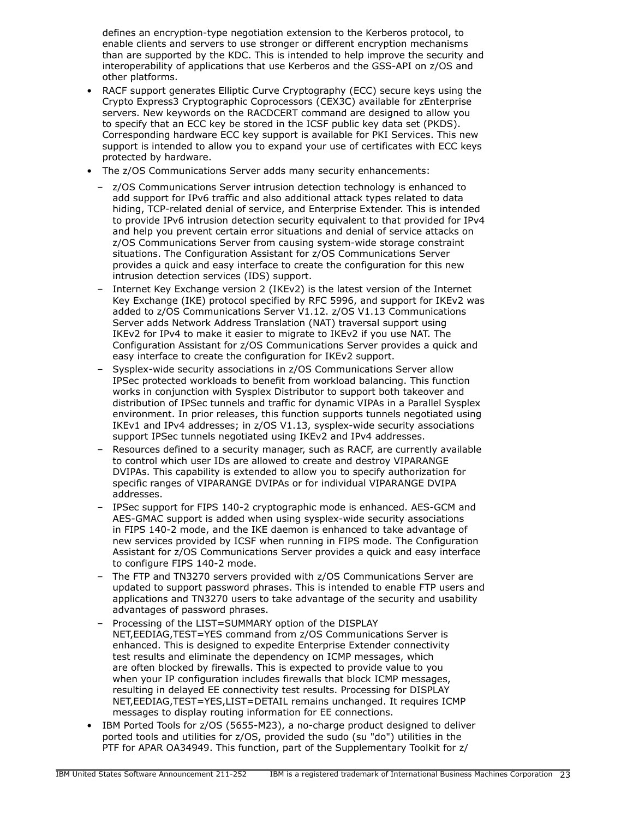defines an encryption-type negotiation extension to the Kerberos protocol, to enable clients and servers to use stronger or different encryption mechanisms than are supported by the KDC. This is intended to help improve the security and interoperability of applications that use Kerberos and the GSS-API on z/OS and other platforms.

- RACF support generates Elliptic Curve Cryptography (ECC) secure keys using the Crypto Express3 Cryptographic Coprocessors (CEX3C) available for zEnterprise servers. New keywords on the RACDCERT command are designed to allow you to specify that an ECC key be stored in the ICSF public key data set (PKDS). Corresponding hardware ECC key support is available for PKI Services. This new support is intended to allow you to expand your use of certificates with ECC keys protected by hardware.
- The z/OS Communications Server adds many security enhancements:
	- z/OS Communications Server intrusion detection technology is enhanced to add support for IPv6 traffic and also additional attack types related to data hiding, TCP-related denial of service, and Enterprise Extender. This is intended to provide IPv6 intrusion detection security equivalent to that provided for IPv4 and help you prevent certain error situations and denial of service attacks on z/OS Communications Server from causing system-wide storage constraint situations. The Configuration Assistant for z/OS Communications Server provides a quick and easy interface to create the configuration for this new intrusion detection services (IDS) support.
	- Internet Key Exchange version 2 (IKEv2) is the latest version of the Internet Key Exchange (IKE) protocol specified by RFC 5996, and support for IKEv2 was added to z/OS Communications Server V1.12. z/OS V1.13 Communications Server adds Network Address Translation (NAT) traversal support using IKEv2 for IPv4 to make it easier to migrate to IKEv2 if you use NAT. The Configuration Assistant for z/OS Communications Server provides a quick and easy interface to create the configuration for IKEv2 support.
	- Sysplex-wide security associations in z/OS Communications Server allow IPSec protected workloads to benefit from workload balancing. This function works in conjunction with Sysplex Distributor to support both takeover and distribution of IPSec tunnels and traffic for dynamic VIPAs in a Parallel Sysplex environment. In prior releases, this function supports tunnels negotiated using IKEv1 and IPv4 addresses; in z/OS V1.13, sysplex-wide security associations support IPSec tunnels negotiated using IKEv2 and IPv4 addresses.
	- Resources defined to a security manager, such as RACF, are currently available to control which user IDs are allowed to create and destroy VIPARANGE DVIPAs. This capability is extended to allow you to specify authorization for specific ranges of VIPARANGE DVIPAs or for individual VIPARANGE DVIPA addresses.
	- IPSec support for FIPS 140-2 cryptographic mode is enhanced. AES-GCM and AES-GMAC support is added when using sysplex-wide security associations in FIPS 140-2 mode, and the IKE daemon is enhanced to take advantage of new services provided by ICSF when running in FIPS mode. The Configuration Assistant for z/OS Communications Server provides a quick and easy interface to configure FIPS 140-2 mode.
	- The FTP and TN3270 servers provided with z/OS Communications Server are updated to support password phrases. This is intended to enable FTP users and applications and TN3270 users to take advantage of the security and usability advantages of password phrases.
	- Processing of the LIST=SUMMARY option of the DISPLAY NET,EEDIAG,TEST=YES command from z/OS Communications Server is enhanced. This is designed to expedite Enterprise Extender connectivity test results and eliminate the dependency on ICMP messages, which are often blocked by firewalls. This is expected to provide value to you when your IP configuration includes firewalls that block ICMP messages, resulting in delayed EE connectivity test results. Processing for DISPLAY NET,EEDIAG,TEST=YES,LIST=DETAIL remains unchanged. It requires ICMP messages to display routing information for EE connections.
- IBM Ported Tools for z/OS (5655-M23), a no-charge product designed to deliver ported tools and utilities for z/OS, provided the sudo (su "do") utilities in the PTF for APAR OA34949. This function, part of the Supplementary Toolkit for z/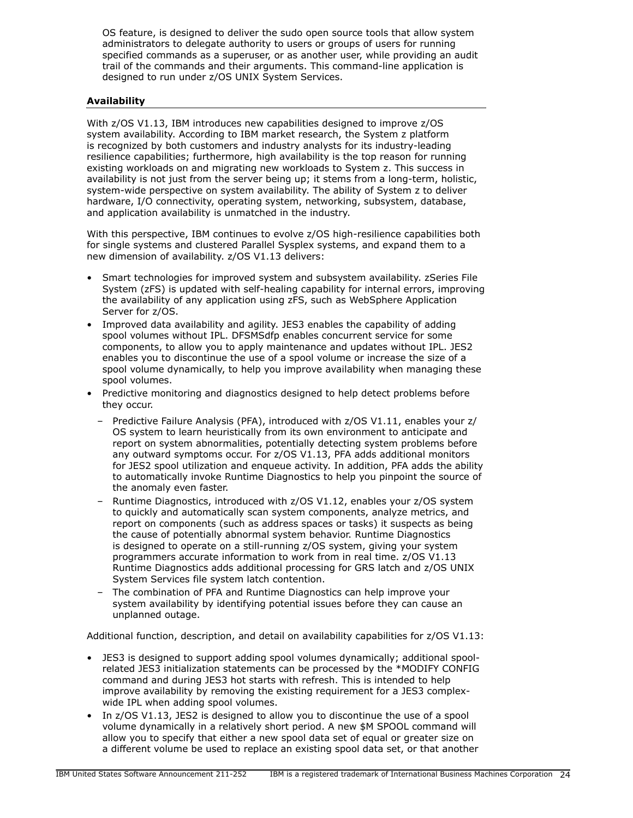OS feature, is designed to deliver the sudo open source tools that allow system administrators to delegate authority to users or groups of users for running specified commands as a superuser, or as another user, while providing an audit trail of the commands and their arguments. This command-line application is designed to run under z/OS UNIX System Services.

# Availability

With z/OS V1.13, IBM introduces new capabilities designed to improve z/OS system availability. According to IBM market research, the System z platform is recognized by both customers and industry analysts for its industry-leading resilience capabilities; furthermore, high availability is the top reason for running existing workloads on and migrating new workloads to System z. This success in availability is not just from the server being up; it stems from a long-term, holistic, system-wide perspective on system availability. The ability of System z to deliver hardware, I/O connectivity, operating system, networking, subsystem, database, and application availability is unmatched in the industry.

With this perspective, IBM continues to evolve z/OS high-resilience capabilities both for single systems and clustered Parallel Sysplex systems, and expand them to a new dimension of availability. z/OS V1.13 delivers:

- Smart technologies for improved system and subsystem availability. zSeries File System (zFS) is updated with self-healing capability for internal errors, improving the availability of any application using zFS, such as WebSphere Application Server for z/OS.
- Improved data availability and agility. JES3 enables the capability of adding spool volumes without IPL. DFSMSdfp enables concurrent service for some components, to allow you to apply maintenance and updates without IPL. JES2 enables you to discontinue the use of a spool volume or increase the size of a spool volume dynamically, to help you improve availability when managing these spool volumes.
- Predictive monitoring and diagnostics designed to help detect problems before they occur.
	- Predictive Failure Analysis (PFA), introduced with z/OS V1.11, enables your z/ OS system to learn heuristically from its own environment to anticipate and report on system abnormalities, potentially detecting system problems before any outward symptoms occur. For z/OS V1.13, PFA adds additional monitors for JES2 spool utilization and enqueue activity. In addition, PFA adds the ability to automatically invoke Runtime Diagnostics to help you pinpoint the source of the anomaly even faster.
	- Runtime Diagnostics, introduced with z/OS V1.12, enables your z/OS system to quickly and automatically scan system components, analyze metrics, and report on components (such as address spaces or tasks) it suspects as being the cause of potentially abnormal system behavior. Runtime Diagnostics is designed to operate on a still-running z/OS system, giving your system programmers accurate information to work from in real time. z/OS V1.13 Runtime Diagnostics adds additional processing for GRS latch and z/OS UNIX System Services file system latch contention.
	- The combination of PFA and Runtime Diagnostics can help improve your system availability by identifying potential issues before they can cause an unplanned outage.

Additional function, description, and detail on availability capabilities for z/OS V1.13:

- JES3 is designed to support adding spool volumes dynamically; additional spoolrelated JES3 initialization statements can be processed by the \*MODIFY CONFIG command and during JES3 hot starts with refresh. This is intended to help improve availability by removing the existing requirement for a JES3 complexwide IPL when adding spool volumes.
- In z/OS V1.13, JES2 is designed to allow you to discontinue the use of a spool volume dynamically in a relatively short period. A new \$M SPOOL command will allow you to specify that either a new spool data set of equal or greater size on a different volume be used to replace an existing spool data set, or that another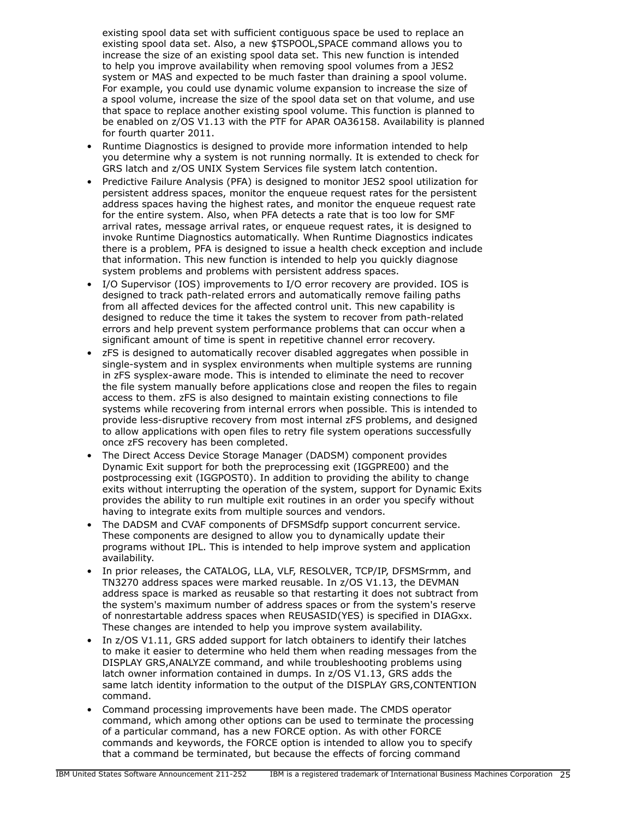existing spool data set with sufficient contiguous space be used to replace an existing spool data set. Also, a new \$TSPOOL,SPACE command allows you to increase the size of an existing spool data set. This new function is intended to help you improve availability when removing spool volumes from a JES2 system or MAS and expected to be much faster than draining a spool volume. For example, you could use dynamic volume expansion to increase the size of a spool volume, increase the size of the spool data set on that volume, and use that space to replace another existing spool volume. This function is planned to be enabled on z/OS V1.13 with the PTF for APAR OA36158. Availability is planned for fourth quarter 2011.

- Runtime Diagnostics is designed to provide more information intended to help you determine why a system is not running normally. It is extended to check for GRS latch and z/OS UNIX System Services file system latch contention.
- Predictive Failure Analysis (PFA) is designed to monitor JES2 spool utilization for persistent address spaces, monitor the enqueue request rates for the persistent address spaces having the highest rates, and monitor the enqueue request rate for the entire system. Also, when PFA detects a rate that is too low for SMF arrival rates, message arrival rates, or enqueue request rates, it is designed to invoke Runtime Diagnostics automatically. When Runtime Diagnostics indicates there is a problem, PFA is designed to issue a health check exception and include that information. This new function is intended to help you quickly diagnose system problems and problems with persistent address spaces.
- I/O Supervisor (IOS) improvements to I/O error recovery are provided. IOS is designed to track path-related errors and automatically remove failing paths from all affected devices for the affected control unit. This new capability is designed to reduce the time it takes the system to recover from path-related errors and help prevent system performance problems that can occur when a significant amount of time is spent in repetitive channel error recovery.
- zFS is designed to automatically recover disabled aggregates when possible in single-system and in sysplex environments when multiple systems are running in zFS sysplex-aware mode. This is intended to eliminate the need to recover the file system manually before applications close and reopen the files to regain access to them. zFS is also designed to maintain existing connections to file systems while recovering from internal errors when possible. This is intended to provide less-disruptive recovery from most internal zFS problems, and designed to allow applications with open files to retry file system operations successfully once zFS recovery has been completed.
- The Direct Access Device Storage Manager (DADSM) component provides Dynamic Exit support for both the preprocessing exit (IGGPRE00) and the postprocessing exit (IGGPOST0). In addition to providing the ability to change exits without interrupting the operation of the system, support for Dynamic Exits provides the ability to run multiple exit routines in an order you specify without having to integrate exits from multiple sources and vendors.
- The DADSM and CVAF components of DFSMSdfp support concurrent service. These components are designed to allow you to dynamically update their programs without IPL. This is intended to help improve system and application availability.
- In prior releases, the CATALOG, LLA, VLF, RESOLVER, TCP/IP, DFSMSrmm, and TN3270 address spaces were marked reusable. In z/OS V1.13, the DEVMAN address space is marked as reusable so that restarting it does not subtract from the system's maximum number of address spaces or from the system's reserve of nonrestartable address spaces when REUSASID(YES) is specified in DIAGxx. These changes are intended to help you improve system availability.
- In z/OS V1.11, GRS added support for latch obtainers to identify their latches to make it easier to determine who held them when reading messages from the DISPLAY GRS,ANALYZE command, and while troubleshooting problems using latch owner information contained in dumps. In z/OS V1.13, GRS adds the same latch identity information to the output of the DISPLAY GRS,CONTENTION command.
- Command processing improvements have been made. The CMDS operator command, which among other options can be used to terminate the processing of a particular command, has a new FORCE option. As with other FORCE commands and keywords, the FORCE option is intended to allow you to specify that a command be terminated, but because the effects of forcing command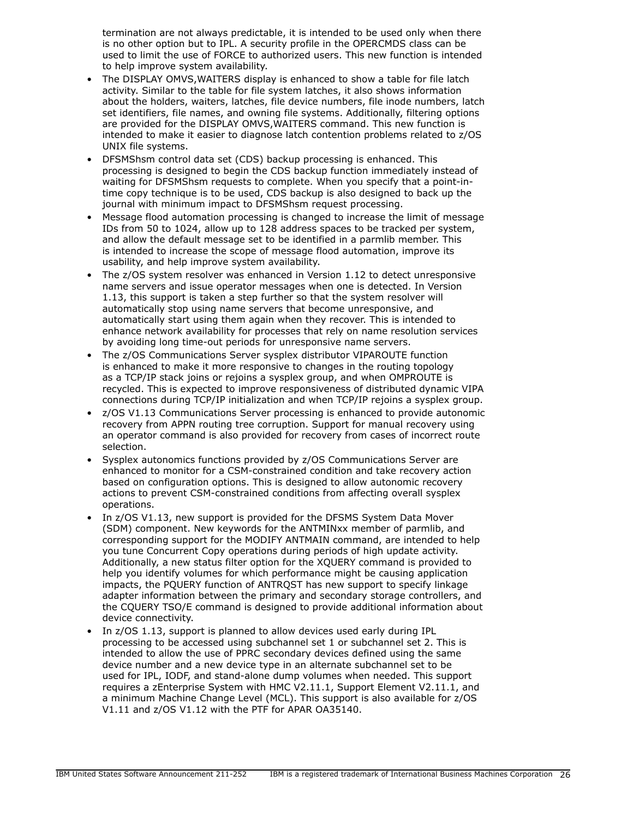termination are not always predictable, it is intended to be used only when there is no other option but to IPL. A security profile in the OPERCMDS class can be used to limit the use of FORCE to authorized users. This new function is intended to help improve system availability.

- The DISPLAY OMVS,WAITERS display is enhanced to show a table for file latch activity. Similar to the table for file system latches, it also shows information about the holders, waiters, latches, file device numbers, file inode numbers, latch set identifiers, file names, and owning file systems. Additionally, filtering options are provided for the DISPLAY OMVS,WAITERS command. This new function is intended to make it easier to diagnose latch contention problems related to z/OS UNIX file systems.
- DFSMShsm control data set (CDS) backup processing is enhanced. This processing is designed to begin the CDS backup function immediately instead of waiting for DFSMShsm requests to complete. When you specify that a point-intime copy technique is to be used, CDS backup is also designed to back up the journal with minimum impact to DFSMShsm request processing.
- Message flood automation processing is changed to increase the limit of message IDs from 50 to 1024, allow up to 128 address spaces to be tracked per system, and allow the default message set to be identified in a parmlib member. This is intended to increase the scope of message flood automation, improve its usability, and help improve system availability.
- The z/OS system resolver was enhanced in Version 1.12 to detect unresponsive name servers and issue operator messages when one is detected. In Version 1.13, this support is taken a step further so that the system resolver will automatically stop using name servers that become unresponsive, and automatically start using them again when they recover. This is intended to enhance network availability for processes that rely on name resolution services by avoiding long time-out periods for unresponsive name servers.
- The z/OS Communications Server sysplex distributor VIPAROUTE function is enhanced to make it more responsive to changes in the routing topology as a TCP/IP stack joins or rejoins a sysplex group, and when OMPROUTE is recycled. This is expected to improve responsiveness of distributed dynamic VIPA connections during TCP/IP initialization and when TCP/IP rejoins a sysplex group.
- z/OS V1.13 Communications Server processing is enhanced to provide autonomic recovery from APPN routing tree corruption. Support for manual recovery using an operator command is also provided for recovery from cases of incorrect route selection.
- Sysplex autonomics functions provided by z/OS Communications Server are enhanced to monitor for a CSM-constrained condition and take recovery action based on configuration options. This is designed to allow autonomic recovery actions to prevent CSM-constrained conditions from affecting overall sysplex operations.
- In z/OS V1.13, new support is provided for the DFSMS System Data Mover (SDM) component. New keywords for the ANTMINxx member of parmlib, and corresponding support for the MODIFY ANTMAIN command, are intended to help you tune Concurrent Copy operations during periods of high update activity. Additionally, a new status filter option for the XQUERY command is provided to help you identify volumes for which performance might be causing application impacts, the PQUERY function of ANTRQST has new support to specify linkage adapter information between the primary and secondary storage controllers, and the CQUERY TSO/E command is designed to provide additional information about device connectivity.
- In z/OS 1.13, support is planned to allow devices used early during IPL processing to be accessed using subchannel set 1 or subchannel set 2. This is intended to allow the use of PPRC secondary devices defined using the same device number and a new device type in an alternate subchannel set to be used for IPL, IODF, and stand-alone dump volumes when needed. This support requires a zEnterprise System with HMC V2.11.1, Support Element V2.11.1, and a minimum Machine Change Level (MCL). This support is also available for z/OS V1.11 and z/OS V1.12 with the PTF for APAR OA35140.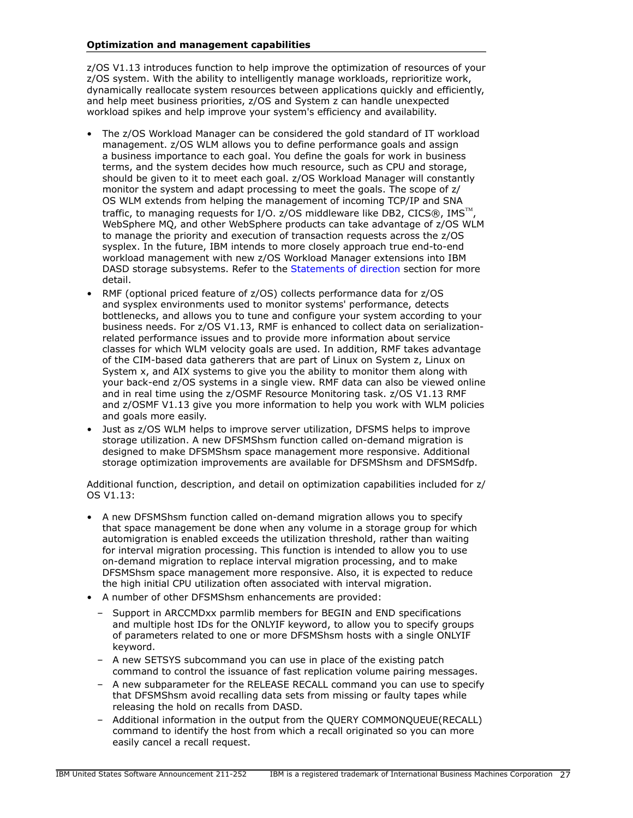## Optimization and management capabilities

z/OS V1.13 introduces function to help improve the optimization of resources of your z/OS system. With the ability to intelligently manage workloads, reprioritize work, dynamically reallocate system resources between applications quickly and efficiently, and help meet business priorities, z/OS and System z can handle unexpected workload spikes and help improve your system's efficiency and availability.

- The z/OS Workload Manager can be considered the gold standard of IT workload management. z/OS WLM allows you to define performance goals and assign a business importance to each goal. You define the goals for work in business terms, and the system decides how much resource, such as CPU and storage, should be given to it to meet each goal. z/OS Workload Manager will constantly monitor the system and adapt processing to meet the goals. The scope of z/ OS WLM extends from helping the management of incoming TCP/IP and SNA traffic, to managing requests for I/O. z/OS middleware like DB2, CICS®, IMS<sup>™</sup>, WebSphere MQ, and other WebSphere products can take advantage of z/OS WLM to manage the priority and execution of transaction requests across the z/OS sysplex. In the future, IBM intends to more closely approach true end-to-end workload management with new z/OS Workload Manager extensions into IBM DASD storage subsystems. Refer to the [Statements of direction](#page-32-0) section for more detail.
- RMF (optional priced feature of z/OS) collects performance data for z/OS and sysplex environments used to monitor systems' performance, detects bottlenecks, and allows you to tune and configure your system according to your business needs. For z/OS V1.13, RMF is enhanced to collect data on serializationrelated performance issues and to provide more information about service classes for which WLM velocity goals are used. In addition, RMF takes advantage of the CIM-based data gatherers that are part of Linux on System z, Linux on System x, and AIX systems to give you the ability to monitor them along with your back-end z/OS systems in a single view. RMF data can also be viewed online and in real time using the z/OSMF Resource Monitoring task. z/OS V1.13 RMF and z/OSMF V1.13 give you more information to help you work with WLM policies and goals more easily.
- Just as z/OS WLM helps to improve server utilization, DFSMS helps to improve storage utilization. A new DFSMShsm function called on-demand migration is designed to make DFSMShsm space management more responsive. Additional storage optimization improvements are available for DFSMShsm and DFSMSdfp.

Additional function, description, and detail on optimization capabilities included for z/ OS V1.13:

- A new DFSMShsm function called on-demand migration allows you to specify that space management be done when any volume in a storage group for which automigration is enabled exceeds the utilization threshold, rather than waiting for interval migration processing. This function is intended to allow you to use on-demand migration to replace interval migration processing, and to make DFSMShsm space management more responsive. Also, it is expected to reduce the high initial CPU utilization often associated with interval migration.
- A number of other DFSMShsm enhancements are provided:
	- Support in ARCCMDxx parmlib members for BEGIN and END specifications and multiple host IDs for the ONLYIF keyword, to allow you to specify groups of parameters related to one or more DFSMShsm hosts with a single ONLYIF keyword.
	- A new SETSYS subcommand you can use in place of the existing patch command to control the issuance of fast replication volume pairing messages.
	- A new subparameter for the RELEASE RECALL command you can use to specify that DFSMShsm avoid recalling data sets from missing or faulty tapes while releasing the hold on recalls from DASD.
	- Additional information in the output from the QUERY COMMONQUEUE(RECALL) command to identify the host from which a recall originated so you can more easily cancel a recall request.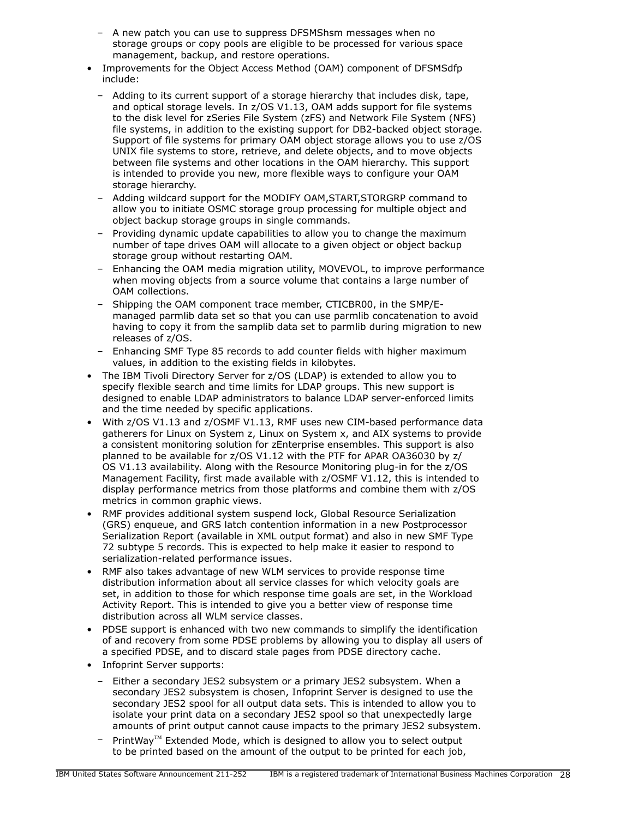- A new patch you can use to suppress DFSMShsm messages when no storage groups or copy pools are eligible to be processed for various space management, backup, and restore operations.
- Improvements for the Object Access Method (OAM) component of DFSMSdfp include:
	- Adding to its current support of a storage hierarchy that includes disk, tape, and optical storage levels. In z/OS V1.13, OAM adds support for file systems to the disk level for zSeries File System (zFS) and Network File System (NFS) file systems, in addition to the existing support for DB2-backed object storage. Support of file systems for primary OAM object storage allows you to use z/OS UNIX file systems to store, retrieve, and delete objects, and to move objects between file systems and other locations in the OAM hierarchy. This support is intended to provide you new, more flexible ways to configure your OAM storage hierarchy.
	- Adding wildcard support for the MODIFY OAM,START,STORGRP command to allow you to initiate OSMC storage group processing for multiple object and object backup storage groups in single commands.
	- Providing dynamic update capabilities to allow you to change the maximum number of tape drives OAM will allocate to a given object or object backup storage group without restarting OAM.
	- Enhancing the OAM media migration utility, MOVEVOL, to improve performance when moving objects from a source volume that contains a large number of OAM collections.
	- Shipping the OAM component trace member, CTICBR00, in the SMP/Emanaged parmlib data set so that you can use parmlib concatenation to avoid having to copy it from the samplib data set to parmlib during migration to new releases of z/OS.
	- Enhancing SMF Type 85 records to add counter fields with higher maximum values, in addition to the existing fields in kilobytes.
- The IBM Tivoli Directory Server for z/OS (LDAP) is extended to allow you to specify flexible search and time limits for LDAP groups. This new support is designed to enable LDAP administrators to balance LDAP server-enforced limits and the time needed by specific applications.
- With z/OS V1.13 and z/OSMF V1.13, RMF uses new CIM-based performance data gatherers for Linux on System z, Linux on System x, and AIX systems to provide a consistent monitoring solution for zEnterprise ensembles. This support is also planned to be available for z/OS V1.12 with the PTF for APAR OA36030 by z/ OS V1.13 availability. Along with the Resource Monitoring plug-in for the z/OS Management Facility, first made available with z/OSMF V1.12, this is intended to display performance metrics from those platforms and combine them with z/OS metrics in common graphic views.
- RMF provides additional system suspend lock, Global Resource Serialization (GRS) enqueue, and GRS latch contention information in a new Postprocessor Serialization Report (available in XML output format) and also in new SMF Type 72 subtype 5 records. This is expected to help make it easier to respond to serialization-related performance issues.
- RMF also takes advantage of new WLM services to provide response time distribution information about all service classes for which velocity goals are set, in addition to those for which response time goals are set, in the Workload Activity Report. This is intended to give you a better view of response time distribution across all WLM service classes.
- PDSE support is enhanced with two new commands to simplify the identification of and recovery from some PDSE problems by allowing you to display all users of a specified PDSE, and to discard stale pages from PDSE directory cache.
- Infoprint Server supports:
	- Either a secondary JES2 subsystem or a primary JES2 subsystem. When a secondary JES2 subsystem is chosen, Infoprint Server is designed to use the secondary JES2 spool for all output data sets. This is intended to allow you to isolate your print data on a secondary JES2 spool so that unexpectedly large amounts of print output cannot cause impacts to the primary JES2 subsystem.
	- PrintWay<sup>TM</sup> Extended Mode, which is designed to allow you to select output to be printed based on the amount of the output to be printed for each job,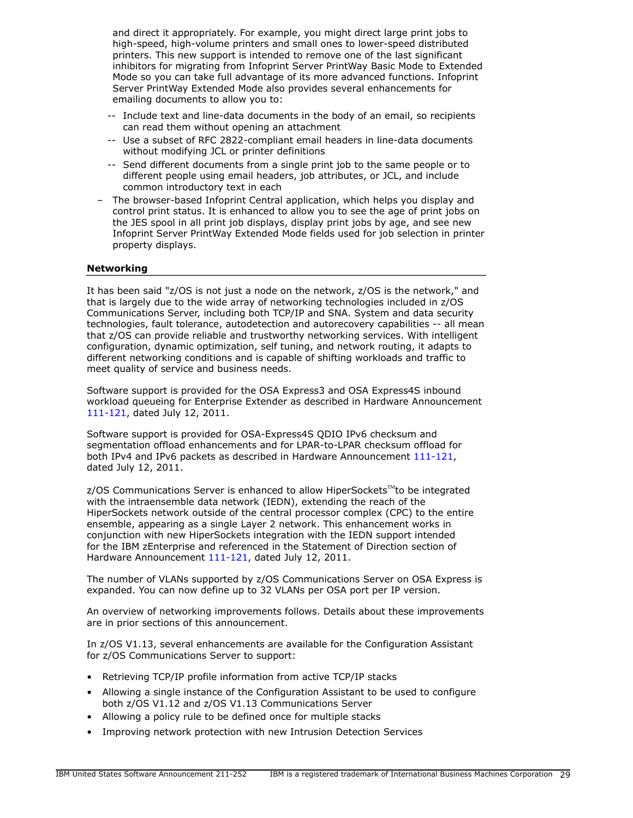and direct it appropriately. For example, you might direct large print jobs to high-speed, high-volume printers and small ones to lower-speed distributed printers. This new support is intended to remove one of the last significant inhibitors for migrating from Infoprint Server PrintWay Basic Mode to Extended Mode so you can take full advantage of its more advanced functions. Infoprint Server PrintWay Extended Mode also provides several enhancements for emailing documents to allow you to:

- -- Include text and line-data documents in the body of an email, so recipients can read them without opening an attachment
- -- Use a subset of RFC 2822-compliant email headers in line-data documents without modifying JCL or printer definitions
- -- Send different documents from a single print job to the same people or to different people using email headers, job attributes, or JCL, and include common introductory text in each
- The browser-based Infoprint Central application, which helps you display and control print status. It is enhanced to allow you to see the age of print jobs on the JES spool in all print job displays, display print jobs by age, and see new Infoprint Server PrintWay Extended Mode fields used for job selection in printer property displays.

## Networking

It has been said "z/OS is not just a node on the network, z/OS is the network," and that is largely due to the wide array of networking technologies included in z/OS Communications Server, including both TCP/IP and SNA. System and data security technologies, fault tolerance, autodetection and autorecovery capabilities -- all mean that z/OS can provide reliable and trustworthy networking services. With intelligent configuration, dynamic optimization, self tuning, and network routing, it adapts to different networking conditions and is capable of shifting workloads and traffic to meet quality of service and business needs.

Software support is provided for the OSA Express3 and OSA Express4S inbound workload queueing for Enterprise Extender as described in Hardware Announcement [111-121](http://www.ibm.com/common/ssi/cgi-bin/ssialias?infotype=an&subtype=ca&appname=gpateam&supplier=897&letternum=ENUS111-121), dated July 12, 2011.

Software support is provided for OSA-Express4S QDIO IPv6 checksum and segmentation offload enhancements and for LPAR-to-LPAR checksum offload for both IPv4 and IPv6 packets as described in Hardware Announcement [111-121,](http://www.ibm.com/common/ssi/cgi-bin/ssialias?infotype=an&subtype=ca&appname=gpateam&supplier=897&letternum=ENUS111-121) dated July 12, 2011.

 $z/OS$  Communications Server is enhanced to allow HiperSockets<sup>TM</sup>to be integrated with the intraensemble data network (IEDN), extending the reach of the HiperSockets network outside of the central processor complex (CPC) to the entire ensemble, appearing as a single Layer 2 network. This enhancement works in conjunction with new HiperSockets integration with the IEDN support intended for the IBM zEnterprise and referenced in the Statement of Direction section of Hardware Announcement [111-121,](http://www.ibm.com/common/ssi/cgi-bin/ssialias?infotype=an&subtype=ca&appname=gpateam&supplier=897&letternum=ENUS111-121) dated July 12, 2011.

The number of VLANs supported by z/OS Communications Server on OSA Express is expanded. You can now define up to 32 VLANs per OSA port per IP version.

An overview of networking improvements follows. Details about these improvements are in prior sections of this announcement.

In z/OS V1.13, several enhancements are available for the Configuration Assistant for z/OS Communications Server to support:

- Retrieving TCP/IP profile information from active TCP/IP stacks
- Allowing a single instance of the Configuration Assistant to be used to configure both z/OS V1.12 and z/OS V1.13 Communications Server
- Allowing a policy rule to be defined once for multiple stacks
- Improving network protection with new Intrusion Detection Services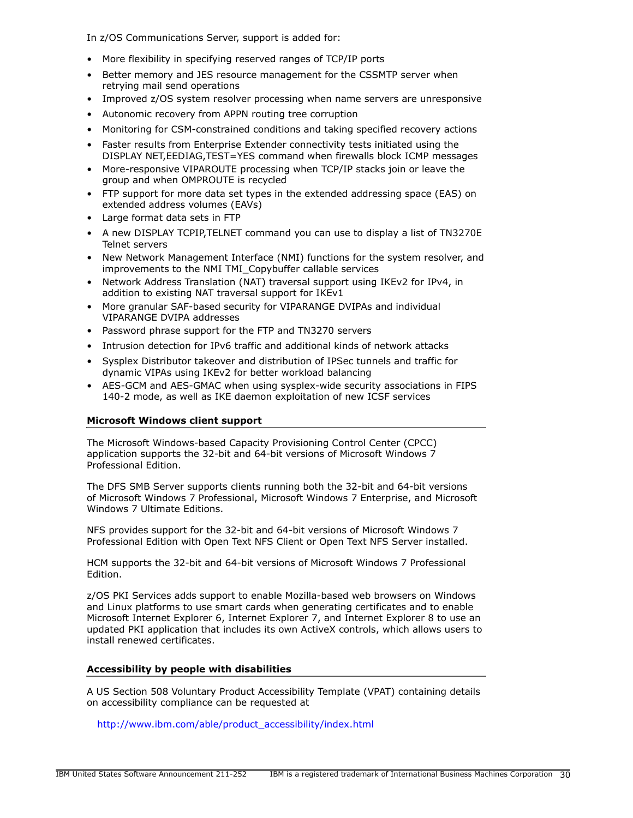In z/OS Communications Server, support is added for:

- More flexibility in specifying reserved ranges of TCP/IP ports
- Better memory and JES resource management for the CSSMTP server when retrying mail send operations
- Improved z/OS system resolver processing when name servers are unresponsive
- Autonomic recovery from APPN routing tree corruption
- Monitoring for CSM-constrained conditions and taking specified recovery actions
- Faster results from Enterprise Extender connectivity tests initiated using the DISPLAY NET,EEDIAG,TEST=YES command when firewalls block ICMP messages
- More-responsive VIPAROUTE processing when TCP/IP stacks join or leave the group and when OMPROUTE is recycled
- FTP support for more data set types in the extended addressing space (EAS) on extended address volumes (EAVs)
- Large format data sets in FTP
- A new DISPLAY TCPIP,TELNET command you can use to display a list of TN3270E Telnet servers
- New Network Management Interface (NMI) functions for the system resolver, and improvements to the NMI TMI\_Copybuffer callable services
- Network Address Translation (NAT) traversal support using IKEv2 for IPv4, in addition to existing NAT traversal support for IKEv1
- More granular SAF-based security for VIPARANGE DVIPAs and individual VIPARANGE DVIPA addresses
- Password phrase support for the FTP and TN3270 servers
- Intrusion detection for IPv6 traffic and additional kinds of network attacks
- Sysplex Distributor takeover and distribution of IPSec tunnels and traffic for dynamic VIPAs using IKEv2 for better workload balancing
- AES-GCM and AES-GMAC when using sysplex-wide security associations in FIPS 140-2 mode, as well as IKE daemon exploitation of new ICSF services

### Microsoft Windows client support

The Microsoft Windows-based Capacity Provisioning Control Center (CPCC) application supports the 32-bit and 64-bit versions of Microsoft Windows 7 Professional Edition.

The DFS SMB Server supports clients running both the 32-bit and 64-bit versions of Microsoft Windows 7 Professional, Microsoft Windows 7 Enterprise, and Microsoft Windows 7 Ultimate Editions.

NFS provides support for the 32-bit and 64-bit versions of Microsoft Windows 7 Professional Edition with Open Text NFS Client or Open Text NFS Server installed.

HCM supports the 32-bit and 64-bit versions of Microsoft Windows 7 Professional Edition.

z/OS PKI Services adds support to enable Mozilla-based web browsers on Windows and Linux platforms to use smart cards when generating certificates and to enable Microsoft Internet Explorer 6, Internet Explorer 7, and Internet Explorer 8 to use an updated PKI application that includes its own ActiveX controls, which allows users to install renewed certificates.

# Accessibility by people with disabilities

A US Section 508 Voluntary Product Accessibility Template (VPAT) containing details on accessibility compliance can be requested at

[http://www.ibm.com/able/product\\_accessibility/index.html](http://www.ibm.com/able/product_accessibility/index.html)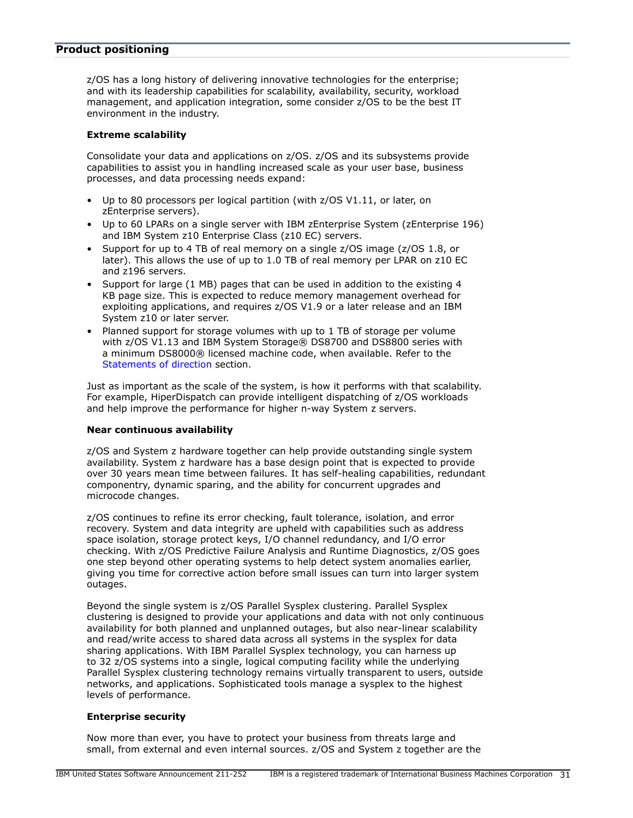## <span id="page-30-0"></span>Product positioning

z/OS has a long history of delivering innovative technologies for the enterprise; and with its leadership capabilities for scalability, availability, security, workload management, and application integration, some consider z/OS to be the best IT environment in the industry.

## Extreme scalability

Consolidate your data and applications on z/OS. z/OS and its subsystems provide capabilities to assist you in handling increased scale as your user base, business processes, and data processing needs expand:

- Up to 80 processors per logical partition (with z/OS V1.11, or later, on zEnterprise servers).
- Up to 60 LPARs on a single server with IBM zEnterprise System (zEnterprise 196) and IBM System z10 Enterprise Class (z10 EC) servers.
- Support for up to 4 TB of real memory on a single z/OS image (z/OS 1.8, or later). This allows the use of up to 1.0 TB of real memory per LPAR on z10 EC and z196 servers.
- Support for large (1 MB) pages that can be used in addition to the existing 4 KB page size. This is expected to reduce memory management overhead for exploiting applications, and requires z/OS V1.9 or a later release and an IBM System z10 or later server.
- Planned support for storage volumes with up to 1 TB of storage per volume with z/OS V1.13 and IBM System Storage® DS8700 and DS8800 series with a minimum DS8000® licensed machine code, when available. Refer to the [Statements of direction](#page-32-0) section.

Just as important as the scale of the system, is how it performs with that scalability. For example, HiperDispatch can provide intelligent dispatching of z/OS workloads and help improve the performance for higher n-way System z servers.

#### Near continuous availability

z/OS and System z hardware together can help provide outstanding single system availability. System z hardware has a base design point that is expected to provide over 30 years mean time between failures. It has self-healing capabilities, redundant componentry, dynamic sparing, and the ability for concurrent upgrades and microcode changes.

z/OS continues to refine its error checking, fault tolerance, isolation, and error recovery. System and data integrity are upheld with capabilities such as address space isolation, storage protect keys, I/O channel redundancy, and I/O error checking. With z/OS Predictive Failure Analysis and Runtime Diagnostics, z/OS goes one step beyond other operating systems to help detect system anomalies earlier, giving you time for corrective action before small issues can turn into larger system outages.

Beyond the single system is z/OS Parallel Sysplex clustering. Parallel Sysplex clustering is designed to provide your applications and data with not only continuous availability for both planned and unplanned outages, but also near-linear scalability and read/write access to shared data across all systems in the sysplex for data sharing applications. With IBM Parallel Sysplex technology, you can harness up to 32 z/OS systems into a single, logical computing facility while the underlying Parallel Sysplex clustering technology remains virtually transparent to users, outside networks, and applications. Sophisticated tools manage a sysplex to the highest levels of performance.

#### Enterprise security

Now more than ever, you have to protect your business from threats large and small, from external and even internal sources. z/OS and System z together are the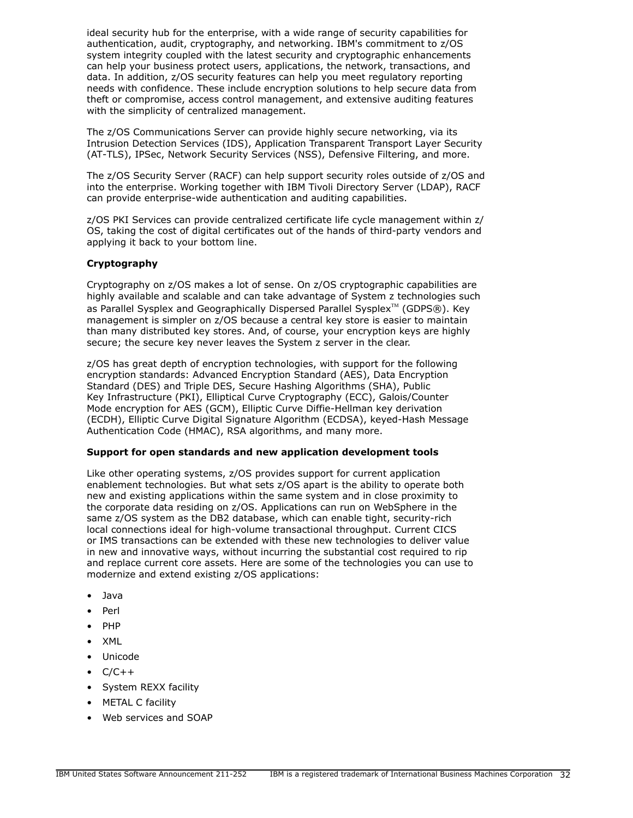ideal security hub for the enterprise, with a wide range of security capabilities for authentication, audit, cryptography, and networking. IBM's commitment to z/OS system integrity coupled with the latest security and cryptographic enhancements can help your business protect users, applications, the network, transactions, and data. In addition, z/OS security features can help you meet regulatory reporting needs with confidence. These include encryption solutions to help secure data from theft or compromise, access control management, and extensive auditing features with the simplicity of centralized management.

The z/OS Communications Server can provide highly secure networking, via its Intrusion Detection Services (IDS), Application Transparent Transport Layer Security (AT-TLS), IPSec, Network Security Services (NSS), Defensive Filtering, and more.

The z/OS Security Server (RACF) can help support security roles outside of z/OS and into the enterprise. Working together with IBM Tivoli Directory Server (LDAP), RACF can provide enterprise-wide authentication and auditing capabilities.

z/OS PKI Services can provide centralized certificate life cycle management within z/ OS, taking the cost of digital certificates out of the hands of third-party vendors and applying it back to your bottom line.

# Cryptography

Cryptography on z/OS makes a lot of sense. On z/OS cryptographic capabilities are highly available and scalable and can take advantage of System z technologies such as Parallel Sysplex and Geographically Dispersed Parallel Sysplex<sup>TM</sup> (GDPS®). Key management is simpler on z/OS because a central key store is easier to maintain than many distributed key stores. And, of course, your encryption keys are highly secure; the secure key never leaves the System z server in the clear.

z/OS has great depth of encryption technologies, with support for the following encryption standards: Advanced Encryption Standard (AES), Data Encryption Standard (DES) and Triple DES, Secure Hashing Algorithms (SHA), Public Key Infrastructure (PKI), Elliptical Curve Cryptography (ECC), Galois/Counter Mode encryption for AES (GCM), Elliptic Curve Diffie-Hellman key derivation (ECDH), Elliptic Curve Digital Signature Algorithm (ECDSA), keyed-Hash Message Authentication Code (HMAC), RSA algorithms, and many more.

#### Support for open standards and new application development tools

Like other operating systems, z/OS provides support for current application enablement technologies. But what sets z/OS apart is the ability to operate both new and existing applications within the same system and in close proximity to the corporate data residing on z/OS. Applications can run on WebSphere in the same z/OS system as the DB2 database, which can enable tight, security-rich local connections ideal for high-volume transactional throughput. Current CICS or IMS transactions can be extended with these new technologies to deliver value in new and innovative ways, without incurring the substantial cost required to rip and replace current core assets. Here are some of the technologies you can use to modernize and extend existing z/OS applications:

- Java
- Perl
- PHP
- XML
- Unicode
- $\bullet$   $C/C++$
- System REXX facility
- METAL C facility
- Web services and SOAP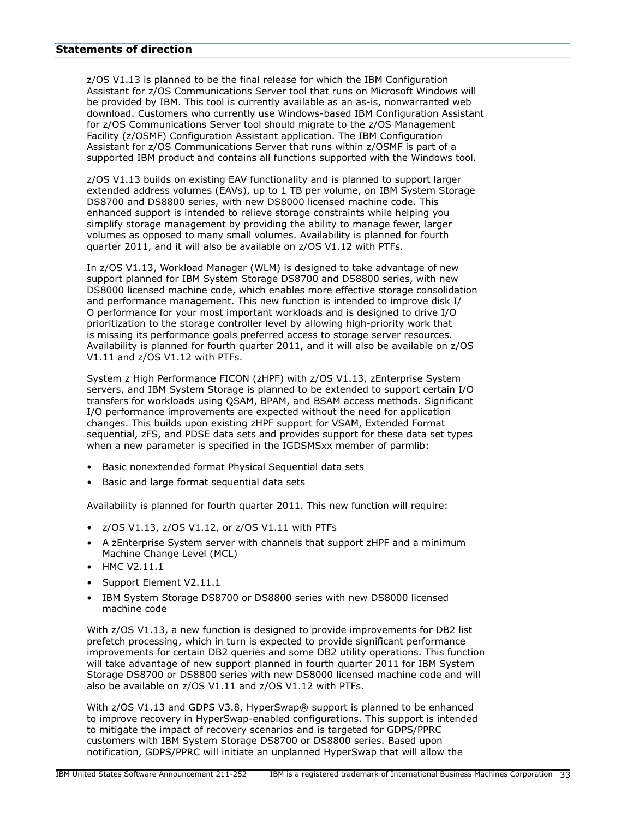#### <span id="page-32-0"></span>Statements of direction

z/OS V1.13 is planned to be the final release for which the IBM Configuration Assistant for z/OS Communications Server tool that runs on Microsoft Windows will be provided by IBM. This tool is currently available as an as-is, nonwarranted web download. Customers who currently use Windows-based IBM Configuration Assistant for z/OS Communications Server tool should migrate to the z/OS Management Facility (z/OSMF) Configuration Assistant application. The IBM Configuration Assistant for z/OS Communications Server that runs within z/OSMF is part of a supported IBM product and contains all functions supported with the Windows tool.

z/OS V1.13 builds on existing EAV functionality and is planned to support larger extended address volumes (EAVs), up to 1 TB per volume, on IBM System Storage DS8700 and DS8800 series, with new DS8000 licensed machine code. This enhanced support is intended to relieve storage constraints while helping you simplify storage management by providing the ability to manage fewer, larger volumes as opposed to many small volumes. Availability is planned for fourth quarter 2011, and it will also be available on z/OS V1.12 with PTFs.

In z/OS V1.13, Workload Manager (WLM) is designed to take advantage of new support planned for IBM System Storage DS8700 and DS8800 series, with new DS8000 licensed machine code, which enables more effective storage consolidation and performance management. This new function is intended to improve disk I/ O performance for your most important workloads and is designed to drive I/O prioritization to the storage controller level by allowing high-priority work that is missing its performance goals preferred access to storage server resources. Availability is planned for fourth quarter 2011, and it will also be available on z/OS V1.11 and z/OS V1.12 with PTFs.

System z High Performance FICON (zHPF) with z/OS V1.13, zEnterprise System servers, and IBM System Storage is planned to be extended to support certain I/O transfers for workloads using QSAM, BPAM, and BSAM access methods. Significant I/O performance improvements are expected without the need for application changes. This builds upon existing zHPF support for VSAM, Extended Format sequential, zFS, and PDSE data sets and provides support for these data set types when a new parameter is specified in the IGDSMSxx member of parmlib:

- Basic nonextended format Physical Sequential data sets
- Basic and large format sequential data sets

Availability is planned for fourth quarter 2011. This new function will require:

- z/OS V1.13, z/OS V1.12, or z/OS V1.11 with PTFs
- A zEnterprise System server with channels that support zHPF and a minimum Machine Change Level (MCL)
- HMC V2.11.1
- Support Element V2.11.1
- IBM System Storage DS8700 or DS8800 series with new DS8000 licensed machine code

With z/OS V1.13, a new function is designed to provide improvements for DB2 list prefetch processing, which in turn is expected to provide significant performance improvements for certain DB2 queries and some DB2 utility operations. This function will take advantage of new support planned in fourth quarter 2011 for IBM System Storage DS8700 or DS8800 series with new DS8000 licensed machine code and will also be available on z/OS V1.11 and z/OS V1.12 with PTFs.

With z/OS V1.13 and GDPS V3.8, HyperSwap® support is planned to be enhanced to improve recovery in HyperSwap-enabled configurations. This support is intended to mitigate the impact of recovery scenarios and is targeted for GDPS/PPRC customers with IBM System Storage DS8700 or DS8800 series. Based upon notification, GDPS/PPRC will initiate an unplanned HyperSwap that will allow the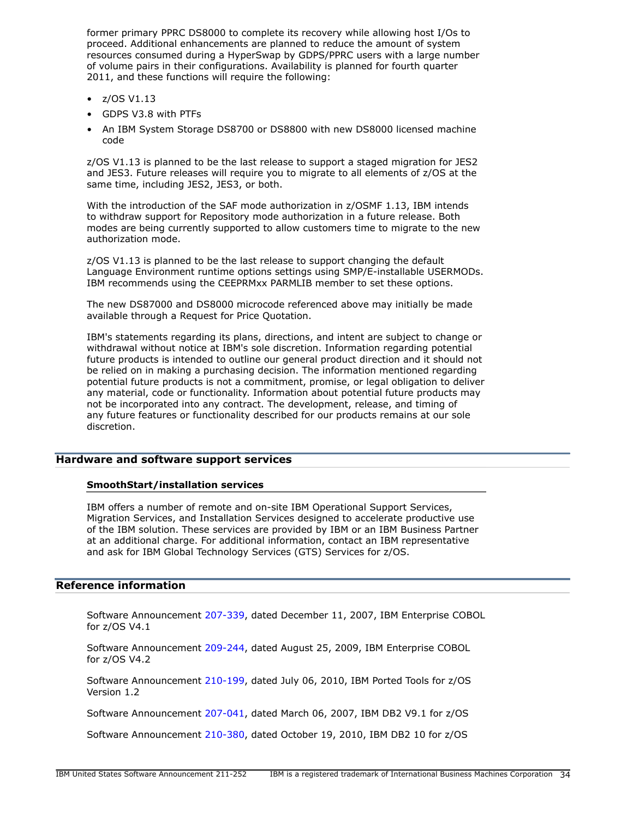former primary PPRC DS8000 to complete its recovery while allowing host I/Os to proceed. Additional enhancements are planned to reduce the amount of system resources consumed during a HyperSwap by GDPS/PPRC users with a large number of volume pairs in their configurations. Availability is planned for fourth quarter 2011, and these functions will require the following:

- $\bullet$  z/OS V1.13
- GDPS V3.8 with PTFs
- An IBM System Storage DS8700 or DS8800 with new DS8000 licensed machine code

z/OS V1.13 is planned to be the last release to support a staged migration for JES2 and JES3. Future releases will require you to migrate to all elements of z/OS at the same time, including JES2, JES3, or both.

With the introduction of the SAF mode authorization in z/OSMF 1.13, IBM intends to withdraw support for Repository mode authorization in a future release. Both modes are being currently supported to allow customers time to migrate to the new authorization mode.

z/OS V1.13 is planned to be the last release to support changing the default Language Environment runtime options settings using SMP/E-installable USERMODs. IBM recommends using the CEEPRMxx PARMLIB member to set these options.

The new DS87000 and DS8000 microcode referenced above may initially be made available through a Request for Price Quotation.

IBM's statements regarding its plans, directions, and intent are subject to change or withdrawal without notice at IBM's sole discretion. Information regarding potential future products is intended to outline our general product direction and it should not be relied on in making a purchasing decision. The information mentioned regarding potential future products is not a commitment, promise, or legal obligation to deliver any material, code or functionality. Information about potential future products may not be incorporated into any contract. The development, release, and timing of any future features or functionality described for our products remains at our sole discretion.

## Hardware and software support services

#### SmoothStart/installation services

IBM offers a number of remote and on-site IBM Operational Support Services, Migration Services, and Installation Services designed to accelerate productive use of the IBM solution. These services are provided by IBM or an IBM Business Partner at an additional charge. For additional information, contact an IBM representative and ask for IBM Global Technology Services (GTS) Services for z/OS.

# Reference information

Software Announcement [207-339,](http://www.ibm.com/common/ssi/cgi-bin/ssialias?infotype=an&subtype=ca&appname=gpateam&supplier=897&letternum=ENUS207-339) dated December 11, 2007, IBM Enterprise COBOL for z/OS V4.1

Software Announcement [209-244,](http://www.ibm.com/common/ssi/cgi-bin/ssialias?infotype=an&subtype=ca&appname=gpateam&supplier=897&letternum=ENUS209-244) dated August 25, 2009, IBM Enterprise COBOL for z/OS V4.2

Software Announcement [210-199,](http://www.ibm.com/common/ssi/cgi-bin/ssialias?infotype=an&subtype=ca&appname=gpateam&supplier=897&letternum=ENUS210-199) dated July 06, 2010, IBM Ported Tools for z/OS Version 1.2

Software Announcement [207-041,](http://www.ibm.com/common/ssi/cgi-bin/ssialias?infotype=an&subtype=ca&appname=gpateam&supplier=897&letternum=ENUS207-041) dated March 06, 2007, IBM DB2 V9.1 for z/OS

Software Announcement [210-380,](http://www.ibm.com/common/ssi/cgi-bin/ssialias?infotype=an&subtype=ca&appname=gpateam&supplier=897&letternum=ENUS210-380) dated October 19, 2010, IBM DB2 10 for z/OS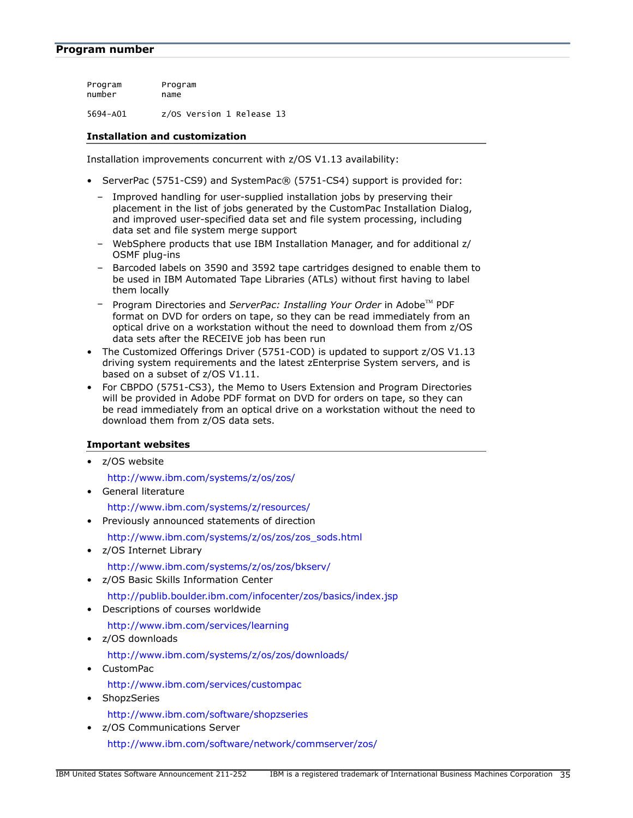## <span id="page-34-0"></span>Program number

Program Program number name 5694-A01 z/OS Version 1 Release 13

## Installation and customization

Installation improvements concurrent with z/OS V1.13 availability:

- ServerPac (5751-CS9) and SystemPac® (5751-CS4) support is provided for:
	- Improved handling for user-supplied installation jobs by preserving their placement in the list of jobs generated by the CustomPac Installation Dialog, and improved user-specified data set and file system processing, including data set and file system merge support
	- WebSphere products that use IBM Installation Manager, and for additional z/ OSMF plug-ins
	- Barcoded labels on 3590 and 3592 tape cartridges designed to enable them to be used in IBM Automated Tape Libraries (ATLs) without first having to label them locally
	- Program Directories and *ServerPac: Installing Your Order* in Adobe™ PDF format on DVD for orders on tape, so they can be read immediately from an optical drive on a workstation without the need to download them from z/OS data sets after the RECEIVE job has been run
- The Customized Offerings Driver (5751-COD) is updated to support z/OS V1.13 driving system requirements and the latest zEnterprise System servers, and is based on a subset of z/OS V1.11.
- For CBPDO (5751-CS3), the Memo to Users Extension and Program Directories will be provided in Adobe PDF format on DVD for orders on tape, so they can be read immediately from an optical drive on a workstation without the need to download them from z/OS data sets.

# Important websites

• z/OS website

<http://www.ibm.com/systems/z/os/zos/>

• General literature

<http://www.ibm.com/systems/z/resources/> • Previously announced statements of direction

- [http://www.ibm.com/systems/z/os/zos/zos\\_sods.html](http://www.ibm.com/systems/z/os/zos/zos_sods.html)
- z/OS Internet Library

<http://www.ibm.com/systems/z/os/zos/bkserv/>

• z/OS Basic Skills Information Center

<http://publib.boulder.ibm.com/infocenter/zos/basics/index.jsp>

• Descriptions of courses worldwide

<http://www.ibm.com/services/learning>

• z/OS downloads

<http://www.ibm.com/systems/z/os/zos/downloads/>

- CustomPac <http://www.ibm.com/services/custompac>
- ShopzSeries
	- <http://www.ibm.com/software/shopzseries>
- z/OS Communications Server <http://www.ibm.com/software/network/commserver/zos/>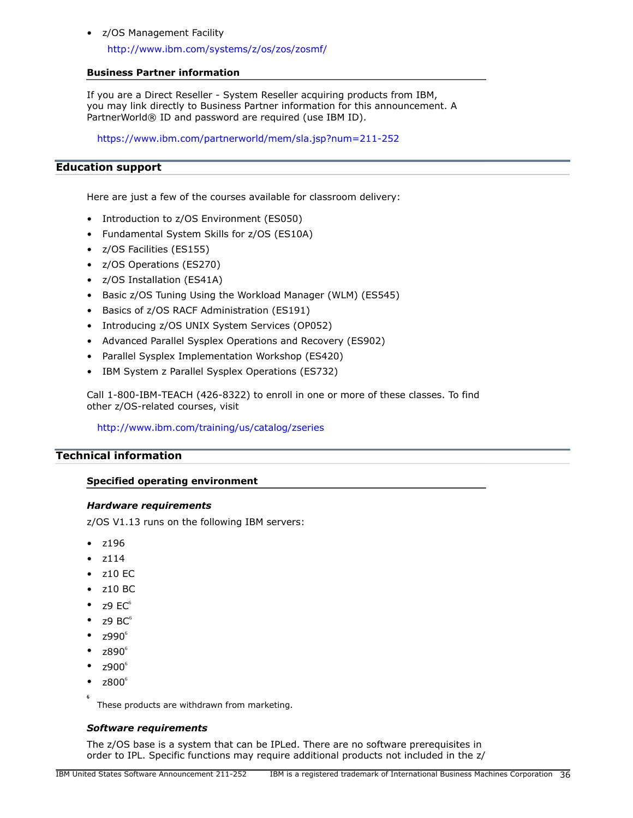## • z/OS Management Facility

<http://www.ibm.com/systems/z/os/zos/zosmf/>

## Business Partner information

If you are a Direct Reseller - System Reseller acquiring products from IBM, you may link directly to Business Partner information for this announcement. A PartnerWorld® ID and password are required (use IBM ID).

<https://www.ibm.com/partnerworld/mem/sla.jsp?num=211-252>

# Education support

Here are just a few of the courses available for classroom delivery:

- Introduction to z/OS Environment (ES050)
- Fundamental System Skills for z/OS (ES10A)
- z/OS Facilities (ES155)
- z/OS Operations (ES270)
- z/OS Installation (ES41A)
- Basic z/OS Tuning Using the Workload Manager (WLM) (ES545)
- Basics of z/OS RACF Administration (ES191)
- Introducing z/OS UNIX System Services (OP052)
- Advanced Parallel Sysplex Operations and Recovery (ES902)
- Parallel Sysplex Implementation Workshop (ES420)
- IBM System z Parallel Sysplex Operations (ES732)

Call 1-800-IBM-TEACH (426-8322) to enroll in one or more of these classes. To find other z/OS-related courses, visit

<http://www.ibm.com/training/us/catalog/zseries>

# <span id="page-35-0"></span>Technical information

# Specified operating environment

#### *Hardware requirements*

z/OS V1.13 runs on the following IBM servers:

- **z**196
- z114
- z10 EC
- z10 BC
- $79 \text{ } \text{F} \text{C}^6$
- z9  $BC^6$
- $z990^\circ$
- z890<sup>6</sup>
- $2900^\circ$
- $z800^6$

**6**

These products are withdrawn from marketing.

# *Software requirements*

The z/OS base is a system that can be IPLed. There are no software prerequisites in order to IPL. Specific functions may require additional products not included in the z/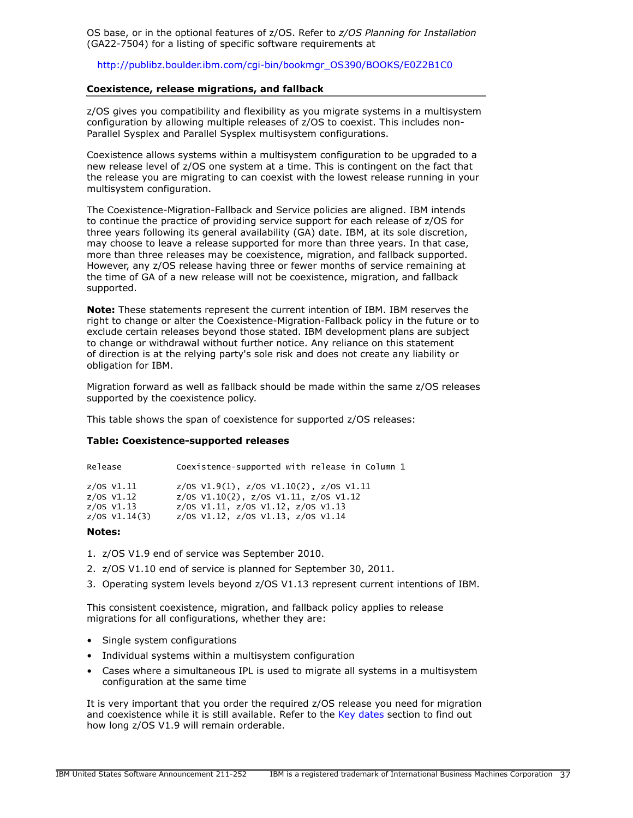OS base, or in the optional features of z/OS. Refer to *z/OS Planning for Installation* (GA22-7504) for a listing of specific software requirements at

[http://publibz.boulder.ibm.com/cgi-bin/bookmgr\\_OS390/BOOKS/E0Z2B1C0](http://publibz.boulder.ibm.com/cgi-bin/bookmgr_OS390/BOOKS/E0Z2B1C0)

#### Coexistence, release migrations, and fallback

z/OS gives you compatibility and flexibility as you migrate systems in a multisystem configuration by allowing multiple releases of z/OS to coexist. This includes non-Parallel Sysplex and Parallel Sysplex multisystem configurations.

Coexistence allows systems within a multisystem configuration to be upgraded to a new release level of z/OS one system at a time. This is contingent on the fact that the release you are migrating to can coexist with the lowest release running in your multisystem configuration.

The Coexistence-Migration-Fallback and Service policies are aligned. IBM intends to continue the practice of providing service support for each release of z/OS for three years following its general availability (GA) date. IBM, at its sole discretion, may choose to leave a release supported for more than three years. In that case, more than three releases may be coexistence, migration, and fallback supported. However, any z/OS release having three or fewer months of service remaining at the time of GA of a new release will not be coexistence, migration, and fallback supported.

Note: These statements represent the current intention of IBM. IBM reserves the right to change or alter the Coexistence-Migration-Fallback policy in the future or to exclude certain releases beyond those stated. IBM development plans are subject to change or withdrawal without further notice. Any reliance on this statement of direction is at the relying party's sole risk and does not create any liability or obligation for IBM.

Migration forward as well as fallback should be made within the same z/OS releases supported by the coexistence policy.

This table shows the span of coexistence for supported z/OS releases:

#### Table: Coexistence-supported releases

| Release                     | Coexistence-supported with release in Column 1                                                     |
|-----------------------------|----------------------------------------------------------------------------------------------------|
| z/OS V1.11<br>$z$ /OS V1.12 | $z/0$ S V1.9(1), $z/0$ S V1.10(2), $z/0$ S V1.11<br>$z/0$ S V1.10(2), $z/0$ S V1.11, $z/0$ S V1.12 |
| $z/05$ V1.13                | z/0S $V1.11$ , z/0S $V1.12$ , z/0S $V1.13$                                                         |

| z/OS V1.14(3) |  | z/0S V1.12, z/0S V1.13, z/0S V1.14 |  |
|---------------|--|------------------------------------|--|

#### Notes:

- 1. z/OS V1.9 end of service was September 2010.
- 2. z/OS V1.10 end of service is planned for September 30, 2011.
- 3. Operating system levels beyond z/OS V1.13 represent current intentions of IBM.

This consistent coexistence, migration, and fallback policy applies to release migrations for all configurations, whether they are:

- Single system configurations
- Individual systems within a multisystem configuration
- Cases where a simultaneous IPL is used to migrate all systems in a multisystem configuration at the same time

It is very important that you order the required z/OS release you need for migration and coexistence while it is still available. Refer to the [Key dates](#page-39-0) section to find out how long z/OS V1.9 will remain orderable.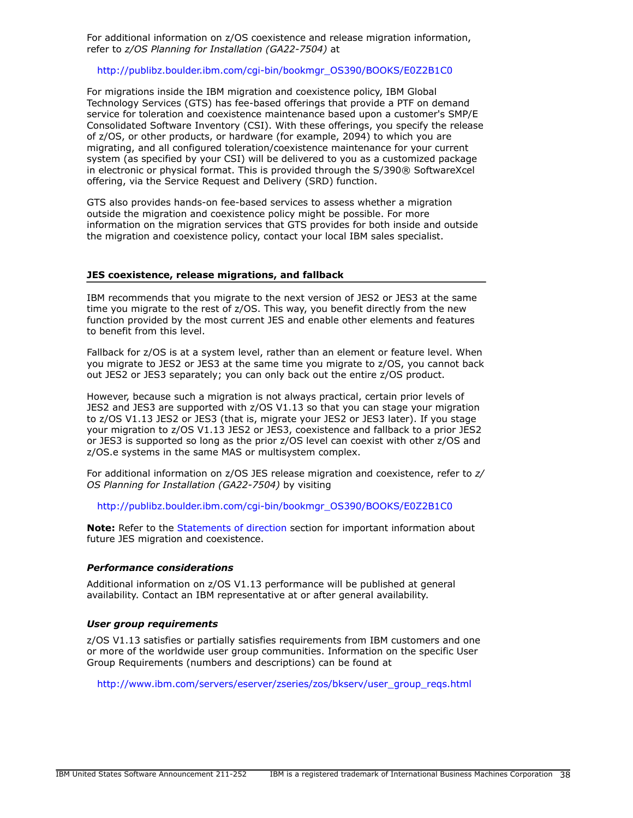For additional information on z/OS coexistence and release migration information, refer to *z/OS Planning for Installation (GA22-7504)* at

#### [http://publibz.boulder.ibm.com/cgi-bin/bookmgr\\_OS390/BOOKS/E0Z2B1C0](http://publibz.boulder.ibm.com/cgi-bin/bookmgr_OS390/BOOKS/E0Z2B1C0)

For migrations inside the IBM migration and coexistence policy, IBM Global Technology Services (GTS) has fee-based offerings that provide a PTF on demand service for toleration and coexistence maintenance based upon a customer's SMP/E Consolidated Software Inventory (CSI). With these offerings, you specify the release of z/OS, or other products, or hardware (for example, 2094) to which you are migrating, and all configured toleration/coexistence maintenance for your current system (as specified by your CSI) will be delivered to you as a customized package in electronic or physical format. This is provided through the S/390® SoftwareXcel offering, via the Service Request and Delivery (SRD) function.

GTS also provides hands-on fee-based services to assess whether a migration outside the migration and coexistence policy might be possible. For more information on the migration services that GTS provides for both inside and outside the migration and coexistence policy, contact your local IBM sales specialist.

#### JES coexistence, release migrations, and fallback

IBM recommends that you migrate to the next version of JES2 or JES3 at the same time you migrate to the rest of z/OS. This way, you benefit directly from the new function provided by the most current JES and enable other elements and features to benefit from this level.

Fallback for z/OS is at a system level, rather than an element or feature level. When you migrate to JES2 or JES3 at the same time you migrate to z/OS, you cannot back out JES2 or JES3 separately; you can only back out the entire z/OS product.

However, because such a migration is not always practical, certain prior levels of JES2 and JES3 are supported with z/OS V1.13 so that you can stage your migration to z/OS V1.13 JES2 or JES3 (that is, migrate your JES2 or JES3 later). If you stage your migration to z/OS V1.13 JES2 or JES3, coexistence and fallback to a prior JES2 or JES3 is supported so long as the prior z/OS level can coexist with other z/OS and z/OS.e systems in the same MAS or multisystem complex.

For additional information on z/OS JES release migration and coexistence, refer to *z/ OS Planning for Installation (GA22-7504)* by visiting

#### [http://publibz.boulder.ibm.com/cgi-bin/bookmgr\\_OS390/BOOKS/E0Z2B1C0](http://publibz.boulder.ibm.com/cgi-bin/bookmgr_OS390/BOOKS/E0Z2B1C0)

Note: Refer to the [Statements of direction](#page-32-0) section for important information about future JES migration and coexistence.

#### *Performance considerations*

Additional information on z/OS V1.13 performance will be published at general availability. Contact an IBM representative at or after general availability.

#### *User group requirements*

z/OS V1.13 satisfies or partially satisfies requirements from IBM customers and one or more of the worldwide user group communities. Information on the specific User Group Requirements (numbers and descriptions) can be found at

[http://www.ibm.com/servers/eserver/zseries/zos/bkserv/user\\_group\\_reqs.html](http://www.ibm.com/servers/eserver/zseries/zos/bkserv/user_group_reqs.html)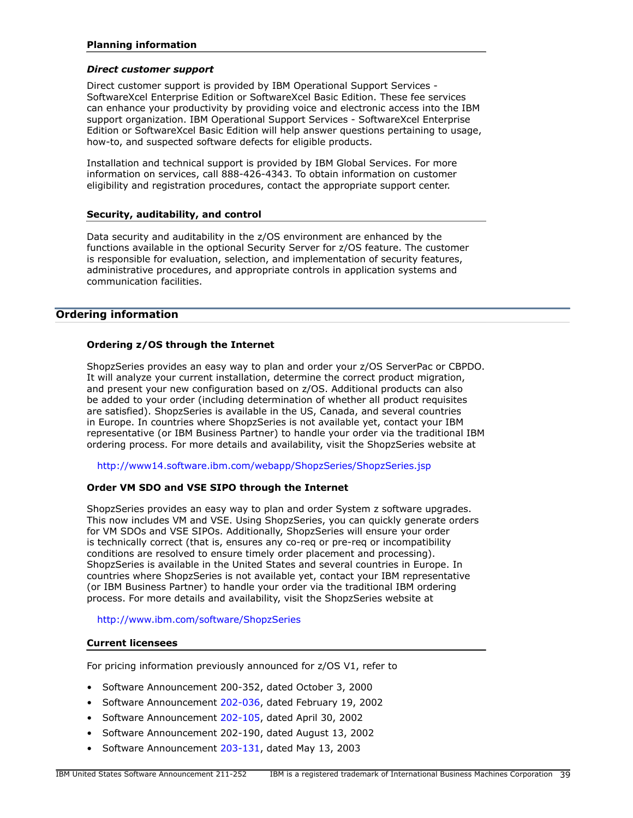## Planning information

#### *Direct customer support*

Direct customer support is provided by IBM Operational Support Services - SoftwareXcel Enterprise Edition or SoftwareXcel Basic Edition. These fee services can enhance your productivity by providing voice and electronic access into the IBM support organization. IBM Operational Support Services - SoftwareXcel Enterprise Edition or SoftwareXcel Basic Edition will help answer questions pertaining to usage, how-to, and suspected software defects for eligible products.

Installation and technical support is provided by IBM Global Services. For more information on services, call 888-426-4343. To obtain information on customer eligibility and registration procedures, contact the appropriate support center.

#### Security, auditability, and control

Data security and auditability in the z/OS environment are enhanced by the functions available in the optional Security Server for z/OS feature. The customer is responsible for evaluation, selection, and implementation of security features, administrative procedures, and appropriate controls in application systems and communication facilities.

# <span id="page-38-0"></span>Ordering information

#### Ordering z/OS through the Internet

ShopzSeries provides an easy way to plan and order your z/OS ServerPac or CBPDO. It will analyze your current installation, determine the correct product migration, and present your new configuration based on z/OS. Additional products can also be added to your order (including determination of whether all product requisites are satisfied). ShopzSeries is available in the US, Canada, and several countries in Europe. In countries where ShopzSeries is not available yet, contact your IBM representative (or IBM Business Partner) to handle your order via the traditional IBM ordering process. For more details and availability, visit the ShopzSeries website at

<http://www14.software.ibm.com/webapp/ShopzSeries/ShopzSeries.jsp>

## Order VM SDO and VSE SIPO through the Internet

ShopzSeries provides an easy way to plan and order System z software upgrades. This now includes VM and VSE. Using ShopzSeries, you can quickly generate orders for VM SDOs and VSE SIPOs. Additionally, ShopzSeries will ensure your order is technically correct (that is, ensures any co-req or pre-req or incompatibility conditions are resolved to ensure timely order placement and processing). ShopzSeries is available in the United States and several countries in Europe. In countries where ShopzSeries is not available yet, contact your IBM representative (or IBM Business Partner) to handle your order via the traditional IBM ordering process. For more details and availability, visit the ShopzSeries website at

<http://www.ibm.com/software/ShopzSeries>

#### Current licensees

For pricing information previously announced for z/OS V1, refer to

- Software Announcement 200-352, dated October 3, 2000
- Software Announcement [202-036,](http://www.ibm.com/common/ssi/cgi-bin/ssialias?infotype=an&subtype=ca&appname=gpateam&supplier=897&letternum=ENUS202-036) dated February 19, 2002
- Software Announcement [202-105,](http://www.ibm.com/common/ssi/cgi-bin/ssialias?infotype=an&subtype=ca&appname=gpateam&supplier=897&letternum=ENUS202-105) dated April 30, 2002
- Software Announcement 202-190, dated August 13, 2002
- Software Announcement [203-131,](http://www.ibm.com/common/ssi/cgi-bin/ssialias?infotype=an&subtype=ca&appname=gpateam&supplier=897&letternum=ENUS203-131) dated May 13, 2003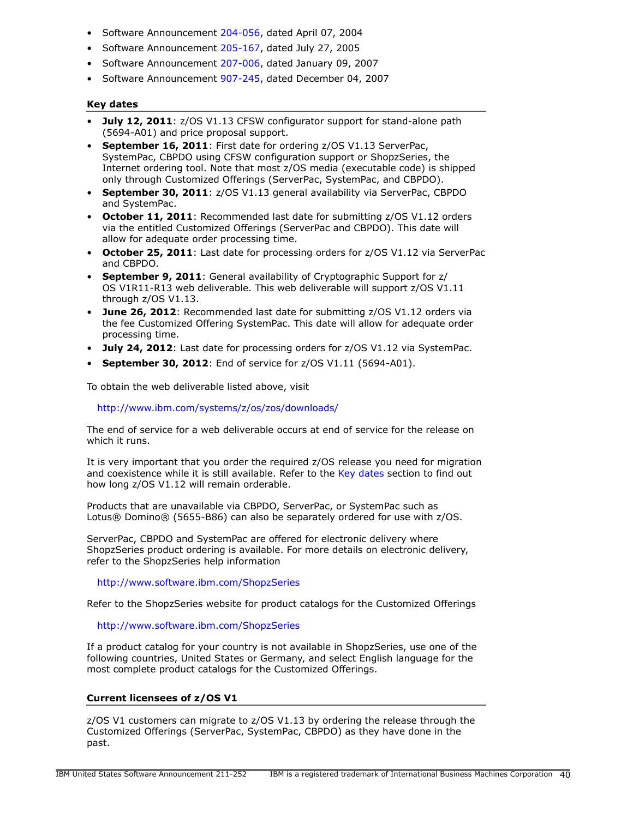- Software Announcement [204-056,](http://www.ibm.com/common/ssi/cgi-bin/ssialias?infotype=an&subtype=ca&appname=gpateam&supplier=897&letternum=ENUS204-056) dated April 07, 2004
- Software Announcement [205-167,](http://www.ibm.com/common/ssi/cgi-bin/ssialias?infotype=an&subtype=ca&appname=gpateam&supplier=897&letternum=ENUS205-167) dated July 27, 2005
- Software Announcement [207-006,](http://www.ibm.com/common/ssi/cgi-bin/ssialias?infotype=an&subtype=ca&appname=gpateam&supplier=897&letternum=ENUS207-006) dated January 09, 2007
- Software Announcement [907-245,](http://www.ibm.com/common/ssi/cgi-bin/ssialias?infotype=an&subtype=ca&appname=gpateam&supplier=897&letternum=ENUS907-245) dated December 04, 2007

#### <span id="page-39-0"></span>Key dates

- July 12, 2011: z/OS V1.13 CFSW configurator support for stand-alone path (5694-A01) and price proposal support.
- September 16, 2011: First date for ordering z/OS V1.13 ServerPac, SystemPac, CBPDO using CFSW configuration support or ShopzSeries, the Internet ordering tool. Note that most z/OS media (executable code) is shipped only through Customized Offerings (ServerPac, SystemPac, and CBPDO).
- September 30, 2011: z/OS V1.13 general availability via ServerPac, CBPDO and SystemPac.
- October 11, 2011: Recommended last date for submitting z/OS V1.12 orders via the entitled Customized Offerings (ServerPac and CBPDO). This date will allow for adequate order processing time.
- October 25, 2011: Last date for processing orders for z/OS V1.12 via ServerPac and CBPDO.
- September 9, 2011: General availability of Cryptographic Support for z/ OS V1R11-R13 web deliverable. This web deliverable will support z/OS V1.11 through z/OS V1.13.
- June 26, 2012: Recommended last date for submitting z/OS V1.12 orders via the fee Customized Offering SystemPac. This date will allow for adequate order processing time.
- **July 24, 2012:** Last date for processing orders for  $z/OS$  V1.12 via SystemPac.
- September 30, 2012: End of service for  $z/OS$  V1.11 (5694-A01).

To obtain the web deliverable listed above, visit

<http://www.ibm.com/systems/z/os/zos/downloads/>

The end of service for a web deliverable occurs at end of service for the release on which it runs.

It is very important that you order the required z/OS release you need for migration and coexistence while it is still available. Refer to the [Key dates](#page-39-0) section to find out how long z/OS V1.12 will remain orderable.

Products that are unavailable via CBPDO, ServerPac, or SystemPac such as Lotus® Domino® (5655-B86) can also be separately ordered for use with z/OS.

ServerPac, CBPDO and SystemPac are offered for electronic delivery where ShopzSeries product ordering is available. For more details on electronic delivery, refer to the ShopzSeries help information

<http://www.software.ibm.com/ShopzSeries>

Refer to the ShopzSeries website for product catalogs for the Customized Offerings

## <http://www.software.ibm.com/ShopzSeries>

If a product catalog for your country is not available in ShopzSeries, use one of the following countries, United States or Germany, and select English language for the most complete product catalogs for the Customized Offerings.

# Current licensees of z/OS V1

z/OS V1 customers can migrate to z/OS V1.13 by ordering the release through the Customized Offerings (ServerPac, SystemPac, CBPDO) as they have done in the past.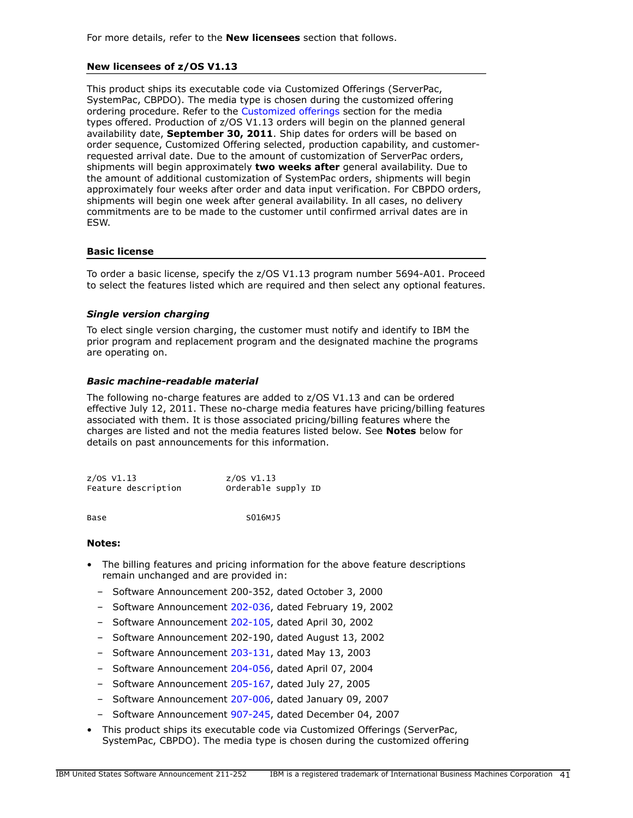## New licensees of z/OS V1.13

This product ships its executable code via Customized Offerings (ServerPac, SystemPac, CBPDO). The media type is chosen during the customized offering ordering procedure. Refer to the [Customized offerings](#page-45-1) section for the media types offered. Production of z/OS V1.13 orders will begin on the planned general availability date, September 30, 2011. Ship dates for orders will be based on order sequence, Customized Offering selected, production capability, and customerrequested arrival date. Due to the amount of customization of ServerPac orders, shipments will begin approximately two weeks after general availability. Due to the amount of additional customization of SystemPac orders, shipments will begin approximately four weeks after order and data input verification. For CBPDO orders, shipments will begin one week after general availability. In all cases, no delivery commitments are to be made to the customer until confirmed arrival dates are in ESW.

#### Basic license

To order a basic license, specify the z/OS V1.13 program number 5694-A01. Proceed to select the features listed which are required and then select any optional features.

# *Single version charging*

To elect single version charging, the customer must notify and identify to IBM the prior program and replacement program and the designated machine the programs are operating on.

#### *Basic machine-readable material*

The following no-charge features are added to z/OS V1.13 and can be ordered effective July 12, 2011. These no-charge media features have pricing/billing features associated with them. It is those associated pricing/billing features where the charges are listed and not the media features listed below. See Notes below for details on past announcements for this information.

z/OS V1.13 z/OS V1.13 Feature description

Base S016MJ5

#### Notes:

- The billing features and pricing information for the above feature descriptions remain unchanged and are provided in:
	- Software Announcement 200-352, dated October 3, 2000
	- Software Announcement [202-036,](http://www.ibm.com/common/ssi/cgi-bin/ssialias?infotype=an&subtype=ca&appname=gpateam&supplier=897&letternum=ENUS202-036) dated February 19, 2002
	- Software Announcement [202-105,](http://www.ibm.com/common/ssi/cgi-bin/ssialias?infotype=an&subtype=ca&appname=gpateam&supplier=897&letternum=ENUS202-105) dated April 30, 2002
	- Software Announcement 202-190, dated August 13, 2002
	- Software Announcement [203-131,](http://www.ibm.com/common/ssi/cgi-bin/ssialias?infotype=an&subtype=ca&appname=gpateam&supplier=897&letternum=ENUS203-131) dated May 13, 2003
	- Software Announcement [204-056,](http://www.ibm.com/common/ssi/cgi-bin/ssialias?infotype=an&subtype=ca&appname=gpateam&supplier=897&letternum=ENUS204-056) dated April 07, 2004
	- Software Announcement [205-167,](http://www.ibm.com/common/ssi/cgi-bin/ssialias?infotype=an&subtype=ca&appname=gpateam&supplier=897&letternum=ENUS205-167) dated July 27, 2005
	- Software Announcement [207-006,](http://www.ibm.com/common/ssi/cgi-bin/ssialias?infotype=an&subtype=ca&appname=gpateam&supplier=897&letternum=ENUS207-006) dated January 09, 2007
	- Software Announcement [907-245,](http://www.ibm.com/common/ssi/cgi-bin/ssialias?infotype=an&subtype=ca&appname=gpateam&supplier=897&letternum=ENUS907-245) dated December 04, 2007
- This product ships its executable code via Customized Offerings (ServerPac, SystemPac, CBPDO). The media type is chosen during the customized offering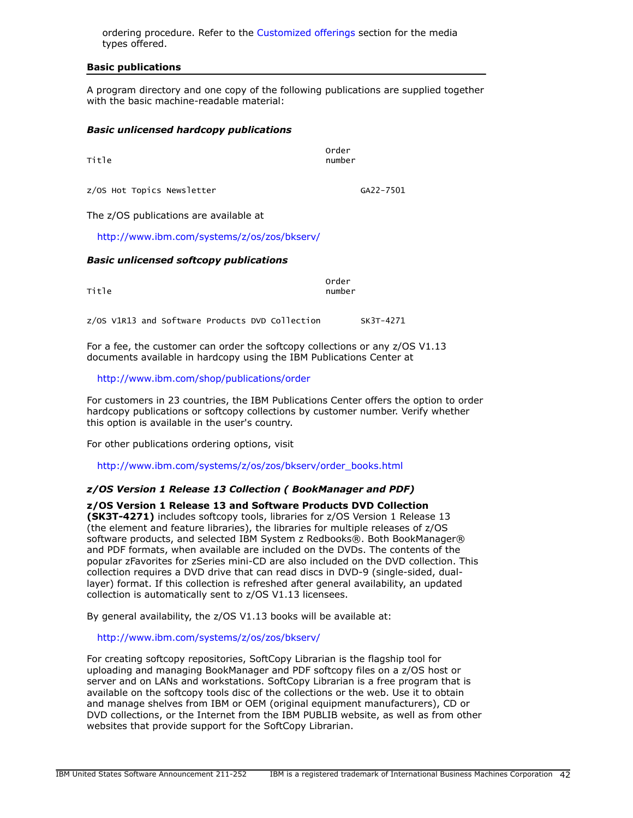ordering procedure. Refer to the [Customized offerings](#page-45-1) section for the media types offered.

#### Basic publications

A program directory and one copy of the following publications are supplied together with the basic machine-readable material:

#### *Basic unlicensed hardcopy publications*

| Title                      | order<br>number |
|----------------------------|-----------------|
| z/OS Hot Topics Newsletter | GA22-7501       |

The z/OS publications are available at

<http://www.ibm.com/systems/z/os/zos/bkserv/>

#### *Basic unlicensed softcopy publications*

| Title | order<br>number |
|-------|-----------------|
|       |                 |

z/OS V1R13 and Software Products DVD Collection SK3T-4271

For a fee, the customer can order the softcopy collections or any z/OS V1.13 documents available in hardcopy using the IBM Publications Center at

<http://www.ibm.com/shop/publications/order>

For customers in 23 countries, the IBM Publications Center offers the option to order hardcopy publications or softcopy collections by customer number. Verify whether this option is available in the user's country.

For other publications ordering options, visit

[http://www.ibm.com/systems/z/os/zos/bkserv/order\\_books.html](http://www.ibm.com/systems/z/os/zos/bkserv/order_books.html)

## *z/OS Version 1 Release 13 Collection ( BookManager and PDF)*

z/OS Version 1 Release 13 and Software Products DVD Collection (SK3T-4271) includes softcopy tools, libraries for z/OS Version 1 Release 13 (the element and feature libraries), the libraries for multiple releases of z/OS software products, and selected IBM System z Redbooks®. Both BookManager® and PDF formats, when available are included on the DVDs. The contents of the popular zFavorites for zSeries mini-CD are also included on the DVD collection. This collection requires a DVD drive that can read discs in DVD-9 (single-sided, duallayer) format. If this collection is refreshed after general availability, an updated collection is automatically sent to z/OS V1.13 licensees.

By general availability, the z/OS V1.13 books will be available at:

<http://www.ibm.com/systems/z/os/zos/bkserv/>

For creating softcopy repositories, SoftCopy Librarian is the flagship tool for uploading and managing BookManager and PDF softcopy files on a z/OS host or server and on LANs and workstations. SoftCopy Librarian is a free program that is available on the softcopy tools disc of the collections or the web. Use it to obtain and manage shelves from IBM or OEM (original equipment manufacturers), CD or DVD collections, or the Internet from the IBM PUBLIB website, as well as from other websites that provide support for the SoftCopy Librarian.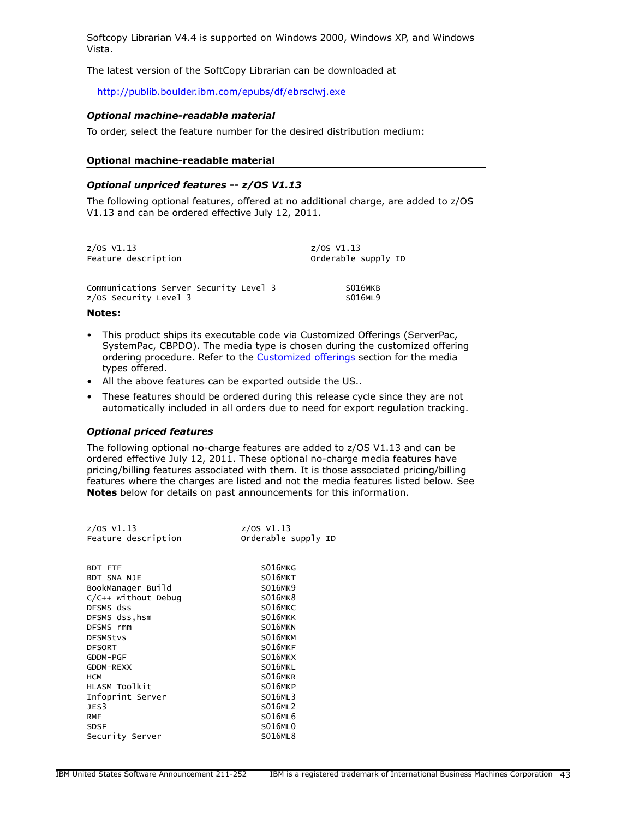Softcopy Librarian V4.4 is supported on Windows 2000, Windows XP, and Windows Vista.

The latest version of the SoftCopy Librarian can be downloaded at

<http://publib.boulder.ibm.com/epubs/df/ebrsclwj.exe>

# *Optional machine-readable material*

To order, select the feature number for the desired distribution medium:

#### Optional machine-readable material

#### *Optional unpriced features -- z/OS V1.13*

The following optional features, offered at no additional charge, are added to z/OS V1.13 and can be ordered effective July 12, 2011.

| $z/0s$ V1.13                           | $z/0S$ V1.13        |
|----------------------------------------|---------------------|
| Feature description                    | Orderable supply ID |
| Communications Server Security Level 3 | S016MKB             |
| z/OS Security Level 3                  | S016ML9             |

#### Notes:

- This product ships its executable code via Customized Offerings (ServerPac, SystemPac, CBPDO). The media type is chosen during the customized offering ordering procedure. Refer to the [Customized offerings](#page-45-1) section for the media types offered.
- All the above features can be exported outside the US..
- These features should be ordered during this release cycle since they are not automatically included in all orders due to need for export regulation tracking.

#### *Optional priced features*

The following optional no-charge features are added to z/OS V1.13 and can be ordered effective July 12, 2011. These optional no-charge media features have pricing/billing features associated with them. It is those associated pricing/billing features where the charges are listed and not the media features listed below. See Notes below for details on past announcements for this information.

| $z/05$ V1.13          | z/OS V1.13          |
|-----------------------|---------------------|
| Feature description   | Orderable supply ID |
|                       |                     |
|                       |                     |
| BDT FTF               | S016MKG             |
| BDT SNA NJE           | S016MKT             |
| BookManager Build     | S016MK9             |
| $C/C++$ without Debug | S016MK8             |
| DFSMS dss             | S016MKC             |
| DFSMS dss.hsm         | S016MKK             |
| DFSMS rmm             | S016MKN             |
| <b>DFSMStvs</b>       | S016MKM             |
| <b>DFSORT</b>         | S016MKF             |
| GDDM-PGF              | S016MKX             |
| GDDM-REXX             | S016MKL             |
| <b>HCM</b>            | S016MKR             |
| HLASM TOOlkit         | S016MKP             |
| Infoprint Server      | S016ML3             |
| JES <sub>3</sub>      | S016ML2             |
| <b>RMF</b>            | S016ML6             |
| <b>SDSF</b>           | S016ML0             |
| Security Server       | <b>S016ML8</b>      |
|                       |                     |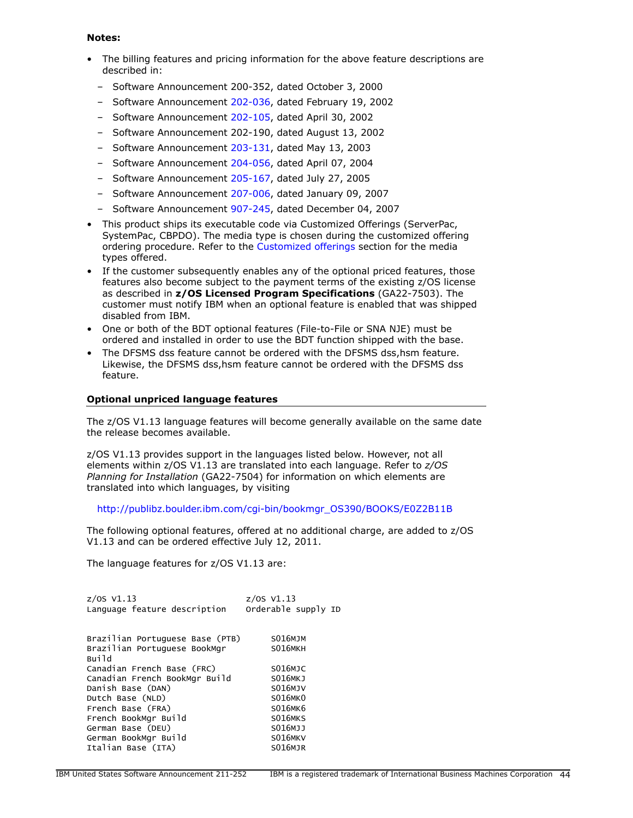#### Notes:

- The billing features and pricing information for the above feature descriptions are described in:
	- Software Announcement 200-352, dated October 3, 2000
	- Software Announcement [202-036,](http://www.ibm.com/common/ssi/cgi-bin/ssialias?infotype=an&subtype=ca&appname=gpateam&supplier=897&letternum=ENUS202-036) dated February 19, 2002
	- Software Announcement [202-105,](http://www.ibm.com/common/ssi/cgi-bin/ssialias?infotype=an&subtype=ca&appname=gpateam&supplier=897&letternum=ENUS202-105) dated April 30, 2002
	- Software Announcement 202-190, dated August 13, 2002
	- Software Announcement [203-131,](http://www.ibm.com/common/ssi/cgi-bin/ssialias?infotype=an&subtype=ca&appname=gpateam&supplier=897&letternum=ENUS203-131) dated May 13, 2003
	- Software Announcement [204-056,](http://www.ibm.com/common/ssi/cgi-bin/ssialias?infotype=an&subtype=ca&appname=gpateam&supplier=897&letternum=ENUS204-056) dated April 07, 2004
	- Software Announcement [205-167,](http://www.ibm.com/common/ssi/cgi-bin/ssialias?infotype=an&subtype=ca&appname=gpateam&supplier=897&letternum=ENUS205-167) dated July 27, 2005
	- Software Announcement [207-006,](http://www.ibm.com/common/ssi/cgi-bin/ssialias?infotype=an&subtype=ca&appname=gpateam&supplier=897&letternum=ENUS207-006) dated January 09, 2007
	- Software Announcement [907-245,](http://www.ibm.com/common/ssi/cgi-bin/ssialias?infotype=an&subtype=ca&appname=gpateam&supplier=897&letternum=ENUS907-245) dated December 04, 2007
- This product ships its executable code via Customized Offerings (ServerPac, SystemPac, CBPDO). The media type is chosen during the customized offering ordering procedure. Refer to the [Customized offerings](#page-45-1) section for the media types offered.
- If the customer subsequently enables any of the optional priced features, those features also become subject to the payment terms of the existing z/OS license as described in z/OS Licensed Program Specifications (GA22-7503). The customer must notify IBM when an optional feature is enabled that was shipped disabled from IBM.
- One or both of the BDT optional features (File-to-File or SNA NJE) must be ordered and installed in order to use the BDT function shipped with the base.
- The DFSMS dss feature cannot be ordered with the DFSMS dss,hsm feature. Likewise, the DFSMS dss,hsm feature cannot be ordered with the DFSMS dss feature.

## Optional unpriced language features

The z/OS V1.13 language features will become generally available on the same date the release becomes available.

z/OS V1.13 provides support in the languages listed below. However, not all elements within z/OS V1.13 are translated into each language. Refer to *z/OS Planning for Installation* (GA22-7504) for information on which elements are translated into which languages, by visiting

[http://publibz.boulder.ibm.com/cgi-bin/bookmgr\\_OS390/BOOKS/E0Z2B11B](http://publibz.boulder.ibm.com/cgi-bin/bookmgr_OS390/BOOKS/E0Z2B11B)

The following optional features, offered at no additional charge, are added to z/OS V1.13 and can be ordered effective July 12, 2011.

The language features for z/OS V1.13 are:

| $z/0S$ $V1.13$                  | $z/0S$ $V1.13$      |
|---------------------------------|---------------------|
| Language feature description    | Orderable supply ID |
|                                 |                     |
|                                 |                     |
| Brazilian Portuguese Base (PTB) | <b>S016MJM</b>      |
| Brazilian Portuguese BookMgr    | S016MKH             |
| Build                           |                     |
| Canadian French Base (FRC)      | S016MJC             |
| Canadian French BookMgr Build   | <b>S016MKJ</b>      |
| Danish Base (DAN)               | S016MJV             |
| Dutch Base (NLD)                | S016MK0             |
| French Base (FRA)               | S016MK6             |
| French BookMgr Build            | S016MKS             |
| German Base (DEU)               | S016MJJ             |
| German BookMgr Build            | S016MKV             |
| Italian Base (ITA)              | <b>S016MJR</b>      |
|                                 |                     |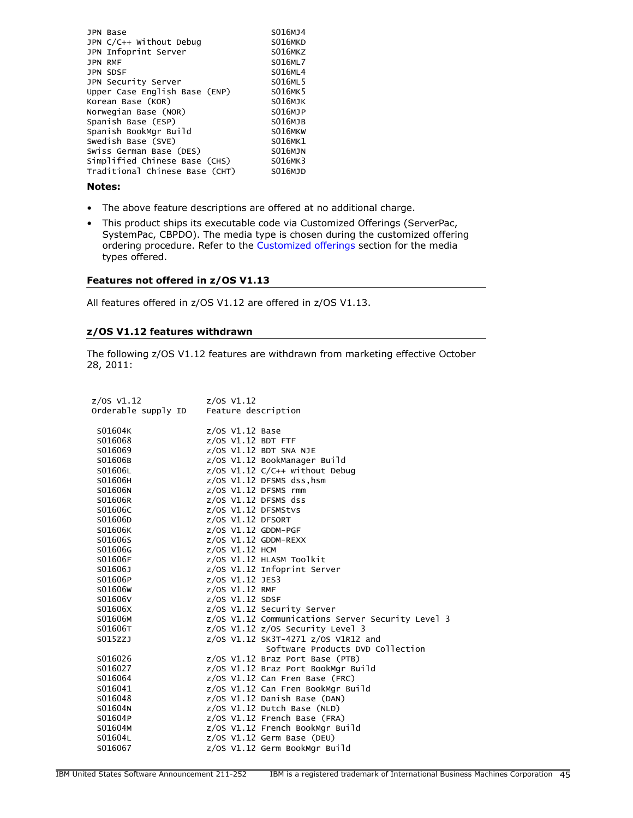| JPN Base                       | S016MJ4        |
|--------------------------------|----------------|
| JPN C/C++ Without Debug        | S016MKD        |
| JPN Infoprint Server           | S016MKZ        |
| <b>JPN RMF</b>                 | S016ML7        |
| <b>JPN SDSF</b>                | <b>S016ML4</b> |
| JPN Security Server            | S016ML5        |
| Upper Case English Base (ENP)  | S016MK5        |
| Korean Base (KOR)              | <b>S016MJK</b> |
| Norwegian Base (NOR)           | <b>S016MJP</b> |
| Spanish Base (ESP)             | <b>S016MJB</b> |
| Spanish BookMgr Build          | S016MKW        |
| Swedish Base (SVE)             | S016MK1        |
| Swiss German Base (DES)        | <b>S016MJN</b> |
| Simplified Chinese Base (CHS)  | S016MK3        |
| Traditional Chinese Base (CHT) | S016MJD        |
|                                |                |

## Notes:

- The above feature descriptions are offered at no additional charge.
- This product ships its executable code via Customized Offerings (ServerPac, SystemPac, CBPDO). The media type is chosen during the customized offering ordering procedure. Refer to the [Customized offerings](#page-45-1) section for the media types offered.

#### Features not offered in z/OS V1.13

All features offered in z/OS V1.12 are offered in z/OS V1.13.

#### z/OS V1.12 features withdrawn

The following z/OS V1.12 features are withdrawn from marketing effective October 28, 2011:

| z/0S V1.12          | $z/05$ V1.12                                      |
|---------------------|---------------------------------------------------|
| Orderable supply ID | Feature description                               |
|                     |                                                   |
| S01604K             | $z/OS$ V1.12 Base                                 |
| S016068             | $Z/OS$ $V1.12$ BDT FTF                            |
| S016069             | $Z/OS$ $V1.12$ BDT SNA NJE                        |
| S01606B             | z/OS V1.12 BookManager Build                      |
| S01606L             | z/OS V1.12 C/C++ without Debug                    |
| S01606H             | z/OS V1.12 DFSMS dss, hsm                         |
| S01606N             | $z/OS$ V1.12 DFSMS rmm                            |
| S01606R             | $z/0S$ V1.12 DFSMS dss                            |
| S01606C             | z/OS V1.12 DFSMStvs                               |
| S01606D             | $z/0S$ V1.12 DFSORT                               |
| S01606K             | z/OS V1.12 GDDM-PGF                               |
| S01606S             | z/OS V1.12 GDDM-REXX                              |
| S01606G             | z/0S V1.12 HCM                                    |
| S01606F             | z/OS V1.12 HLASM Toolkit                          |
| S01606J             | z/OS V1.12 Infoprint Server                       |
| S01606P             | z/OS V1.12 JES3                                   |
| S01606W             | z/OS V1.12 RMF                                    |
| S01606V             | $z/0S$ V1.12 SDSF                                 |
| S01606X             | z/OS V1.12 Security Server                        |
| S01606M             | z/OS V1.12 Communications Server Security Level 3 |
| S01606T             | $z/0S$ V1.12 $z/0S$ Security Level 3              |
| S015ZZJ             | z/0S V1.12 SK3T-4271 z/0S V1R12 and               |
|                     | Software Products DVD Collection                  |
| S016026             | $z/0S$ V1.12 Braz Port Base (PTB)                 |
| S016027             | z/OS V1.12 Braz Port BookMgr Build                |
| S016064             | z/OS V1.12 Can Fren Base (FRC)                    |
| S016041             | z/OS V1.12 Can Fren BookMgr Build                 |
| S016048             | $z/0S$ V1.12 Danish Base (DAN)                    |
| S01604N             | $z/0S$ V1.12 Dutch Base (NLD)                     |
| S01604P             | $z/0$ S V1.12 French Base (FRA)                   |
| S01604M             | z/OS V1.12 French BookMgr Build                   |
| S01604L             | $z/0S$ V1.12 Germ Base (DEU)                      |
| S016067             | z/OS V1.12 Germ BookMgr Build                     |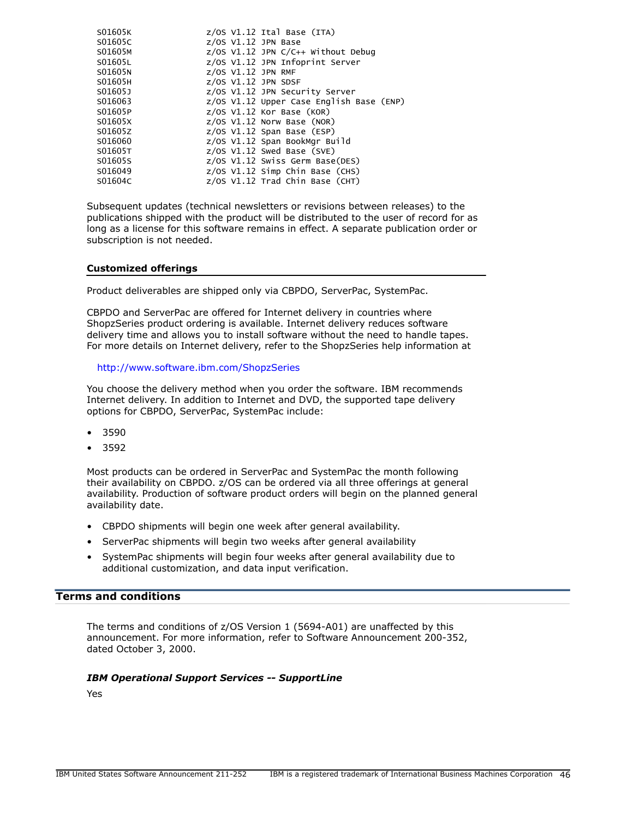| S01605K | $z/0S$ V1.12 Ital Base (ITA)                |
|---------|---------------------------------------------|
| S01605C | $z/0S$ V1.12 JPN Base                       |
| S01605M | z/OS V1.12 JPN C/C++ Without Debug          |
| S01605L | z/OS V1.12 JPN Infoprint Server             |
| S01605N | $Z/OS$ $V1.12$ JPN RMF                      |
| S01605H | $Z/OS$ V1.12 JPN SDSF                       |
| S01605J | z/OS V1.12 JPN Security Server              |
| S016063 | $z/0$ S V1.12 Upper Case English Base (ENP) |
| S01605P | $z/0$ S V1.12 Kor Base (KOR)                |
| S01605X | $z/0S$ V1.12 Norw Base (NOR)                |
| S01605Z | $z/0$ S V1.12 Span Base (ESP)               |
| S016060 | z/OS V1.12 Span BookMgr Build               |
| S01605T | $z/0$ S V1.12 Swed Base (SVE)               |
| S01605S | z/OS V1.12 Swiss Germ Base(DES)             |
| S016049 | $z/OS$ V1.12 Simp Chin Base (CHS)           |
| S01604C | $z/0S$ V1.12 Trad Chin Base (CHT)           |

Subsequent updates (technical newsletters or revisions between releases) to the publications shipped with the product will be distributed to the user of record for as long as a license for this software remains in effect. A separate publication order or subscription is not needed.

#### <span id="page-45-1"></span>Customized offerings

Product deliverables are shipped only via CBPDO, ServerPac, SystemPac.

CBPDO and ServerPac are offered for Internet delivery in countries where ShopzSeries product ordering is available. Internet delivery reduces software delivery time and allows you to install software without the need to handle tapes. For more details on Internet delivery, refer to the ShopzSeries help information at

#### <http://www.software.ibm.com/ShopzSeries>

You choose the delivery method when you order the software. IBM recommends Internet delivery. In addition to Internet and DVD, the supported tape delivery options for CBPDO, ServerPac, SystemPac include:

- 3590
- 3592

Most products can be ordered in ServerPac and SystemPac the month following their availability on CBPDO. z/OS can be ordered via all three offerings at general availability. Production of software product orders will begin on the planned general availability date.

- CBPDO shipments will begin one week after general availability.
- ServerPac shipments will begin two weeks after general availability
- SystemPac shipments will begin four weeks after general availability due to additional customization, and data input verification.

# <span id="page-45-0"></span>Terms and conditions

The terms and conditions of z/OS Version 1 (5694-A01) are unaffected by this announcement. For more information, refer to Software Announcement 200-352, dated October 3, 2000.

#### *IBM Operational Support Services -- SupportLine*

Yes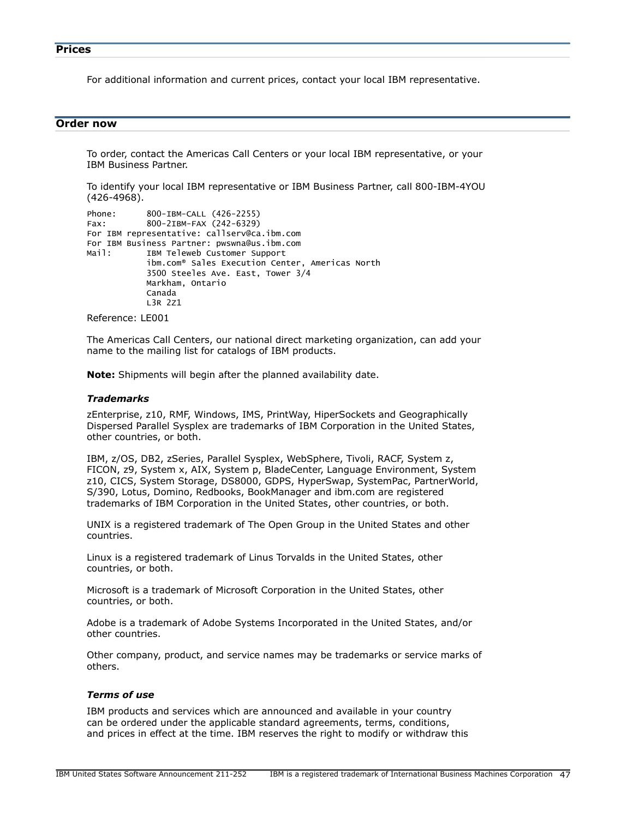<span id="page-46-0"></span>For additional information and current prices, contact your local IBM representative.

## <span id="page-46-1"></span>Order now

To order, contact the Americas Call Centers or your local IBM representative, or your IBM Business Partner.

To identify your local IBM representative or IBM Business Partner, call 800-IBM-4YOU (426-4968).

```
Phone: 800-IBM-CALL (426-2255)
Fax: 800-2IBM-FAX (242-6329)
For IBM representative: callserv@ca.ibm.com
For IBM Business Partner: pwswna@us.ibm.com
Mail: IBM Teleweb Customer Support
            ibm.com® Sales Execution Center, Americas North
            3500 Steeles Ave. East, Tower 3/4
            Markham, Ontario
            Canada
            L3R 2Z1
```
Reference: LE001

The Americas Call Centers, our national direct marketing organization, can add your name to the mailing list for catalogs of IBM products.

Note: Shipments will begin after the planned availability date.

## *Trademarks*

zEnterprise, z10, RMF, Windows, IMS, PrintWay, HiperSockets and Geographically Dispersed Parallel Sysplex are trademarks of IBM Corporation in the United States, other countries, or both.

IBM, z/OS, DB2, zSeries, Parallel Sysplex, WebSphere, Tivoli, RACF, System z, FICON, z9, System x, AIX, System p, BladeCenter, Language Environment, System z10, CICS, System Storage, DS8000, GDPS, HyperSwap, SystemPac, PartnerWorld, S/390, Lotus, Domino, Redbooks, BookManager and ibm.com are registered trademarks of IBM Corporation in the United States, other countries, or both.

UNIX is a registered trademark of The Open Group in the United States and other countries.

Linux is a registered trademark of Linus Torvalds in the United States, other countries, or both.

Microsoft is a trademark of Microsoft Corporation in the United States, other countries, or both.

Adobe is a trademark of Adobe Systems Incorporated in the United States, and/or other countries.

Other company, product, and service names may be trademarks or service marks of others.

#### *Terms of use*

IBM products and services which are announced and available in your country can be ordered under the applicable standard agreements, terms, conditions, and prices in effect at the time. IBM reserves the right to modify or withdraw this